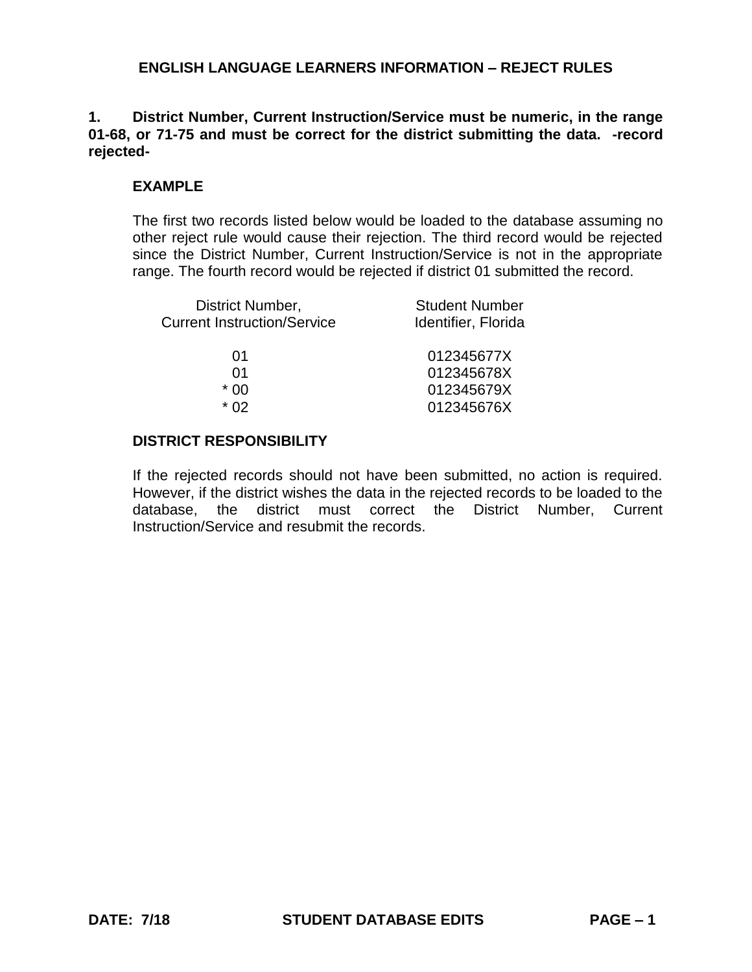## **1. District Number, Current Instruction/Service must be numeric, in the range 01-68, or 71-75 and must be correct for the district submitting the data. -record rejected-**

## **EXAMPLE**

The first two records listed below would be loaded to the database assuming no other reject rule would cause their rejection. The third record would be rejected since the District Number, Current Instruction/Service is not in the appropriate range. The fourth record would be rejected if district 01 submitted the record.

| District Number,                   | <b>Student Number</b> |
|------------------------------------|-----------------------|
| <b>Current Instruction/Service</b> | Identifier, Florida   |
|                                    |                       |
| 01                                 | 012345677X            |
| 01                                 | 012345678X            |
| * በበ                               | 012345679X            |
| * በ2                               | 012345676X            |
|                                    |                       |

## **DISTRICT RESPONSIBILITY**

If the rejected records should not have been submitted, no action is required. However, if the district wishes the data in the rejected records to be loaded to the database, the district must correct the District Number, Current Instruction/Service and resubmit the records.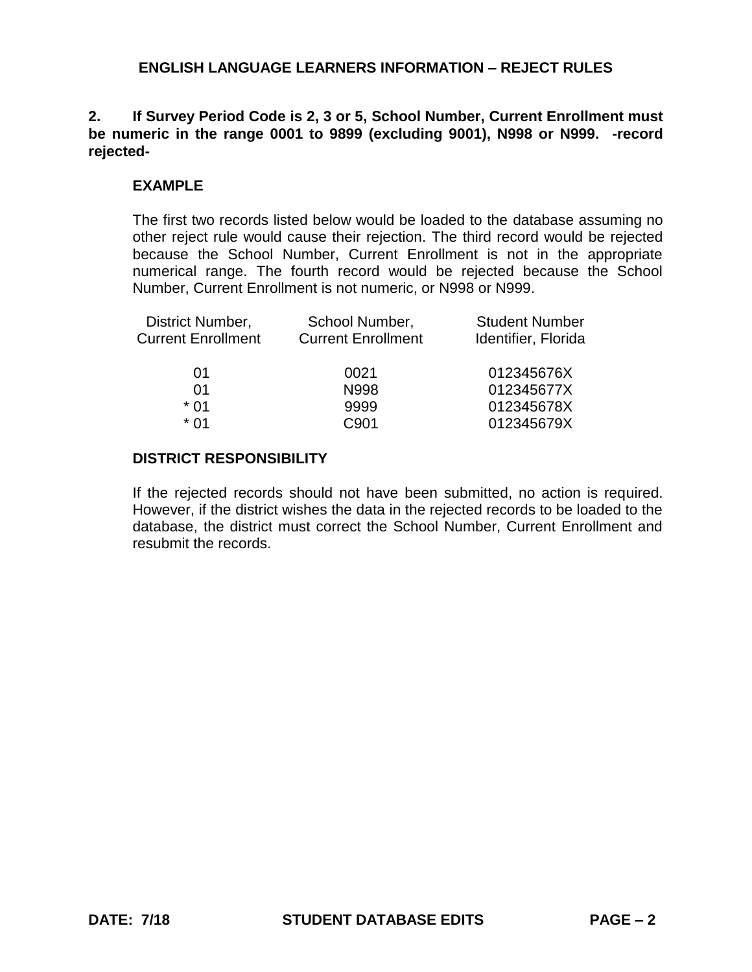**2. If Survey Period Code is 2, 3 or 5, School Number, Current Enrollment must be numeric in the range 0001 to 9899 (excluding 9001), N998 or N999. -record rejected-**

## **EXAMPLE**

The first two records listed below would be loaded to the database assuming no other reject rule would cause their rejection. The third record would be rejected because the School Number, Current Enrollment is not in the appropriate numerical range. The fourth record would be rejected because the School Number, Current Enrollment is not numeric, or N998 or N999.

| District Number,          | School Number,            | <b>Student Number</b> |
|---------------------------|---------------------------|-----------------------|
| <b>Current Enrollment</b> | <b>Current Enrollment</b> | Identifier, Florida   |
|                           |                           |                       |
| 01                        | 0021                      | 012345676X            |
| 01                        | N998                      | 012345677X            |
| $*$ 01                    | 9999                      | 012345678X            |
| * በ1                      | C901                      | 012345679X            |
|                           |                           |                       |

### **DISTRICT RESPONSIBILITY**

If the rejected records should not have been submitted, no action is required. However, if the district wishes the data in the rejected records to be loaded to the database, the district must correct the School Number, Current Enrollment and resubmit the records.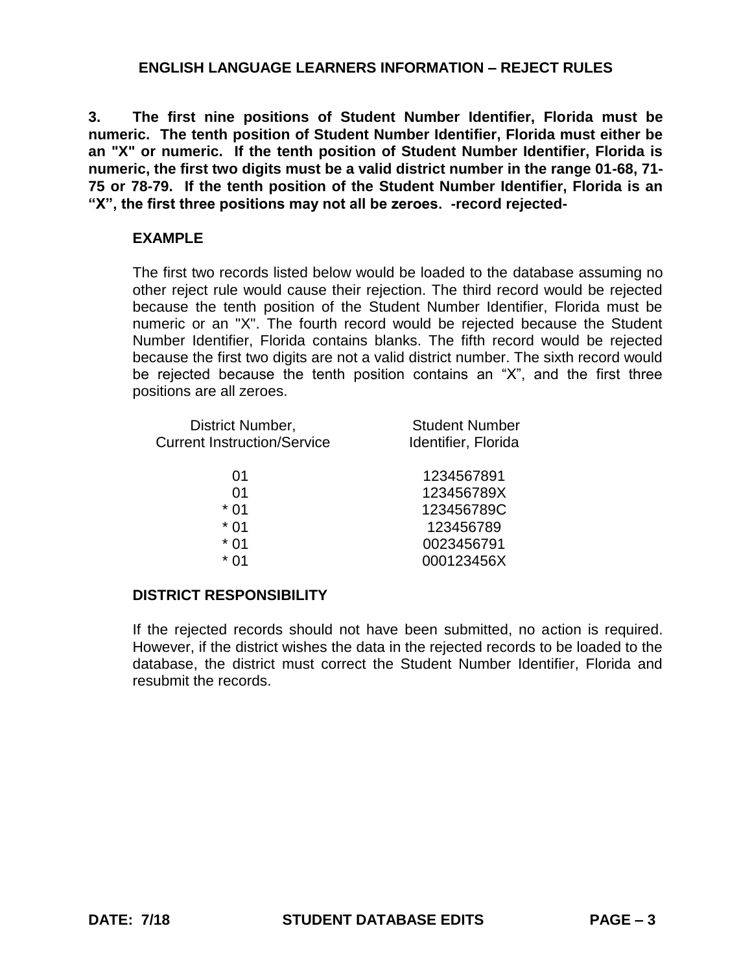**3. The first nine positions of Student Number Identifier, Florida must be numeric. The tenth position of Student Number Identifier, Florida must either be an "X" or numeric. If the tenth position of Student Number Identifier, Florida is numeric, the first two digits must be a valid district number in the range 01-68, 71- 75 or 78-79. If the tenth position of the Student Number Identifier, Florida is an "X", the first three positions may not all be zeroes. -record rejected-**

## **EXAMPLE**

The first two records listed below would be loaded to the database assuming no other reject rule would cause their rejection. The third record would be rejected because the tenth position of the Student Number Identifier, Florida must be numeric or an "X". The fourth record would be rejected because the Student Number Identifier, Florida contains blanks. The fifth record would be rejected because the first two digits are not a valid district number. The sixth record would be rejected because the tenth position contains an "X", and the first three positions are all zeroes.

| District Number,                   | <b>Student Number</b> |
|------------------------------------|-----------------------|
| <b>Current Instruction/Service</b> | Identifier, Florida   |
| 01                                 | 1234567891            |
| 01                                 | 123456789X            |
| $*01$                              | 123456789C            |
| $*01$                              | 123456789             |
| $*01$                              | 0023456791            |
| $*01$                              | 000123456X            |

## **DISTRICT RESPONSIBILITY**

If the rejected records should not have been submitted, no action is required. However, if the district wishes the data in the rejected records to be loaded to the database, the district must correct the Student Number Identifier, Florida and resubmit the records.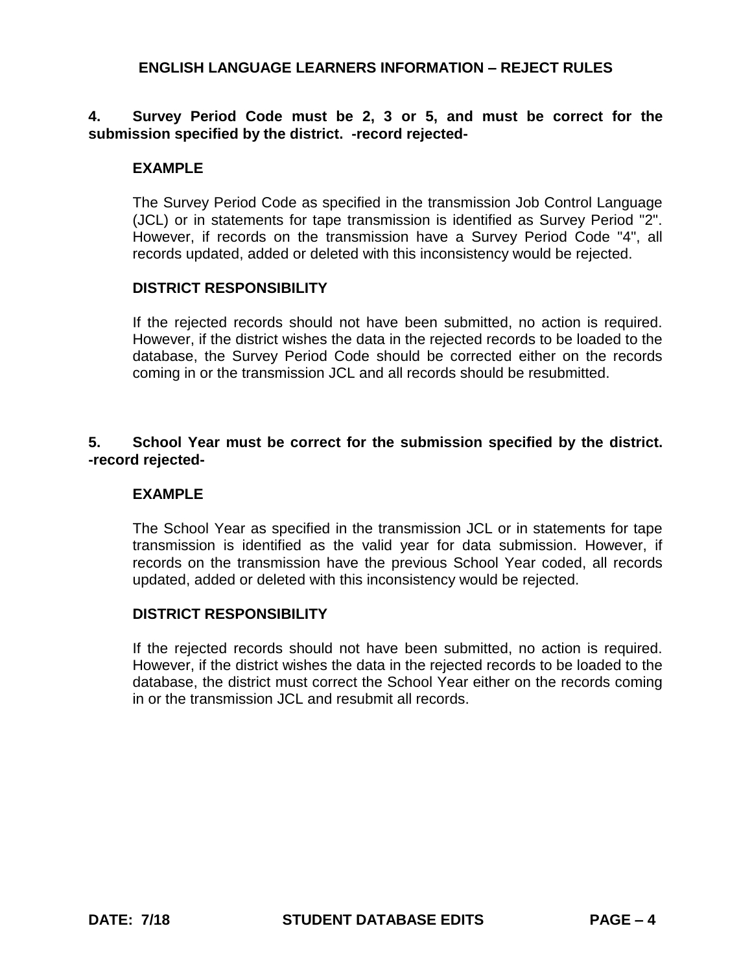# **4. Survey Period Code must be 2, 3 or 5, and must be correct for the submission specified by the district. -record rejected-**

#### **EXAMPLE**

The Survey Period Code as specified in the transmission Job Control Language (JCL) or in statements for tape transmission is identified as Survey Period "2". However, if records on the transmission have a Survey Period Code "4", all records updated, added or deleted with this inconsistency would be rejected.

#### **DISTRICT RESPONSIBILITY**

If the rejected records should not have been submitted, no action is required. However, if the district wishes the data in the rejected records to be loaded to the database, the Survey Period Code should be corrected either on the records coming in or the transmission JCL and all records should be resubmitted.

## **5. School Year must be correct for the submission specified by the district. -record rejected-**

#### **EXAMPLE**

The School Year as specified in the transmission JCL or in statements for tape transmission is identified as the valid year for data submission. However, if records on the transmission have the previous School Year coded, all records updated, added or deleted with this inconsistency would be rejected.

#### **DISTRICT RESPONSIBILITY**

If the rejected records should not have been submitted, no action is required. However, if the district wishes the data in the rejected records to be loaded to the database, the district must correct the School Year either on the records coming in or the transmission JCL and resubmit all records.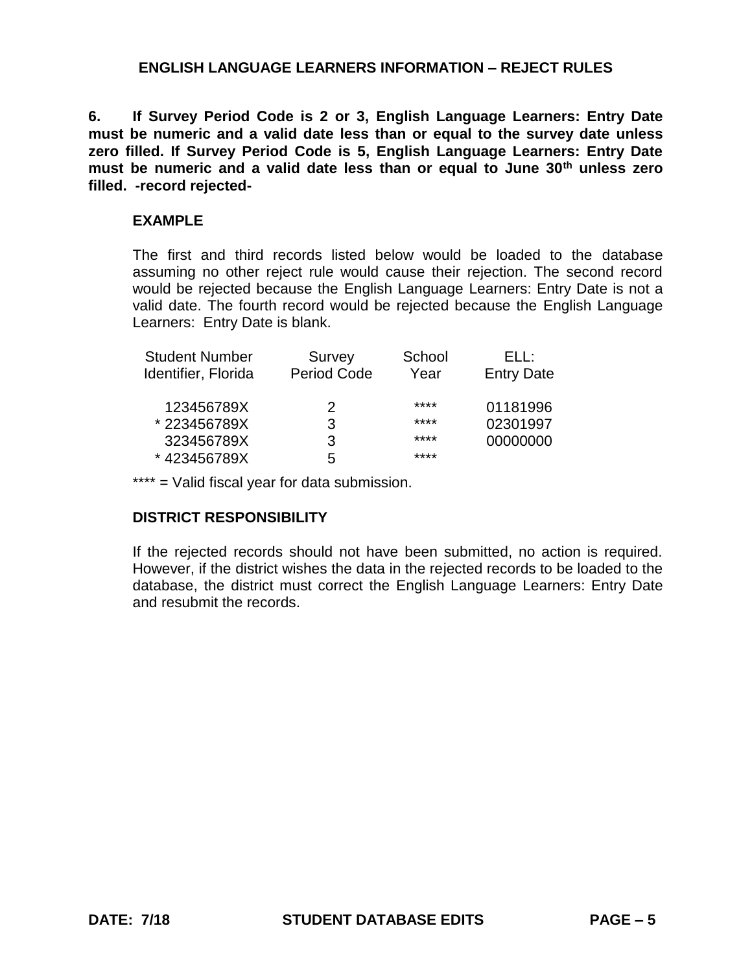**6. If Survey Period Code is 2 or 3, English Language Learners: Entry Date must be numeric and a valid date less than or equal to the survey date unless zero filled. If Survey Period Code is 5, English Language Learners: Entry Date must be numeric and a valid date less than or equal to June 30th unless zero filled. -record rejected-**

## **EXAMPLE**

The first and third records listed below would be loaded to the database assuming no other reject rule would cause their rejection. The second record would be rejected because the English Language Learners: Entry Date is not a valid date. The fourth record would be rejected because the English Language Learners: Entry Date is blank.

| <b>Student Number</b> | Survey             | School | FH :              |
|-----------------------|--------------------|--------|-------------------|
| Identifier, Florida   | <b>Period Code</b> | Year   | <b>Entry Date</b> |
| 123456789X            | 2                  | ****   | 01181996          |
| *223456789X           | 3                  | ****   | 02301997          |
| 323456789X            | 3                  | ****   | 00000000          |
| *423456789X           | 5                  | ****   |                   |

\*\*\*\* = Valid fiscal year for data submission.

## **DISTRICT RESPONSIBILITY**

If the rejected records should not have been submitted, no action is required. However, if the district wishes the data in the rejected records to be loaded to the database, the district must correct the English Language Learners: Entry Date and resubmit the records.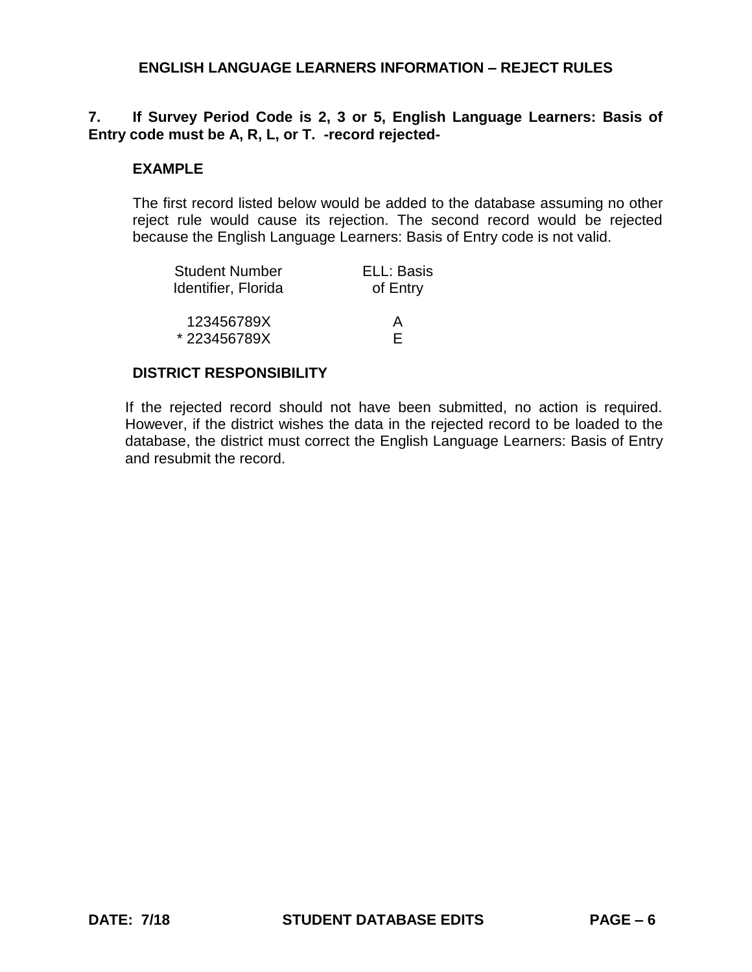# **7. If Survey Period Code is 2, 3 or 5, English Language Learners: Basis of Entry code must be A, R, L, or T. -record rejected-**

#### **EXAMPLE**

The first record listed below would be added to the database assuming no other reject rule would cause its rejection. The second record would be rejected because the English Language Learners: Basis of Entry code is not valid.

| Student Number      | ELL: Basis |
|---------------------|------------|
| Identifier, Florida | of Entry   |
|                     |            |
| 123456789X          | А          |
| *223456789X         | E          |

#### **DISTRICT RESPONSIBILITY**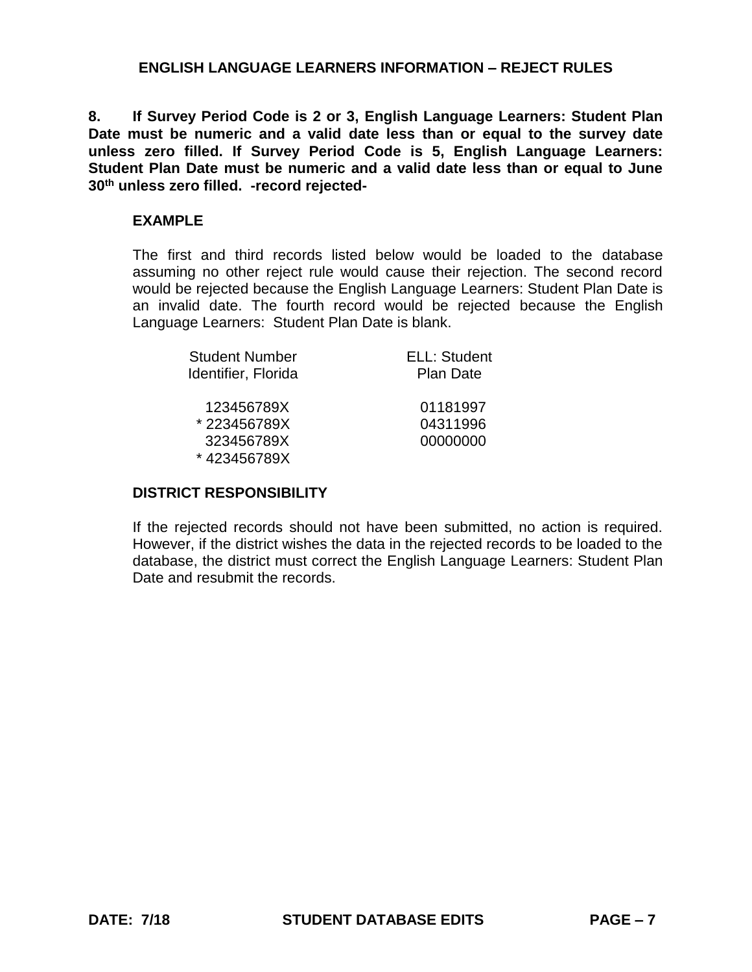**8. If Survey Period Code is 2 or 3, English Language Learners: Student Plan Date must be numeric and a valid date less than or equal to the survey date unless zero filled. If Survey Period Code is 5, English Language Learners: Student Plan Date must be numeric and a valid date less than or equal to June 30th unless zero filled. -record rejected-**

## **EXAMPLE**

The first and third records listed below would be loaded to the database assuming no other reject rule would cause their rejection. The second record would be rejected because the English Language Learners: Student Plan Date is an invalid date. The fourth record would be rejected because the English Language Learners: Student Plan Date is blank.

| <b>Student Number</b><br>Identifier, Florida | <b>ELL: Student</b><br><b>Plan Date</b> |
|----------------------------------------------|-----------------------------------------|
| 123456789X                                   | 01181997                                |
| *223456789X                                  | 04311996                                |
| 323456789X                                   | 00000000                                |
| *423456789X                                  |                                         |

## **DISTRICT RESPONSIBILITY**

If the rejected records should not have been submitted, no action is required. However, if the district wishes the data in the rejected records to be loaded to the database, the district must correct the English Language Learners: Student Plan Date and resubmit the records.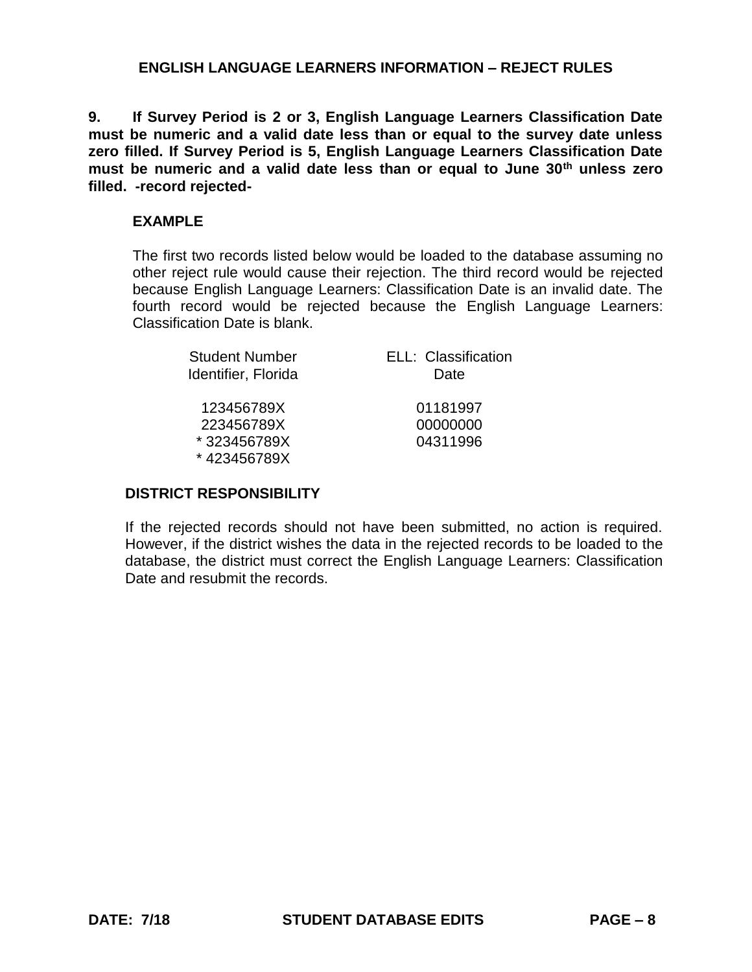**9. If Survey Period is 2 or 3, English Language Learners Classification Date must be numeric and a valid date less than or equal to the survey date unless zero filled. If Survey Period is 5, English Language Learners Classification Date must be numeric and a valid date less than or equal to June 30th unless zero filled. -record rejected-**

## **EXAMPLE**

The first two records listed below would be loaded to the database assuming no other reject rule would cause their rejection. The third record would be rejected because English Language Learners: Classification Date is an invalid date. The fourth record would be rejected because the English Language Learners: Classification Date is blank.

| <b>Student Number</b>      | ELL: Classification |
|----------------------------|---------------------|
| Identifier, Florida        | Date                |
| 123456789X                 | 01181997            |
| 223456789X                 | 00000000            |
| *323456789X<br>*423456789X | 04311996            |

#### **DISTRICT RESPONSIBILITY**

If the rejected records should not have been submitted, no action is required. However, if the district wishes the data in the rejected records to be loaded to the database, the district must correct the English Language Learners: Classification Date and resubmit the records.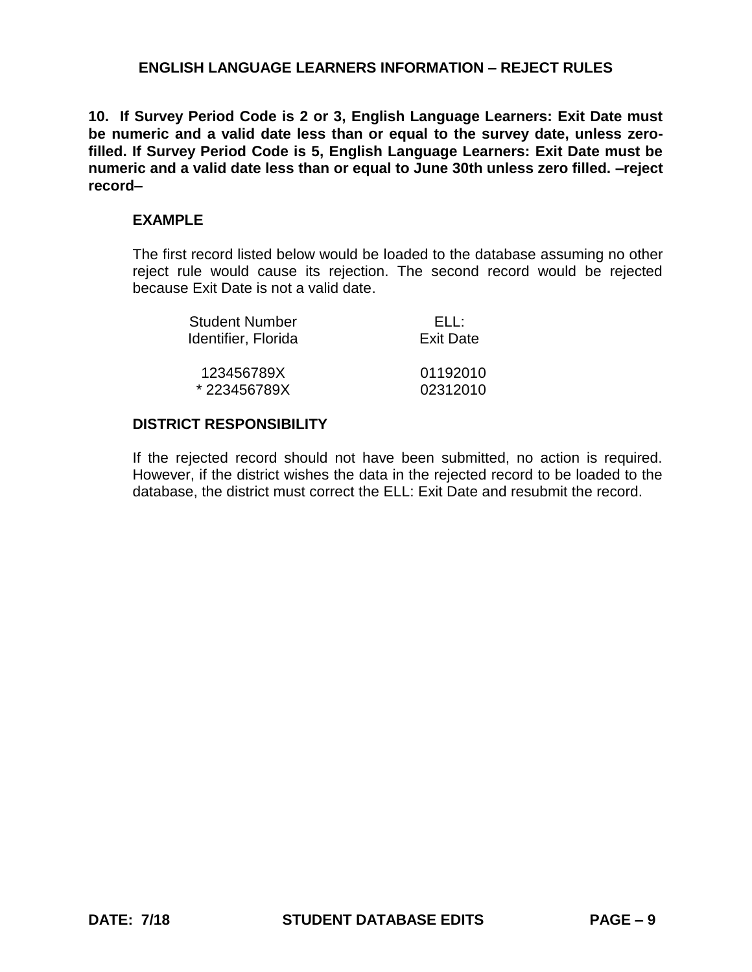**10. If Survey Period Code is 2 or 3, English Language Learners: Exit Date must be numeric and a valid date less than or equal to the survey date, unless zerofilled. If Survey Period Code is 5, English Language Learners: Exit Date must be numeric and a valid date less than or equal to June 30th unless zero filled. –reject record–**

## **EXAMPLE**

The first record listed below would be loaded to the database assuming no other reject rule would cause its rejection. The second record would be rejected because Exit Date is not a valid date.

| <b>Student Number</b> | FLL:             |
|-----------------------|------------------|
| Identifier, Florida   | <b>Exit Date</b> |
| 123456789X            | 01192010         |
| *223456789X           | 02312010         |

### **DISTRICT RESPONSIBILITY**

If the rejected record should not have been submitted, no action is required. However, if the district wishes the data in the rejected record to be loaded to the database, the district must correct the ELL: Exit Date and resubmit the record.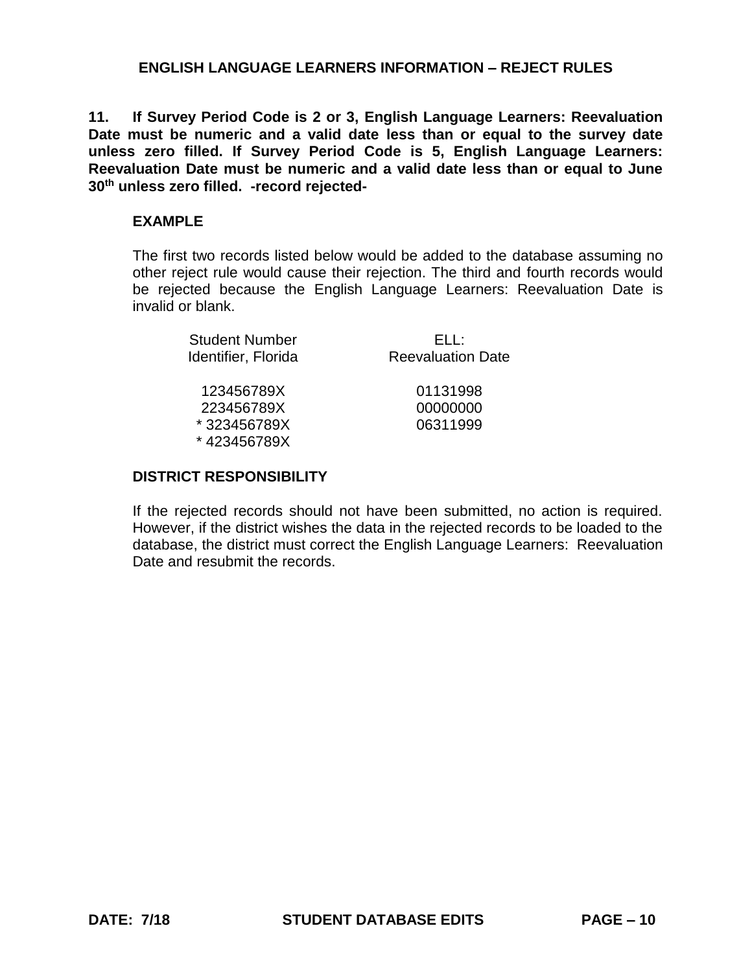**11. If Survey Period Code is 2 or 3, English Language Learners: Reevaluation**  Date must be numeric and a valid date less than or equal to the survey date **unless zero filled. If Survey Period Code is 5, English Language Learners: Reevaluation Date must be numeric and a valid date less than or equal to June 30th unless zero filled. -record rejected-**

## **EXAMPLE**

The first two records listed below would be added to the database assuming no other reject rule would cause their rejection. The third and fourth records would be rejected because the English Language Learners: Reevaluation Date is invalid or blank.

| <b>Student Number</b> | FLI 1                    |
|-----------------------|--------------------------|
| Identifier, Florida   | <b>Reevaluation Date</b> |
|                       |                          |
| 123456789X            | 01131998                 |
| 223456789X            | 00000000                 |
| *323456789X           | 06311999                 |

### **DISTRICT RESPONSIBILITY**

\* 423456789X

If the rejected records should not have been submitted, no action is required. However, if the district wishes the data in the rejected records to be loaded to the database, the district must correct the English Language Learners: Reevaluation Date and resubmit the records.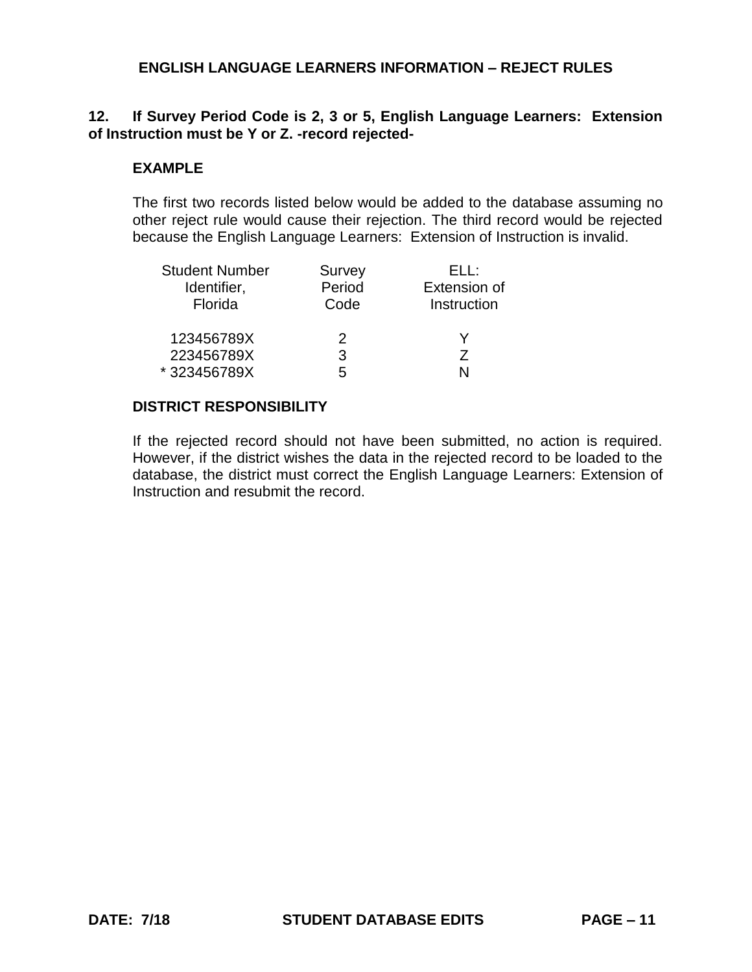# **12. If Survey Period Code is 2, 3 or 5, English Language Learners: Extension of Instruction must be Y or Z. -record rejected-**

#### **EXAMPLE**

The first two records listed below would be added to the database assuming no other reject rule would cause their rejection. The third record would be rejected because the English Language Learners: Extension of Instruction is invalid.

| <b>Student Number</b> | Survey | FLL:                |
|-----------------------|--------|---------------------|
| Identifier,           | Period | <b>Extension of</b> |
| Florida               | Code   | Instruction         |
| 123456789X            | 2      |                     |
| 223456789X            | 3      | 7                   |
| *323456789X           | 5      |                     |

### **DISTRICT RESPONSIBILITY**

If the rejected record should not have been submitted, no action is required. However, if the district wishes the data in the rejected record to be loaded to the database, the district must correct the English Language Learners: Extension of Instruction and resubmit the record.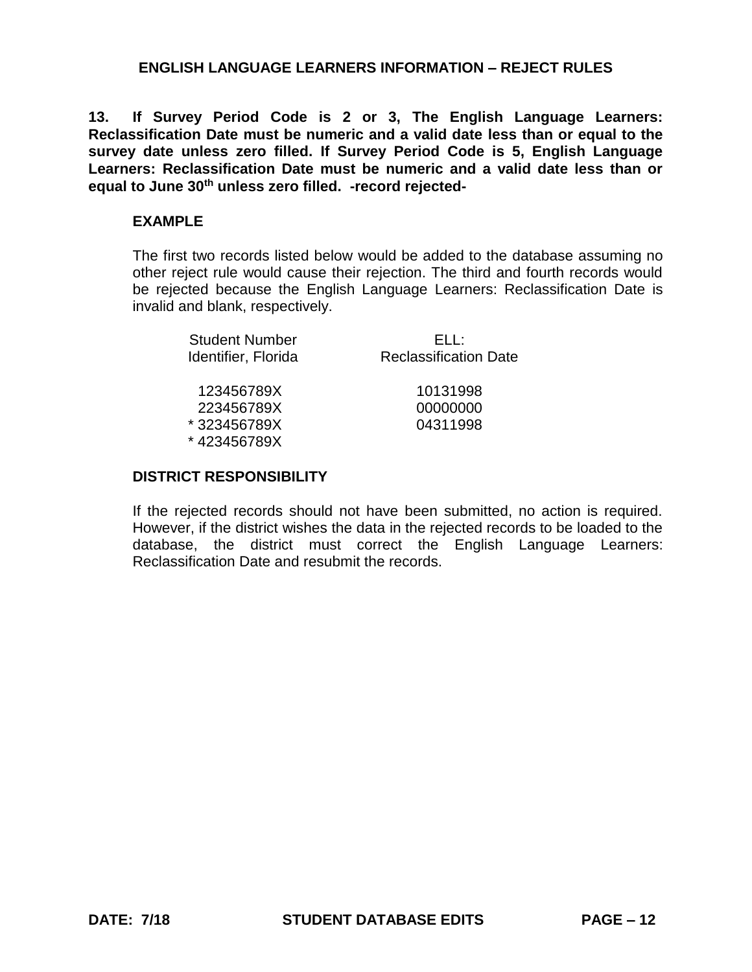**13. If Survey Period Code is 2 or 3, The English Language Learners: Reclassification Date must be numeric and a valid date less than or equal to the survey date unless zero filled. If Survey Period Code is 5, English Language Learners: Reclassification Date must be numeric and a valid date less than or equal to June 30th unless zero filled. -record rejected-**

## **EXAMPLE**

The first two records listed below would be added to the database assuming no other reject rule would cause their rejection. The third and fourth records would be rejected because the English Language Learners: Reclassification Date is invalid and blank, respectively.

| FLI :                        |
|------------------------------|
| <b>Reclassification Date</b> |
|                              |
| 10131998                     |
| 00000000                     |
| 04311998                     |
|                              |

### **DISTRICT RESPONSIBILITY**

\* 423456789X

If the rejected records should not have been submitted, no action is required. However, if the district wishes the data in the rejected records to be loaded to the database, the district must correct the English Language Learners: Reclassification Date and resubmit the records.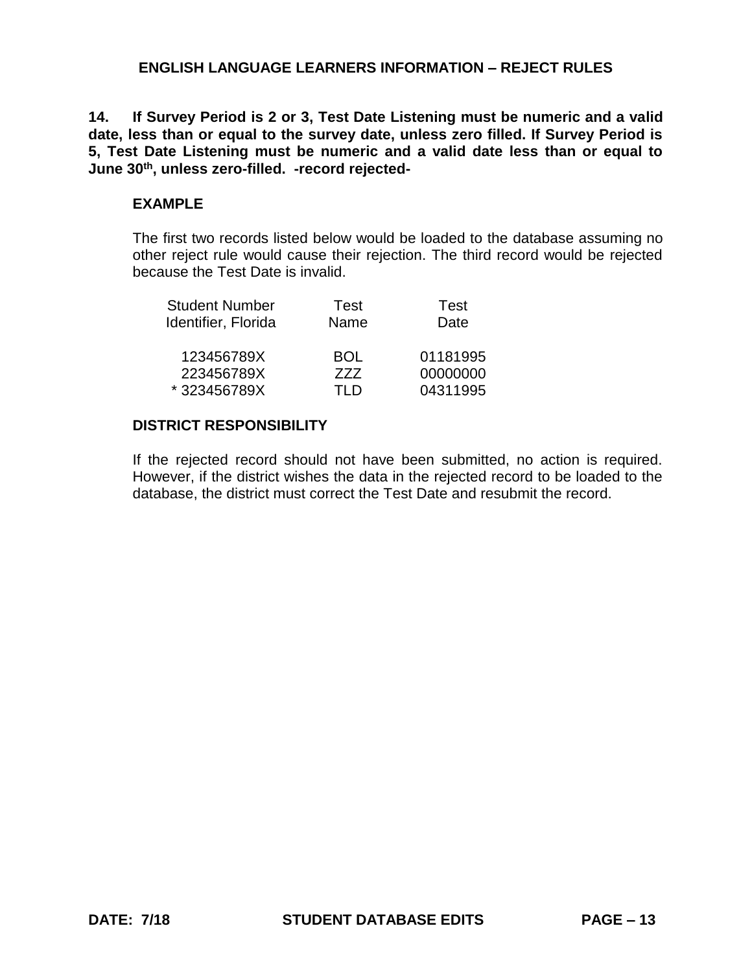**14. If Survey Period is 2 or 3, Test Date Listening must be numeric and a valid date, less than or equal to the survey date, unless zero filled. If Survey Period is 5, Test Date Listening must be numeric and a valid date less than or equal to June 30th, unless zero-filled. -record rejected-**

### **EXAMPLE**

The first two records listed below would be loaded to the database assuming no other reject rule would cause their rejection. The third record would be rejected because the Test Date is invalid.

| Test       | Test     |
|------------|----------|
| Name       | Date     |
| <b>BOL</b> | 01181995 |
| 777        | 00000000 |
| TLD        | 04311995 |
|            |          |

### **DISTRICT RESPONSIBILITY**

If the rejected record should not have been submitted, no action is required. However, if the district wishes the data in the rejected record to be loaded to the database, the district must correct the Test Date and resubmit the record.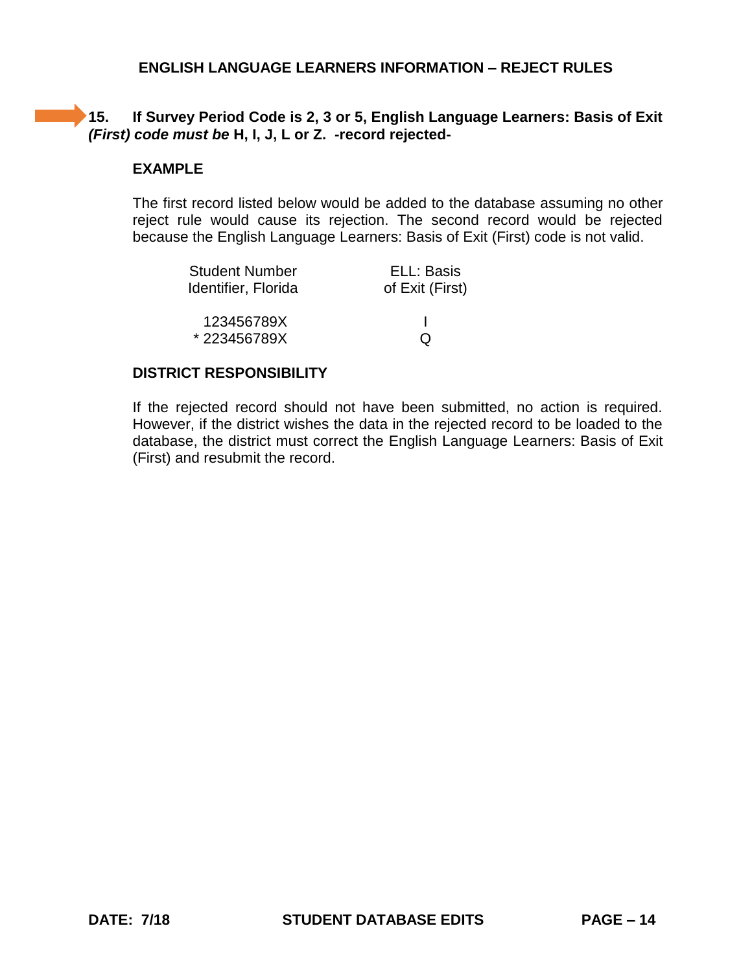# **15. If Survey Period Code is 2, 3 or 5, English Language Learners: Basis of Exit**  *(First) code must be* **H, I, J, L or Z. -record rejected-**

## **EXAMPLE**

The first record listed below would be added to the database assuming no other reject rule would cause its rejection. The second record would be rejected because the English Language Learners: Basis of Exit (First) code is not valid.

| <b>Student Number</b> | ELL: Basis      |
|-----------------------|-----------------|
| Identifier, Florida   | of Exit (First) |
|                       |                 |
| 123456789X            |                 |
| *223456789X           | O               |

### **DISTRICT RESPONSIBILITY**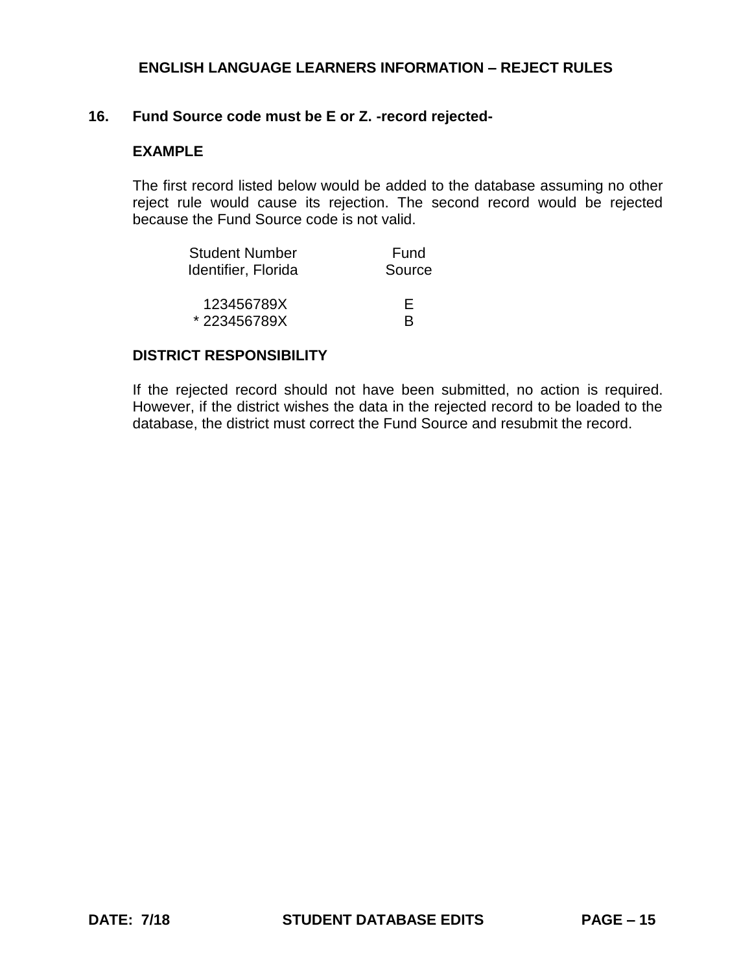## **16. Fund Source code must be E or Z. -record rejected-**

## **EXAMPLE**

The first record listed below would be added to the database assuming no other reject rule would cause its rejection. The second record would be rejected because the Fund Source code is not valid.

| <b>Student Number</b> | Fund   |
|-----------------------|--------|
| Identifier, Florida   | Source |
|                       |        |
| 123456789X            | E      |
| *223456789X           | R      |

#### **DISTRICT RESPONSIBILITY**

If the rejected record should not have been submitted, no action is required. However, if the district wishes the data in the rejected record to be loaded to the database, the district must correct the Fund Source and resubmit the record.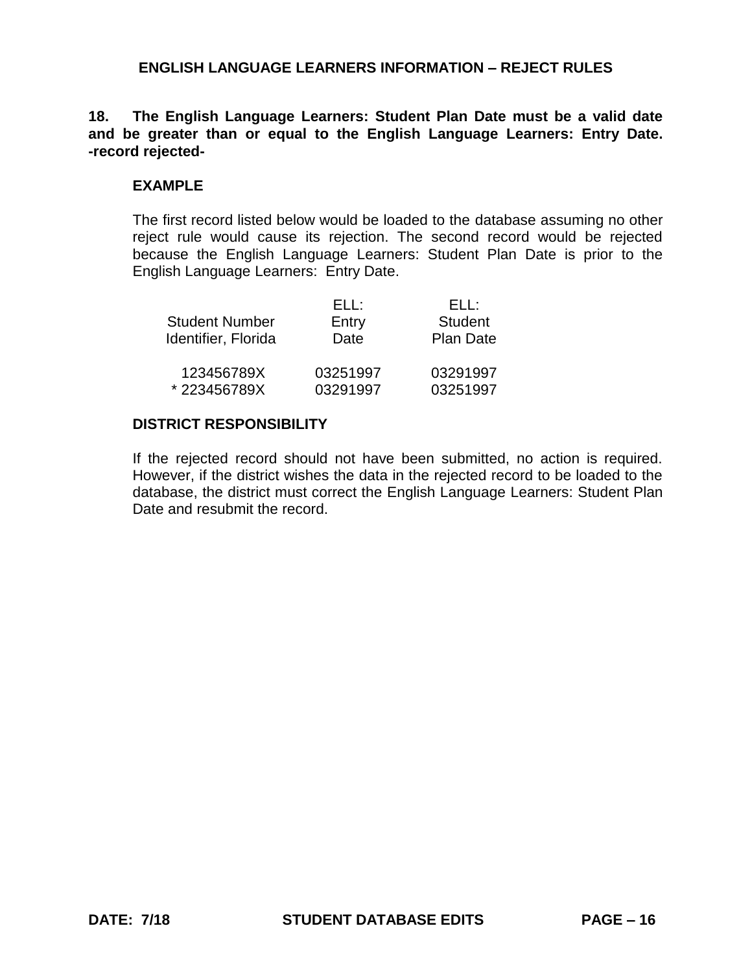**18. The English Language Learners: Student Plan Date must be a valid date and be greater than or equal to the English Language Learners: Entry Date. -record rejected-**

#### **EXAMPLE**

The first record listed below would be loaded to the database assuming no other reject rule would cause its rejection. The second record would be rejected because the English Language Learners: Student Plan Date is prior to the English Language Learners: Entry Date.

|                       | ELL:     | FLL:             |
|-----------------------|----------|------------------|
| <b>Student Number</b> | Entry    | <b>Student</b>   |
| Identifier, Florida   | Date     | <b>Plan Date</b> |
| 123456789X            | 03251997 | 03291997         |
| *223456789X           | 03291997 | 03251997         |

### **DISTRICT RESPONSIBILITY**

If the rejected record should not have been submitted, no action is required. However, if the district wishes the data in the rejected record to be loaded to the database, the district must correct the English Language Learners: Student Plan Date and resubmit the record.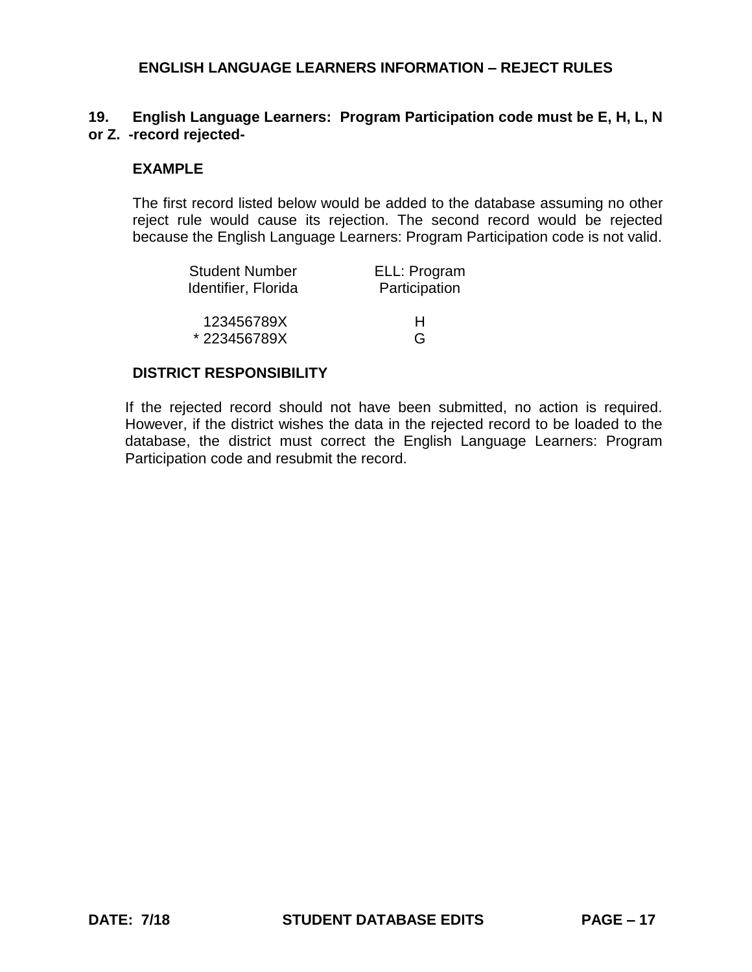## **19. English Language Learners: Program Participation code must be E, H, L, N or Z. -record rejected-**

#### **EXAMPLE**

The first record listed below would be added to the database assuming no other reject rule would cause its rejection. The second record would be rejected because the English Language Learners: Program Participation code is not valid.

| <b>Student Number</b> | ELL: Program  |
|-----------------------|---------------|
| Identifier, Florida   | Participation |
| 123456789X            | н             |
| *223456789X           | G             |

### **DISTRICT RESPONSIBILITY**

If the rejected record should not have been submitted, no action is required. However, if the district wishes the data in the rejected record to be loaded to the database, the district must correct the English Language Learners: Program Participation code and resubmit the record.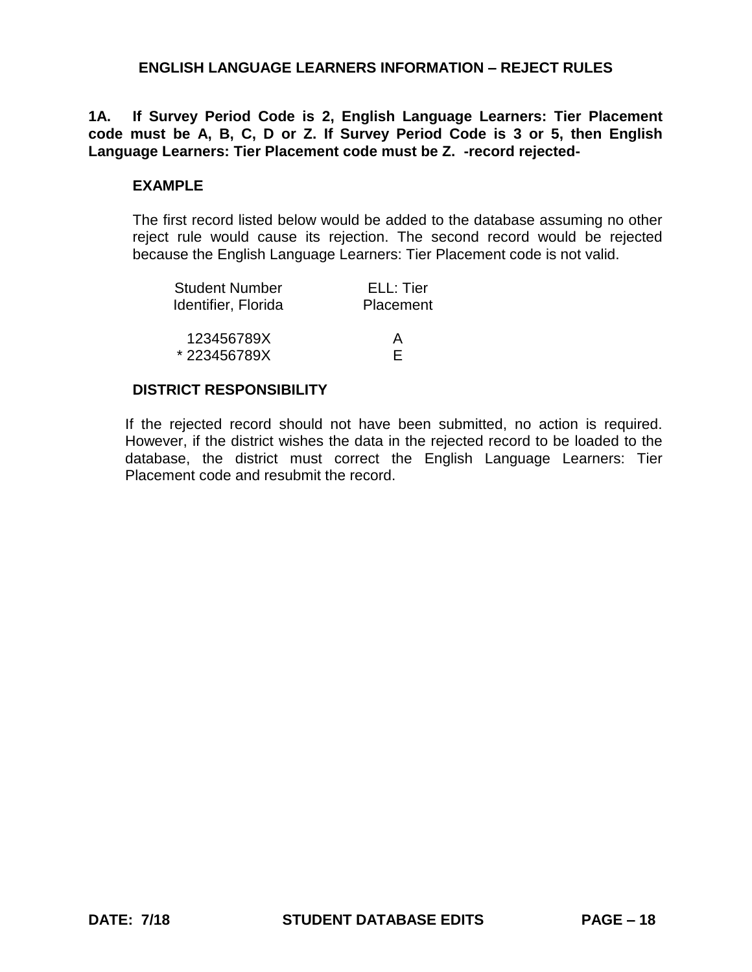**1A. If Survey Period Code is 2, English Language Learners: Tier Placement code must be A, B, C, D or Z. If Survey Period Code is 3 or 5, then English Language Learners: Tier Placement code must be Z. -record rejected-**

#### **EXAMPLE**

The first record listed below would be added to the database assuming no other reject rule would cause its rejection. The second record would be rejected because the English Language Learners: Tier Placement code is not valid.

| <b>Student Number</b> | ELL: Tier |
|-----------------------|-----------|
| Identifier, Florida   | Placement |
|                       |           |
| 123456789X            | A         |
| *223456789X           | F         |

#### **DISTRICT RESPONSIBILITY**

If the rejected record should not have been submitted, no action is required. However, if the district wishes the data in the rejected record to be loaded to the database, the district must correct the English Language Learners: Tier Placement code and resubmit the record.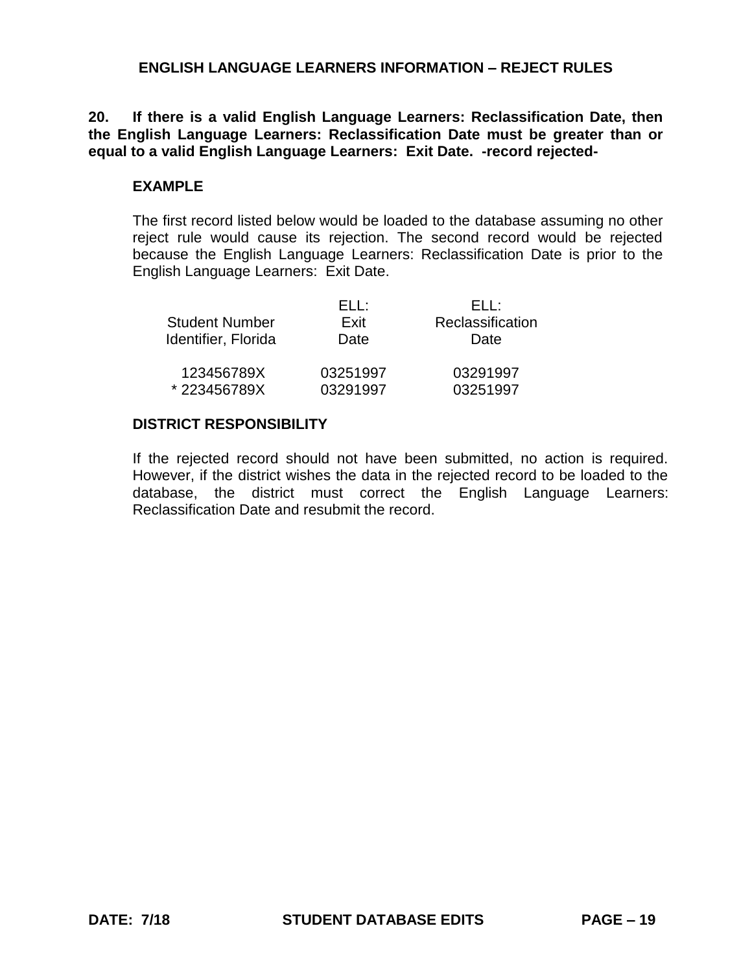**20. If there is a valid English Language Learners: Reclassification Date, then the English Language Learners: Reclassification Date must be greater than or equal to a valid English Language Learners: Exit Date. -record rejected-**

#### **EXAMPLE**

The first record listed below would be loaded to the database assuming no other reject rule would cause its rejection. The second record would be rejected because the English Language Learners: Reclassification Date is prior to the English Language Learners: Exit Date.

| <b>Student Number</b><br>Identifier, Florida | FH :<br>Fxit<br>Date | FLI :<br>Reclassification<br>Date |
|----------------------------------------------|----------------------|-----------------------------------|
| 123456789X                                   | 03251997             | 03291997                          |
| *223456789X                                  | 03291997             | 03251997                          |

#### **DISTRICT RESPONSIBILITY**

If the rejected record should not have been submitted, no action is required. However, if the district wishes the data in the rejected record to be loaded to the database, the district must correct the English Language Learners: Reclassification Date and resubmit the record.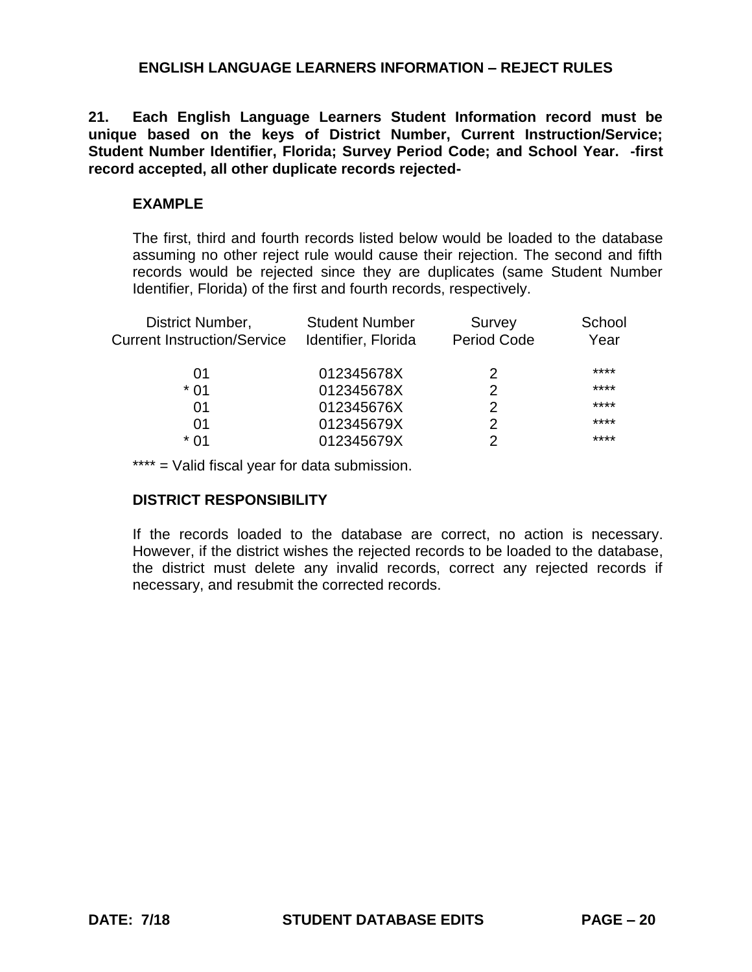**21. Each English Language Learners Student Information record must be unique based on the keys of District Number, Current Instruction/Service; Student Number Identifier, Florida; Survey Period Code; and School Year. -first record accepted, all other duplicate records rejected-**

### **EXAMPLE**

The first, third and fourth records listed below would be loaded to the database assuming no other reject rule would cause their rejection. The second and fifth records would be rejected since they are duplicates (same Student Number Identifier, Florida) of the first and fourth records, respectively.

| District Number,<br><b>Current Instruction/Service</b> | <b>Student Number</b><br>Identifier, Florida | Survey<br>Period Code | School<br>Year |
|--------------------------------------------------------|----------------------------------------------|-----------------------|----------------|
| 01                                                     | 012345678X                                   | 2                     | ****           |
| * በ1                                                   | 012345678X                                   |                       | ****           |
| 01                                                     | 012345676X                                   | 2                     | ****           |
| 01                                                     | 012345679X                                   |                       | ****           |
| * በ1                                                   | 012345679X                                   |                       | ****           |
|                                                        |                                              |                       |                |

\*\*\*\* = Valid fiscal year for data submission.

## **DISTRICT RESPONSIBILITY**

If the records loaded to the database are correct, no action is necessary. However, if the district wishes the rejected records to be loaded to the database, the district must delete any invalid records, correct any rejected records if necessary, and resubmit the corrected records.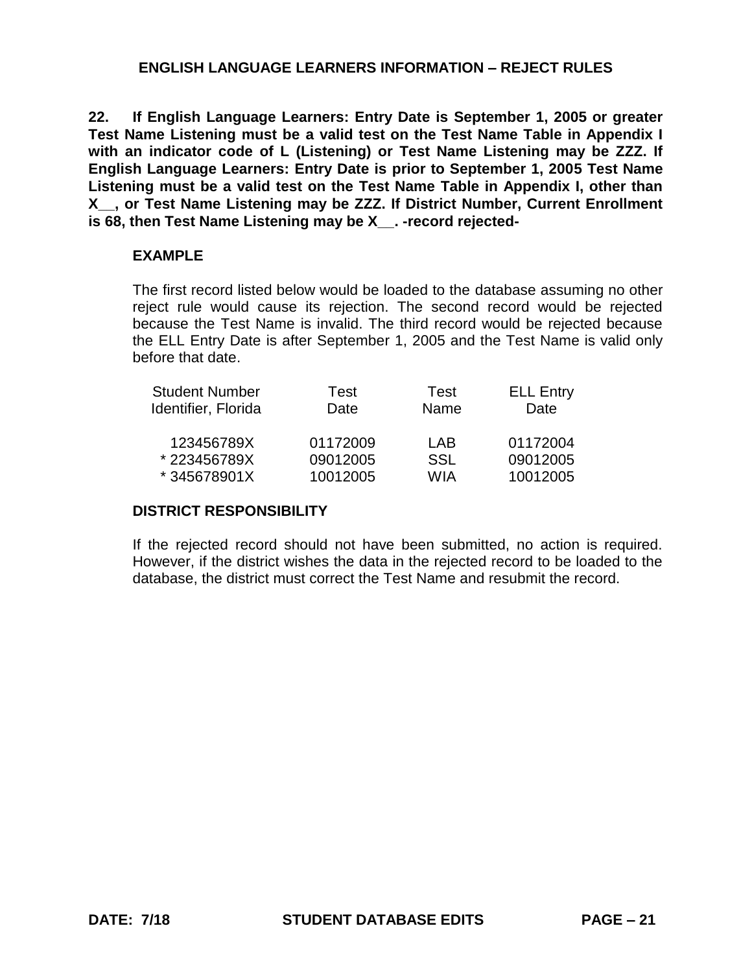**22. If English Language Learners: Entry Date is September 1, 2005 or greater Test Name Listening must be a valid test on the Test Name Table in Appendix I with an indicator code of L (Listening) or Test Name Listening may be ZZZ. If English Language Learners: Entry Date is prior to September 1, 2005 Test Name Listening must be a valid test on the Test Name Table in Appendix I, other than X\_\_, or Test Name Listening may be ZZZ. If District Number, Current Enrollment**  is 68, then Test Name Listening may be X . -record rejected-

### **EXAMPLE**

The first record listed below would be loaded to the database assuming no other reject rule would cause its rejection. The second record would be rejected because the Test Name is invalid. The third record would be rejected because the ELL Entry Date is after September 1, 2005 and the Test Name is valid only before that date.

| <b>Student Number</b> | Test     | Test | <b>ELL Entry</b> |
|-----------------------|----------|------|------------------|
| Identifier, Florida   | Date     | Name | Date             |
| 123456789X            | 01172009 | I AB | 01172004         |
| *223456789X           | 09012005 | SSL  | 09012005         |
| *345678901X           | 10012005 | WIA  | 10012005         |

## **DISTRICT RESPONSIBILITY**

If the rejected record should not have been submitted, no action is required. However, if the district wishes the data in the rejected record to be loaded to the database, the district must correct the Test Name and resubmit the record.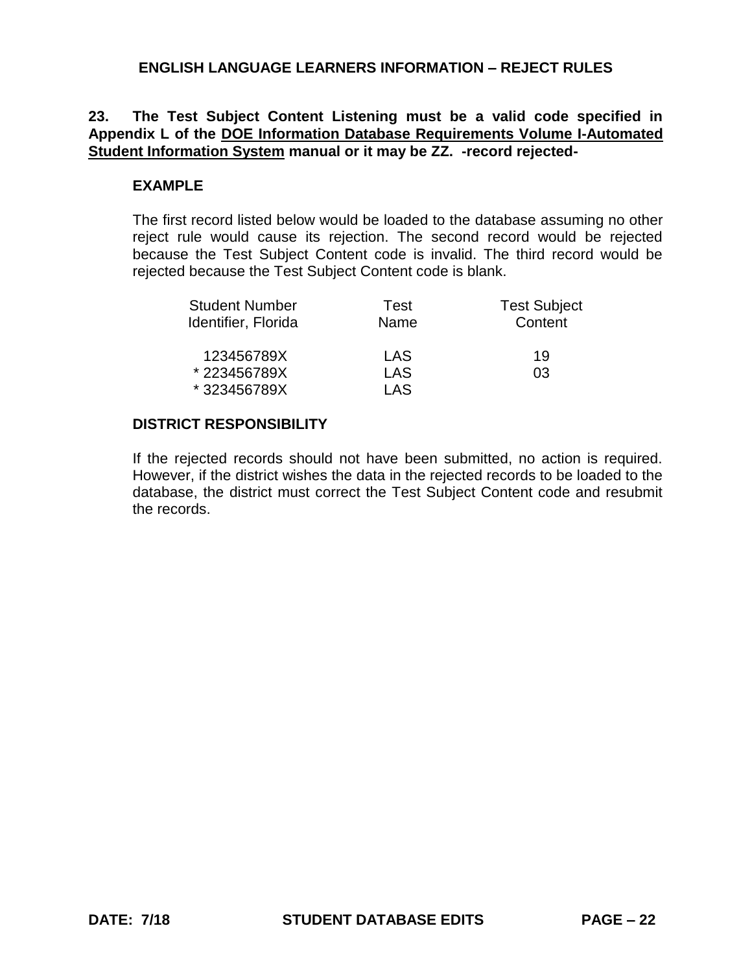# **23. The Test Subject Content Listening must be a valid code specified in Appendix L of the DOE Information Database Requirements Volume I-Automated Student Information System manual or it may be ZZ. -record rejected-**

### **EXAMPLE**

The first record listed below would be loaded to the database assuming no other reject rule would cause its rejection. The second record would be rejected because the Test Subject Content code is invalid. The third record would be rejected because the Test Subject Content code is blank.

| <b>Student Number</b> | Test       | <b>Test Subject</b> |
|-----------------------|------------|---------------------|
| Identifier, Florida   | Name       | Content             |
| 123456789X            | LAS        | 19                  |
| *223456789X           | <b>LAS</b> | 03                  |
| *323456789X           | I AS       |                     |

## **DISTRICT RESPONSIBILITY**

If the rejected records should not have been submitted, no action is required. However, if the district wishes the data in the rejected records to be loaded to the database, the district must correct the Test Subject Content code and resubmit the records.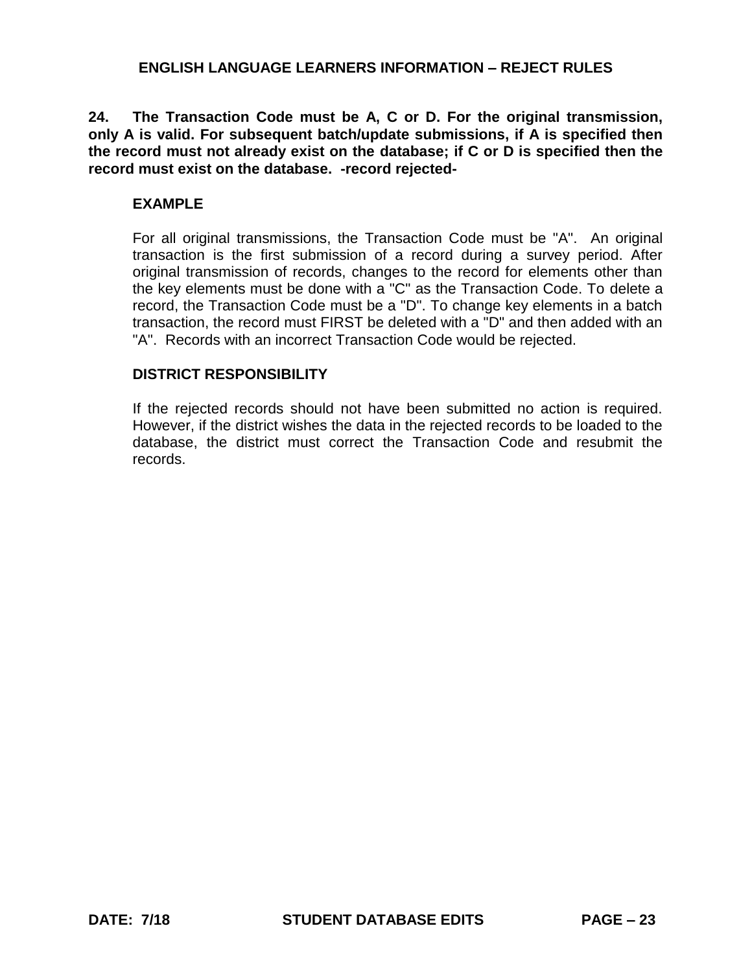**24. The Transaction Code must be A, C or D. For the original transmission, only A is valid. For subsequent batch/update submissions, if A is specified then the record must not already exist on the database; if C or D is specified then the record must exist on the database. -record rejected-**

### **EXAMPLE**

For all original transmissions, the Transaction Code must be "A". An original transaction is the first submission of a record during a survey period. After original transmission of records, changes to the record for elements other than the key elements must be done with a "C" as the Transaction Code. To delete a record, the Transaction Code must be a "D". To change key elements in a batch transaction, the record must FIRST be deleted with a "D" and then added with an "A". Records with an incorrect Transaction Code would be rejected.

### **DISTRICT RESPONSIBILITY**

If the rejected records should not have been submitted no action is required. However, if the district wishes the data in the rejected records to be loaded to the database, the district must correct the Transaction Code and resubmit the records.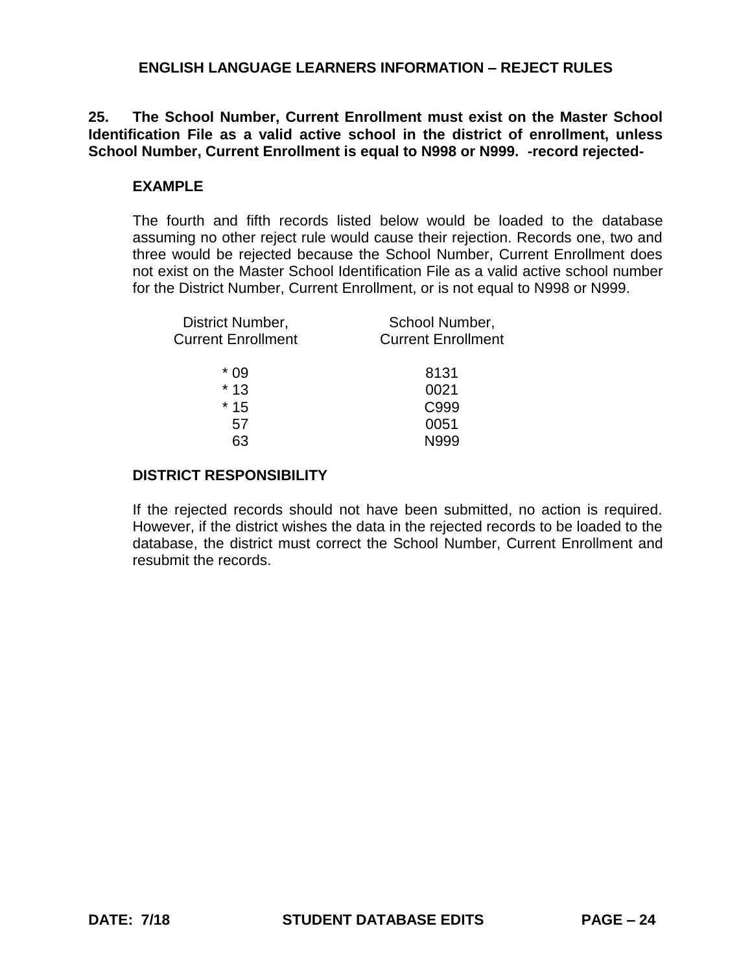**25. The School Number, Current Enrollment must exist on the Master School Identification File as a valid active school in the district of enrollment, unless School Number, Current Enrollment is equal to N998 or N999. -record rejected-**

#### **EXAMPLE**

The fourth and fifth records listed below would be loaded to the database assuming no other reject rule would cause their rejection. Records one, two and three would be rejected because the School Number, Current Enrollment does not exist on the Master School Identification File as a valid active school number for the District Number, Current Enrollment, or is not equal to N998 or N999.

| District Number,          | School Number,            |
|---------------------------|---------------------------|
| <b>Current Enrollment</b> | <b>Current Enrollment</b> |
| * 09                      | 8131                      |
| $*13$                     | 0021                      |
| $*15$                     | C999                      |
| 57                        | 0051                      |
| 63                        | N999                      |
|                           |                           |

#### **DISTRICT RESPONSIBILITY**

If the rejected records should not have been submitted, no action is required. However, if the district wishes the data in the rejected records to be loaded to the database, the district must correct the School Number, Current Enrollment and resubmit the records.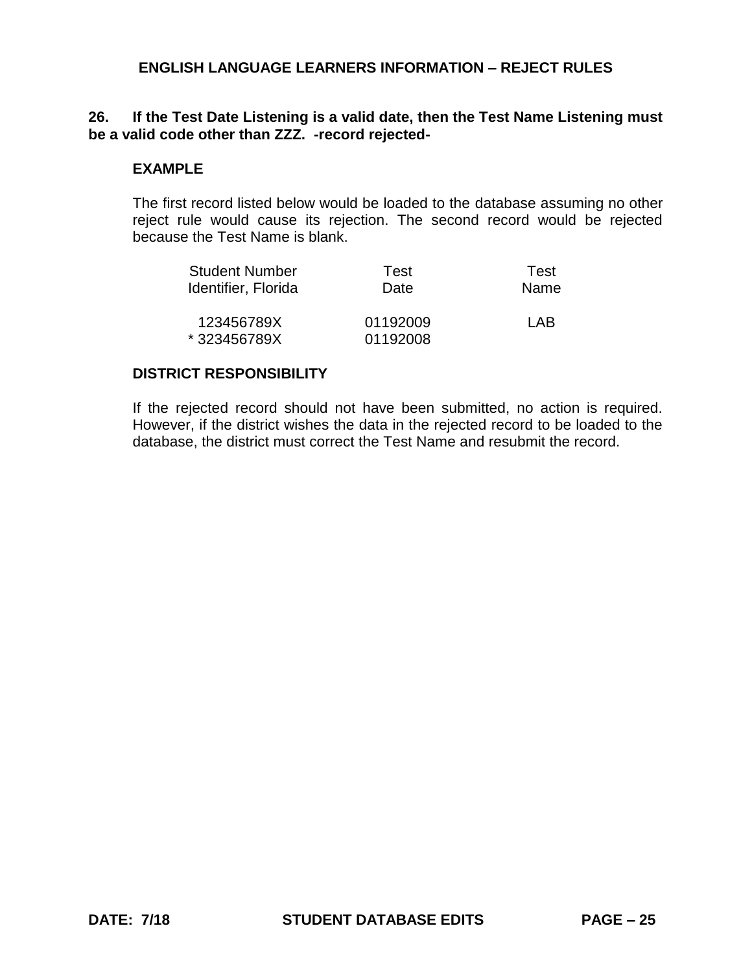### **26. If the Test Date Listening is a valid date, then the Test Name Listening must be a valid code other than ZZZ. -record rejected-**

#### **EXAMPLE**

The first record listed below would be loaded to the database assuming no other reject rule would cause its rejection. The second record would be rejected because the Test Name is blank.

| <b>Student Number</b> | Test     | Test |
|-----------------------|----------|------|
| Identifier, Florida   | Date     | Name |
|                       |          |      |
| 123456789X            | 01192009 | I AB |
| *323456789X           | 01192008 |      |

#### **DISTRICT RESPONSIBILITY**

If the rejected record should not have been submitted, no action is required. However, if the district wishes the data in the rejected record to be loaded to the database, the district must correct the Test Name and resubmit the record.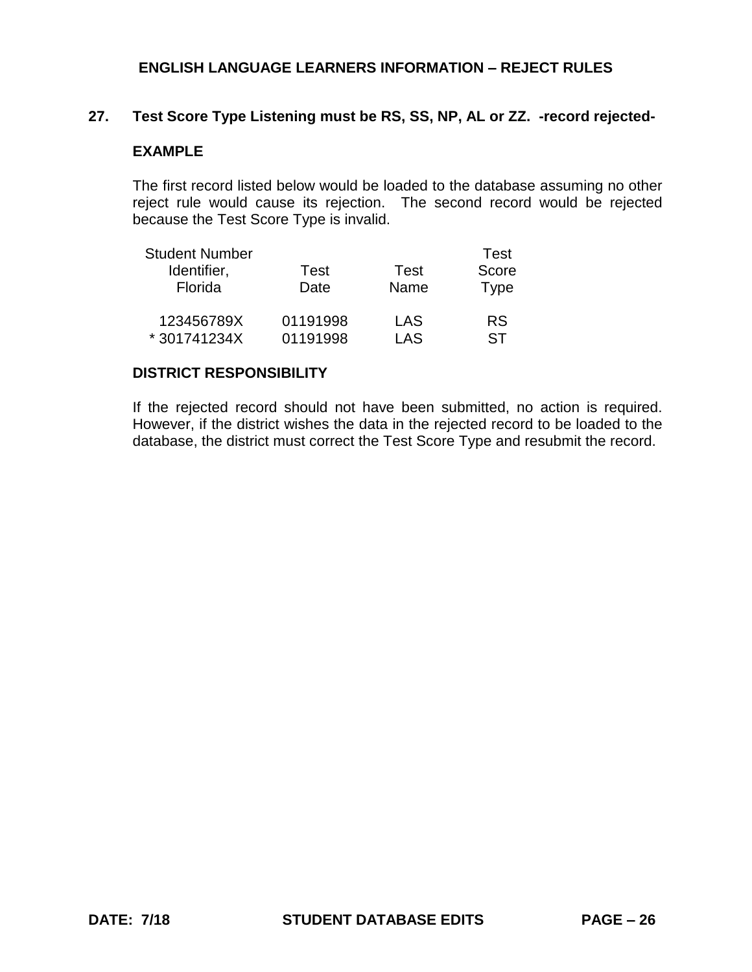# **27. Test Score Type Listening must be RS, SS, NP, AL or ZZ. -record rejected-**

# **EXAMPLE**

The first record listed below would be loaded to the database assuming no other reject rule would cause its rejection. The second record would be rejected because the Test Score Type is invalid.

| <b>Student Number</b> |          |      | Test        |
|-----------------------|----------|------|-------------|
| Identifier,           | Test     | Test | Score       |
| Florida               | Date     | Name | <b>Type</b> |
| 123456789X            | 01191998 | LAS  | <b>RS</b>   |
| *301741234X           | 01191998 | LAS  | ST          |

#### **DISTRICT RESPONSIBILITY**

If the rejected record should not have been submitted, no action is required. However, if the district wishes the data in the rejected record to be loaded to the database, the district must correct the Test Score Type and resubmit the record.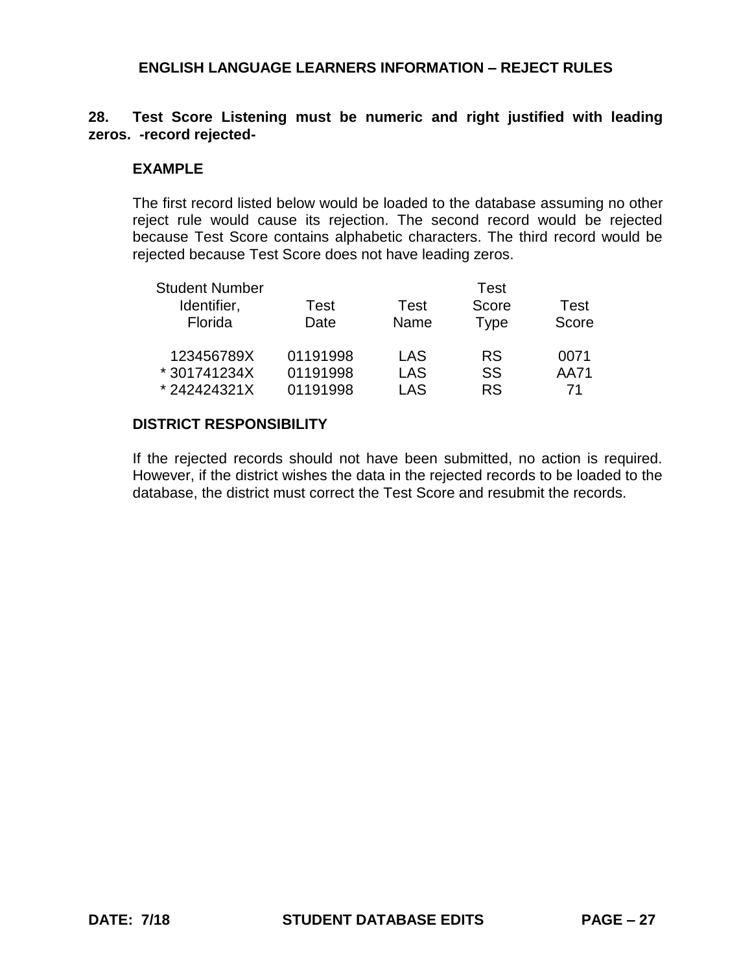### **28. Test Score Listening must be numeric and right justified with leading zeros. -record rejected-**

#### **EXAMPLE**

The first record listed below would be loaded to the database assuming no other reject rule would cause its rejection. The second record would be rejected because Test Score contains alphabetic characters. The third record would be rejected because Test Score does not have leading zeros.

| <b>Student Number</b> |          |             | Test        |       |
|-----------------------|----------|-------------|-------------|-------|
| Identifier,           | Test     | <b>Test</b> | Score       | Test  |
| Florida               | Date     | Name        | <b>Type</b> | Score |
| 123456789X            | 01191998 | LAS         | <b>RS</b>   | 0071  |
| * 301741234X          | 01191998 | LAS         | SS          | AA71  |
| *242424321X           | 01191998 | LAS         | <b>RS</b>   | 71    |

### **DISTRICT RESPONSIBILITY**

If the rejected records should not have been submitted, no action is required. However, if the district wishes the data in the rejected records to be loaded to the database, the district must correct the Test Score and resubmit the records.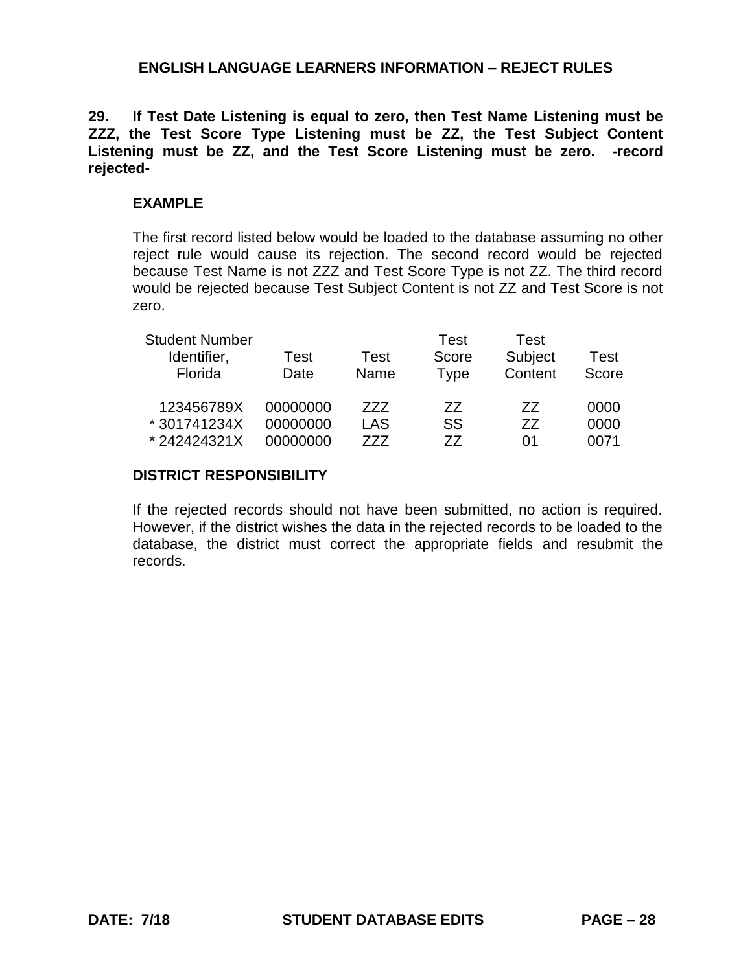**29. If Test Date Listening is equal to zero, then Test Name Listening must be ZZZ, the Test Score Type Listening must be ZZ, the Test Subject Content Listening must be ZZ, and the Test Score Listening must be zero. -record rejected-**

## **EXAMPLE**

The first record listed below would be loaded to the database assuming no other reject rule would cause its rejection. The second record would be rejected because Test Name is not ZZZ and Test Score Type is not ZZ. The third record would be rejected because Test Subject Content is not ZZ and Test Score is not zero.

| <b>Student Number</b> |          |            | Test      | Test    |       |
|-----------------------|----------|------------|-----------|---------|-------|
| Identifier,           | Test     | Test       | Score     | Subject | Test  |
| Florida               | Date     | Name       | Type      | Content | Score |
| 123456789X            | 00000000 | 777        | 77        | 77      | 0000  |
| *301741234X           | 00000000 | <b>LAS</b> | <b>SS</b> | 77      | 0000  |
| *242424321X           | 00000000 | 777        | 77        | 01      | 0071  |

#### **DISTRICT RESPONSIBILITY**

If the rejected records should not have been submitted, no action is required. However, if the district wishes the data in the rejected records to be loaded to the database, the district must correct the appropriate fields and resubmit the records.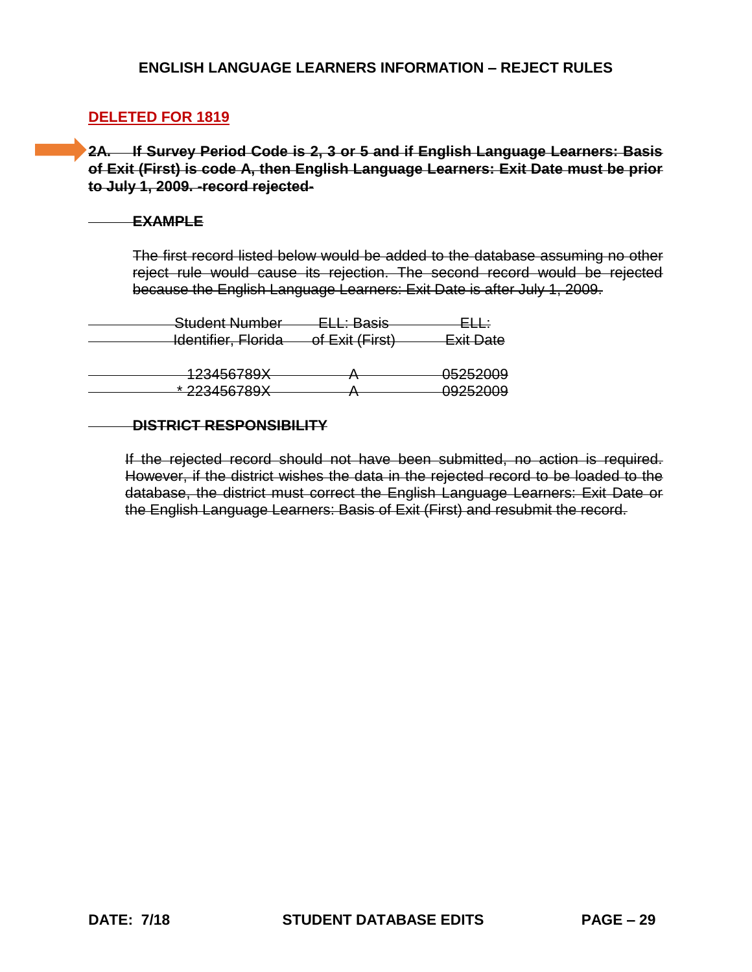## **DELETED FOR 1819**

**2A. If Survey Period Code is 2, 3 or 5 and if English Language Learners: Basis of Exit (First) is code A, then English Language Learners: Exit Date must be prior to July 1, 2009. -record rejected-**

#### **EXAMPLE**

The first record listed below would be added to the database assuming no other reject rule would cause its rejection. The second record would be rejected because the English Language Learners: Exit Date is after July 1, 2009.

| <del>Student Number</del>                   | $E \cup \cdot$ Rocic<br><del>LLL. Daoio</del> |                     |
|---------------------------------------------|-----------------------------------------------|---------------------|
| <del>Identifier, Florida</del>              | of Exit (First)                               | <b>Exit Date</b>    |
|                                             |                                               |                     |
| $123456780Y$<br><del>IZJ4JUI UJA</del>      |                                               | 05252009            |
| $*$ 223156780 $Y$<br><del>22040010071</del> |                                               | <del>09252009</del> |

#### **DISTRICT RESPONSIBILITY**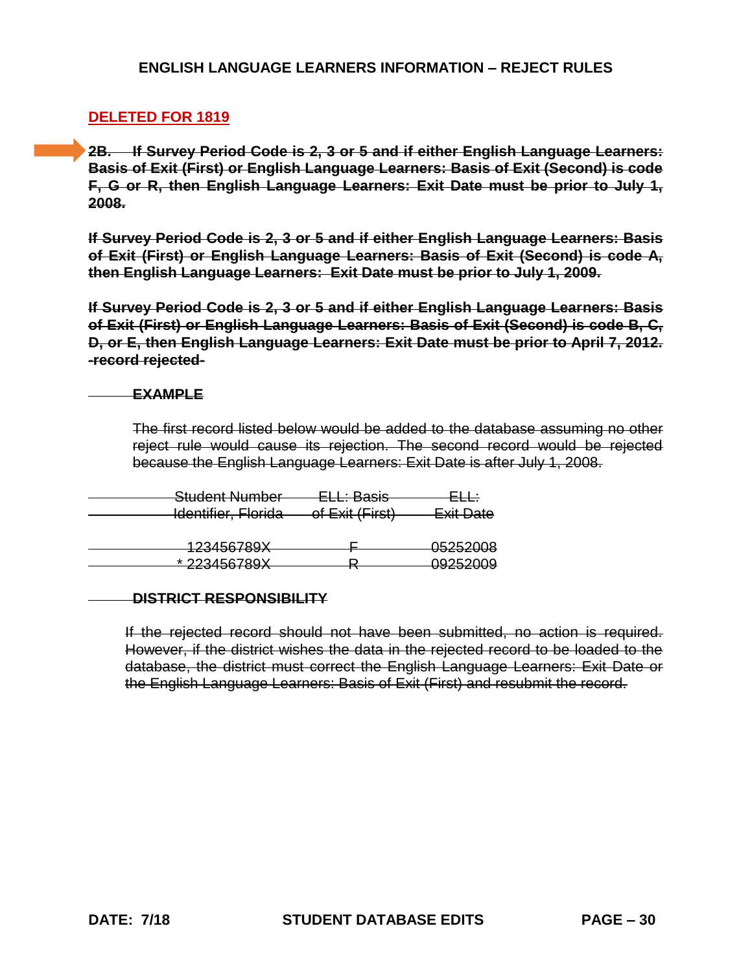# **DELETED FOR 1819**

**2B. If Survey Period Code is 2, 3 or 5 and if either English Language Learners: Basis of Exit (First) or English Language Learners: Basis of Exit (Second) is code F, G or R, then English Language Learners: Exit Date must be prior to July 1, 2008.**

**If Survey Period Code is 2, 3 or 5 and if either English Language Learners: Basis of Exit (First) or English Language Learners: Basis of Exit (Second) is code A, then English Language Learners: Exit Date must be prior to July 1, 2009.**

**If Survey Period Code is 2, 3 or 5 and if either English Language Learners: Basis of Exit (First) or English Language Learners: Basis of Exit (Second) is code B, C, D, or E, then English Language Learners: Exit Date must be prior to April 7, 2012. -record rejected-**

#### **EXAMPLE**

The first record listed below would be added to the database assuming no other reject rule would cause its rejection. The second record would be rejected because the English Language Learners: Exit Date is after July 1, 2008.

| Student Number                           | <del>ELL: Basis</del> |           |
|------------------------------------------|-----------------------|-----------|
| Identifier, Florida                      | of Exit (First)       | Exit Date |
|                                          |                       |           |
|                                          |                       |           |
| 123456789X                               |                       | 05252008  |
| $*$ 222156780Y<br><del>22010010071</del> |                       | 09252009  |
|                                          |                       |           |

#### **DISTRICT RESPONSIBILITY**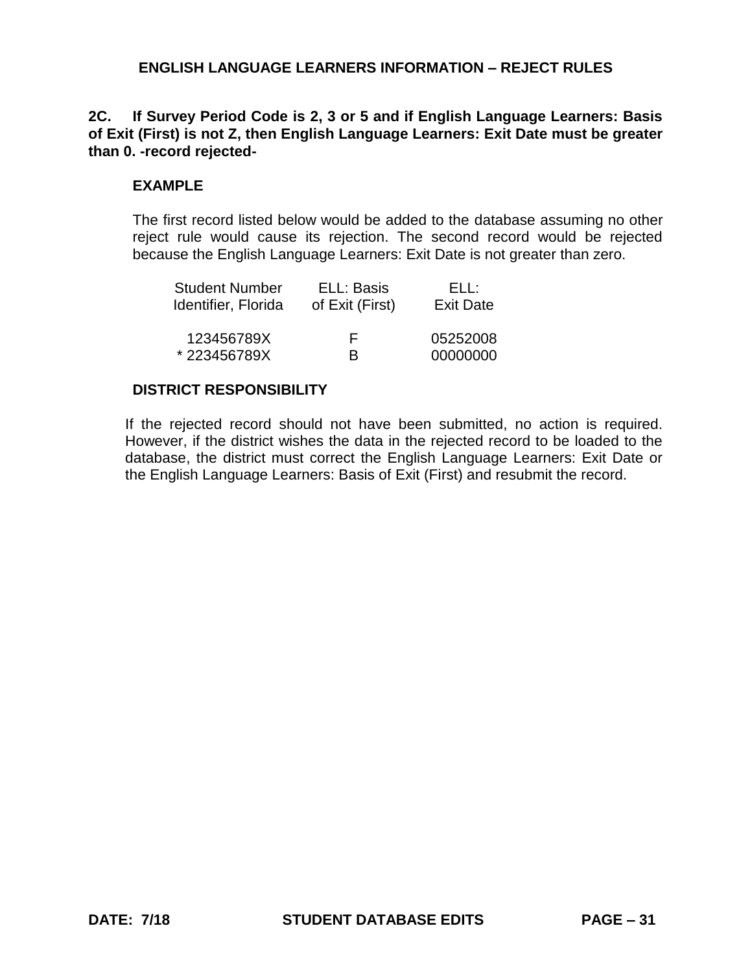# **2C. If Survey Period Code is 2, 3 or 5 and if English Language Learners: Basis of Exit (First) is not Z, then English Language Learners: Exit Date must be greater than 0. -record rejected-**

## **EXAMPLE**

The first record listed below would be added to the database assuming no other reject rule would cause its rejection. The second record would be rejected because the English Language Learners: Exit Date is not greater than zero.

| <b>Student Number</b> | ELL: Basis      | FLL:             |
|-----------------------|-----------------|------------------|
| Identifier, Florida   | of Exit (First) | <b>Exit Date</b> |
| 123456789X            | F               | 05252008         |
| *223456789X           | R               | 00000000         |

### **DISTRICT RESPONSIBILITY**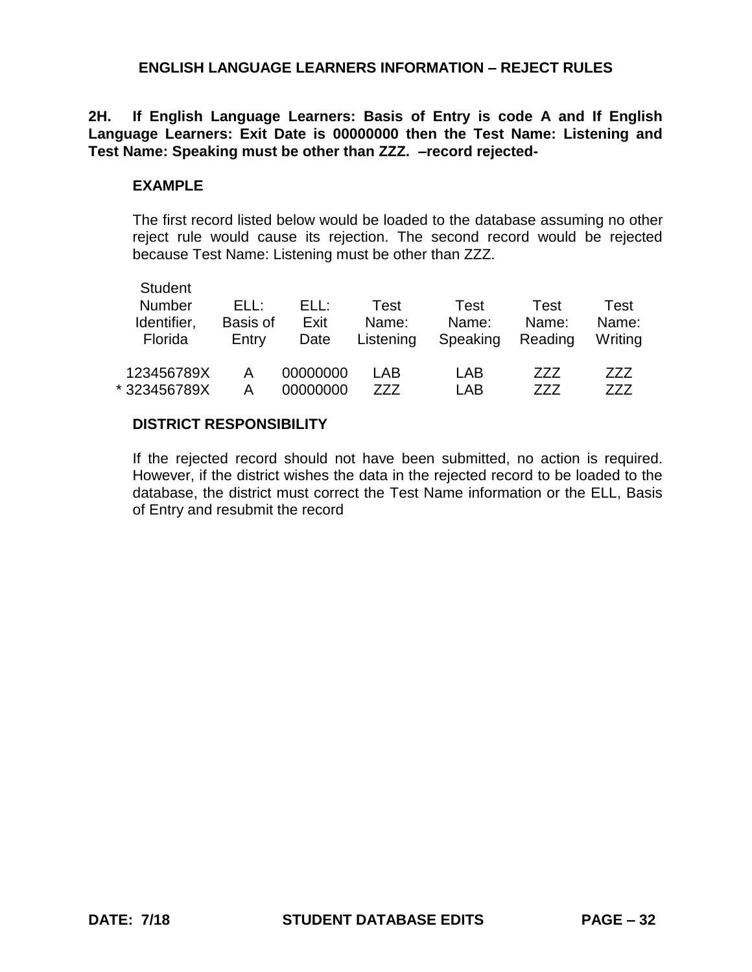**2H. If English Language Learners: Basis of Entry is code A and If English Language Learners: Exit Date is 00000000 then the Test Name: Listening and Test Name: Speaking must be other than ZZZ. –record rejected-**

#### **EXAMPLE**

The first record listed below would be loaded to the database assuming no other reject rule would cause its rejection. The second record would be rejected because Test Name: Listening must be other than ZZZ.

| <b>Student</b><br><b>Number</b><br>Identifier,<br>Florida | FLL:<br>Basis of<br>Entry | ELL:<br>Exit<br>Date | Test<br>Name:<br>Listening | Test<br>Name:<br>Speaking | Test<br>Name:<br>Reading | Test<br>Name:<br>Writing |
|-----------------------------------------------------------|---------------------------|----------------------|----------------------------|---------------------------|--------------------------|--------------------------|
| 123456789X                                                | А                         | 00000000             | LAB                        | LAB                       | 777                      | ZZZ                      |
| * 323456789X                                              | А                         | 00000000             | 777                        | LAB                       | 777                      | 777                      |

#### **DISTRICT RESPONSIBILITY**

If the rejected record should not have been submitted, no action is required. However, if the district wishes the data in the rejected record to be loaded to the database, the district must correct the Test Name information or the ELL, Basis of Entry and resubmit the record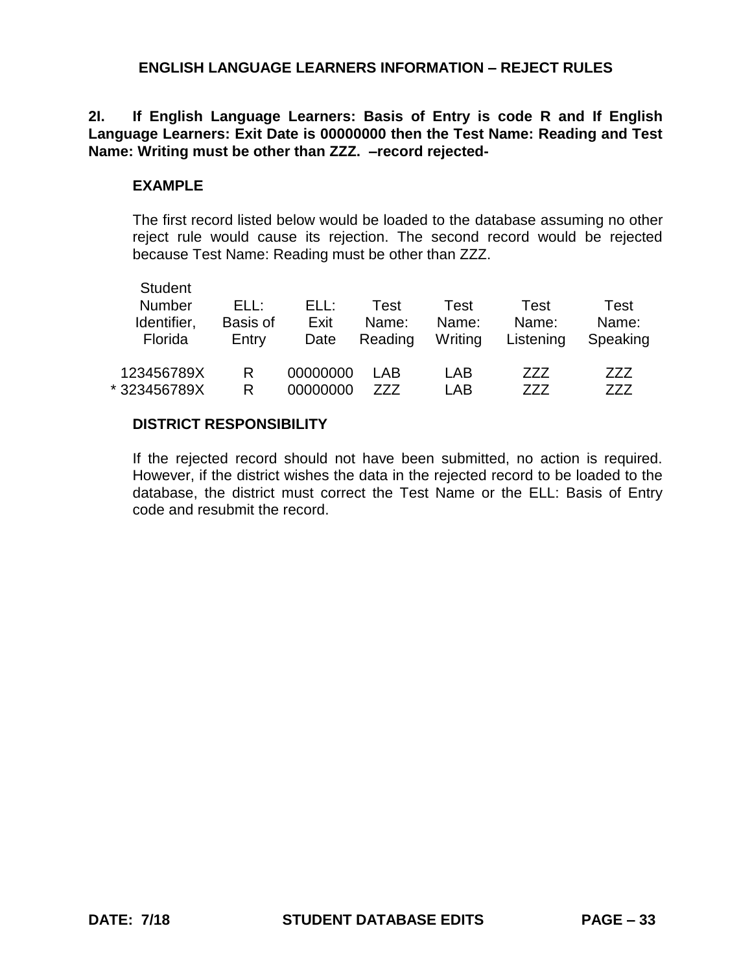**2I. If English Language Learners: Basis of Entry is code R and If English Language Learners: Exit Date is 00000000 then the Test Name: Reading and Test Name: Writing must be other than ZZZ. –record rejected-**

#### **EXAMPLE**

The first record listed below would be loaded to the database assuming no other reject rule would cause its rejection. The second record would be rejected because Test Name: Reading must be other than ZZZ.

| <b>Student</b><br><b>Number</b><br>Identifier,<br>Florida | FLL:<br>Basis of<br>Entry | ELL:<br>Exit<br>Date | Test<br>Name:<br>Reading | Test<br>Name:<br>Writing | Test<br>Name:<br>Listening | Test<br>Name:<br>Speaking |
|-----------------------------------------------------------|---------------------------|----------------------|--------------------------|--------------------------|----------------------------|---------------------------|
| 123456789X                                                | R                         | 00000000             | I AB                     | LAB                      | 777                        | 777                       |
| * 323456789X                                              | R                         | 00000000             | 777                      | LAB                      | 777                        | 777                       |

#### **DISTRICT RESPONSIBILITY**

If the rejected record should not have been submitted, no action is required. However, if the district wishes the data in the rejected record to be loaded to the database, the district must correct the Test Name or the ELL: Basis of Entry code and resubmit the record.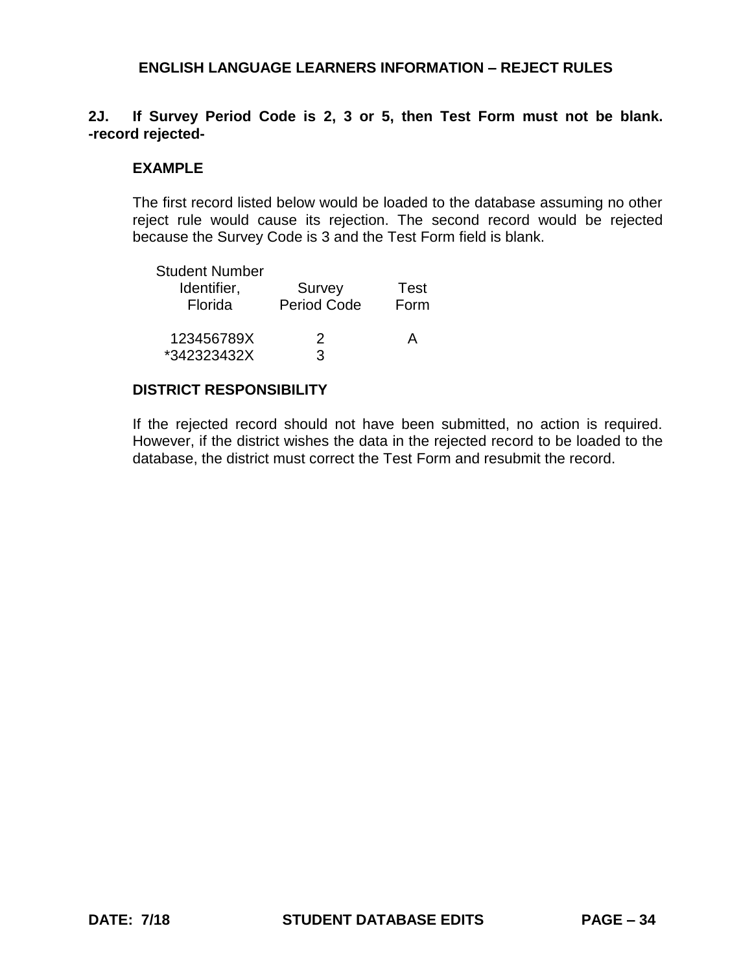# **2J. If Survey Period Code is 2, 3 or 5, then Test Form must not be blank. -record rejected-**

### **EXAMPLE**

The first record listed below would be loaded to the database assuming no other reject rule would cause its rejection. The second record would be rejected because the Survey Code is 3 and the Test Form field is blank.

| <b>Student Number</b><br>Identifier,<br>Florida | Survey<br><b>Period Code</b> | Test<br>Form |
|-------------------------------------------------|------------------------------|--------------|
| 123456789X<br>*342323432X                       | 2<br>3                       | А            |

#### **DISTRICT RESPONSIBILITY**

If the rejected record should not have been submitted, no action is required. However, if the district wishes the data in the rejected record to be loaded to the database, the district must correct the Test Form and resubmit the record.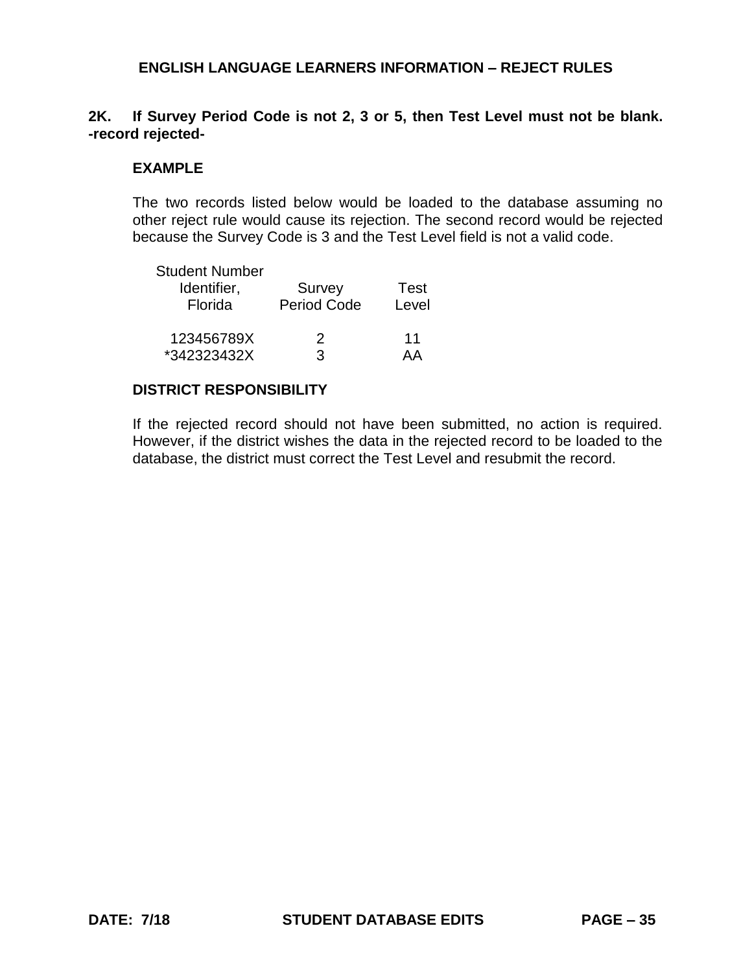# **2K. If Survey Period Code is not 2, 3 or 5, then Test Level must not be blank. -record rejected-**

#### **EXAMPLE**

The two records listed below would be loaded to the database assuming no other reject rule would cause its rejection. The second record would be rejected because the Survey Code is 3 and the Test Level field is not a valid code.

| <b>Student Number</b> |                    |       |
|-----------------------|--------------------|-------|
| Identifier,           | Survey             | Test  |
| Florida               | <b>Period Code</b> | Level |
| 123456789X            | 2                  | 11    |
| *342323432X           | 3                  | ДД    |

#### **DISTRICT RESPONSIBILITY**

If the rejected record should not have been submitted, no action is required. However, if the district wishes the data in the rejected record to be loaded to the database, the district must correct the Test Level and resubmit the record.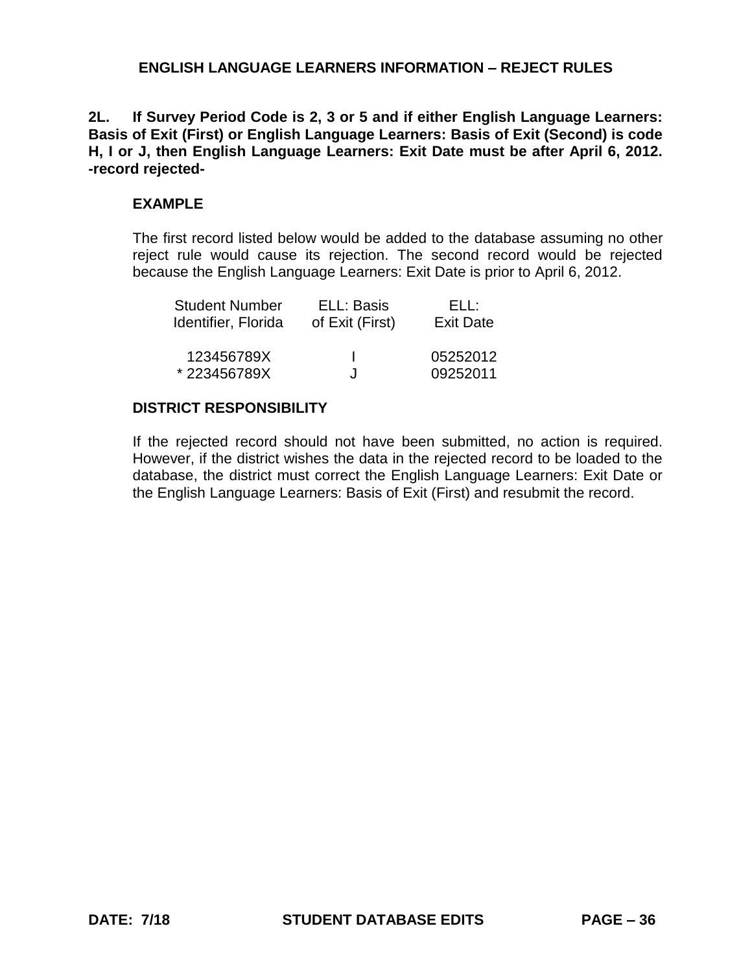**2L. If Survey Period Code is 2, 3 or 5 and if either English Language Learners: Basis of Exit (First) or English Language Learners: Basis of Exit (Second) is code H, I or J, then English Language Learners: Exit Date must be after April 6, 2012. -record rejected-**

# **EXAMPLE**

The first record listed below would be added to the database assuming no other reject rule would cause its rejection. The second record would be rejected because the English Language Learners: Exit Date is prior to April 6, 2012.

| <b>Student Number</b> | ELL: Basis      | FLI :            |
|-----------------------|-----------------|------------------|
| Identifier, Florida   | of Exit (First) | <b>Exit Date</b> |
|                       |                 |                  |
| 123456789X            | Ι.              | 05252012         |
| *223456789X           | . Г             | 09252011         |

# **DISTRICT RESPONSIBILITY**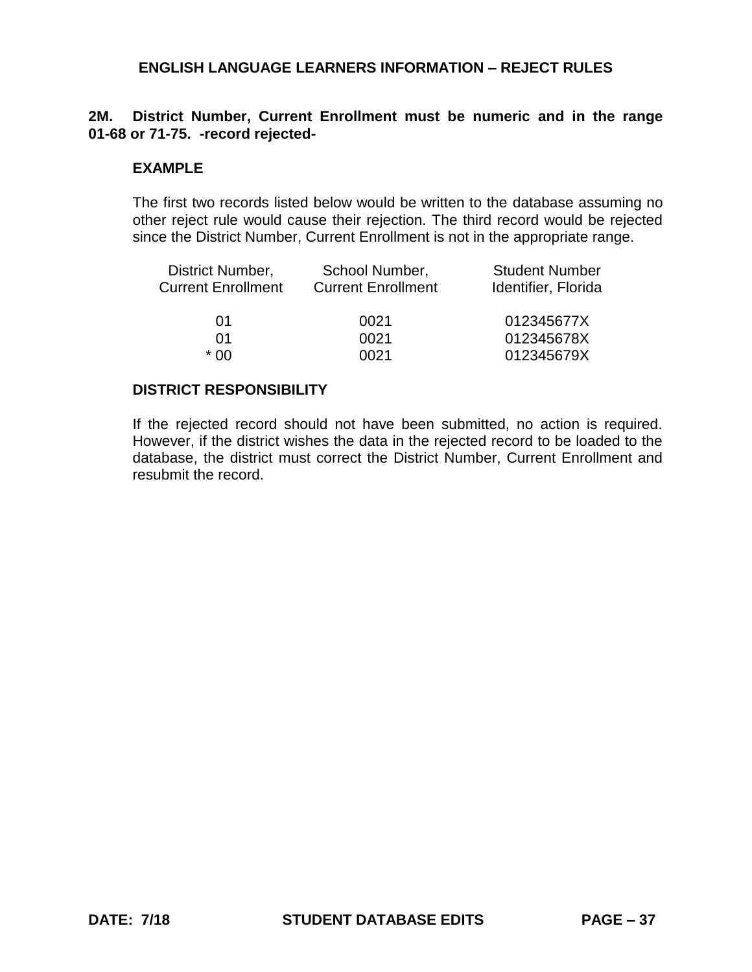# **2M. District Number, Current Enrollment must be numeric and in the range 01-68 or 71-75. -record rejected-**

#### **EXAMPLE**

The first two records listed below would be written to the database assuming no other reject rule would cause their rejection. The third record would be rejected since the District Number, Current Enrollment is not in the appropriate range.

| District Number,          | School Number,            | <b>Student Number</b> |
|---------------------------|---------------------------|-----------------------|
| <b>Current Enrollment</b> | <b>Current Enrollment</b> | Identifier, Florida   |
| 01                        | 0021                      | 012345677X            |
| 01                        | 0021                      | 012345678X            |
| * በበ                      | 0021                      | 012345679X            |

#### **DISTRICT RESPONSIBILITY**

If the rejected record should not have been submitted, no action is required. However, if the district wishes the data in the rejected record to be loaded to the database, the district must correct the District Number, Current Enrollment and resubmit the record.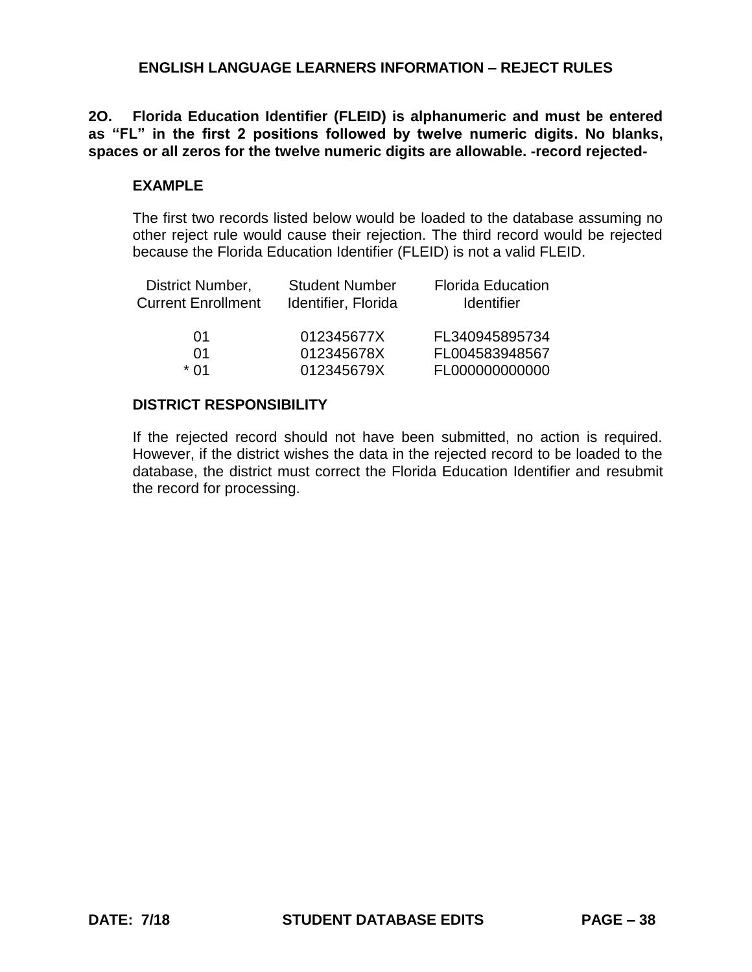**2O. Florida Education Identifier (FLEID) is alphanumeric and must be entered as "FL" in the first 2 positions followed by twelve numeric digits. No blanks, spaces or all zeros for the twelve numeric digits are allowable. -record rejected-**

## **EXAMPLE**

The first two records listed below would be loaded to the database assuming no other reject rule would cause their rejection. The third record would be rejected because the Florida Education Identifier (FLEID) is not a valid FLEID.

| District Number,<br><b>Current Enrollment</b> | <b>Student Number</b><br>Identifier, Florida | <b>Florida Education</b><br>Identifier |
|-----------------------------------------------|----------------------------------------------|----------------------------------------|
| 01                                            | 012345677X                                   | FL340945895734                         |
| 01                                            | 012345678X                                   | FL004583948567                         |
| * በ1                                          | 012345679X                                   | FL000000000000                         |

# **DISTRICT RESPONSIBILITY**

If the rejected record should not have been submitted, no action is required. However, if the district wishes the data in the rejected record to be loaded to the database, the district must correct the Florida Education Identifier and resubmit the record for processing.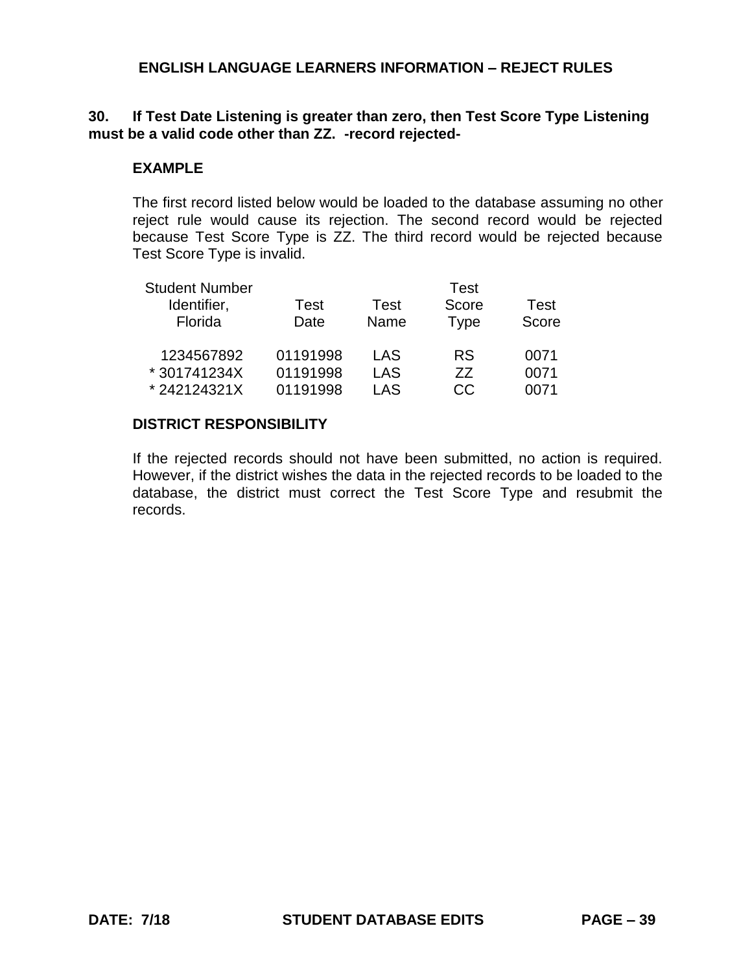# **30. If Test Date Listening is greater than zero, then Test Score Type Listening must be a valid code other than ZZ. -record rejected-**

## **EXAMPLE**

The first record listed below would be loaded to the database assuming no other reject rule would cause its rejection. The second record would be rejected because Test Score Type is ZZ. The third record would be rejected because Test Score Type is invalid.

| <b>Student Number</b> |          |      | Test        |       |
|-----------------------|----------|------|-------------|-------|
| Identifier,           | Test     | Test | Score       | Test  |
| Florida               | Date     | Name | <b>Type</b> | Score |
| 1234567892            | 01191998 | LAS  | <b>RS</b>   | 0071  |
| * 301741234X          | 01191998 | LAS  | 77          | 0071  |
| *242124321X           | 01191998 | LAS  | CC          | 0071  |

### **DISTRICT RESPONSIBILITY**

If the rejected records should not have been submitted, no action is required. However, if the district wishes the data in the rejected records to be loaded to the database, the district must correct the Test Score Type and resubmit the records.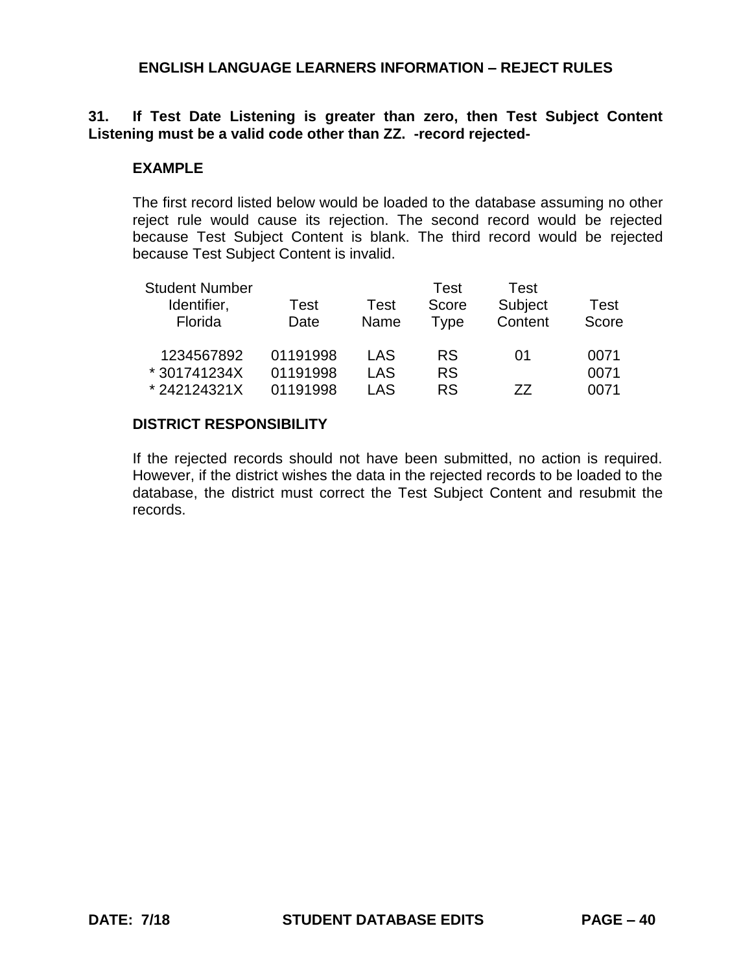# **31. If Test Date Listening is greater than zero, then Test Subject Content Listening must be a valid code other than ZZ. -record rejected-**

# **EXAMPLE**

The first record listed below would be loaded to the database assuming no other reject rule would cause its rejection. The second record would be rejected because Test Subject Content is blank. The third record would be rejected because Test Subject Content is invalid.

| <b>Student Number</b> |          |      | Test      | Test    |       |
|-----------------------|----------|------|-----------|---------|-------|
| Identifier,           | Test     | Test | Score     | Subject | Test  |
| Florida               | Date     | Name | Type      | Content | Score |
|                       |          |      |           |         |       |
| 1234567892            | 01191998 | LAS  | <b>RS</b> | 01      | 0071  |
| * 301741234X          | 01191998 | LAS  | <b>RS</b> |         | 0071  |
| *242124321X           | 01191998 | LAS  | <b>RS</b> | 77      | 0071  |

### **DISTRICT RESPONSIBILITY**

If the rejected records should not have been submitted, no action is required. However, if the district wishes the data in the rejected records to be loaded to the database, the district must correct the Test Subject Content and resubmit the records.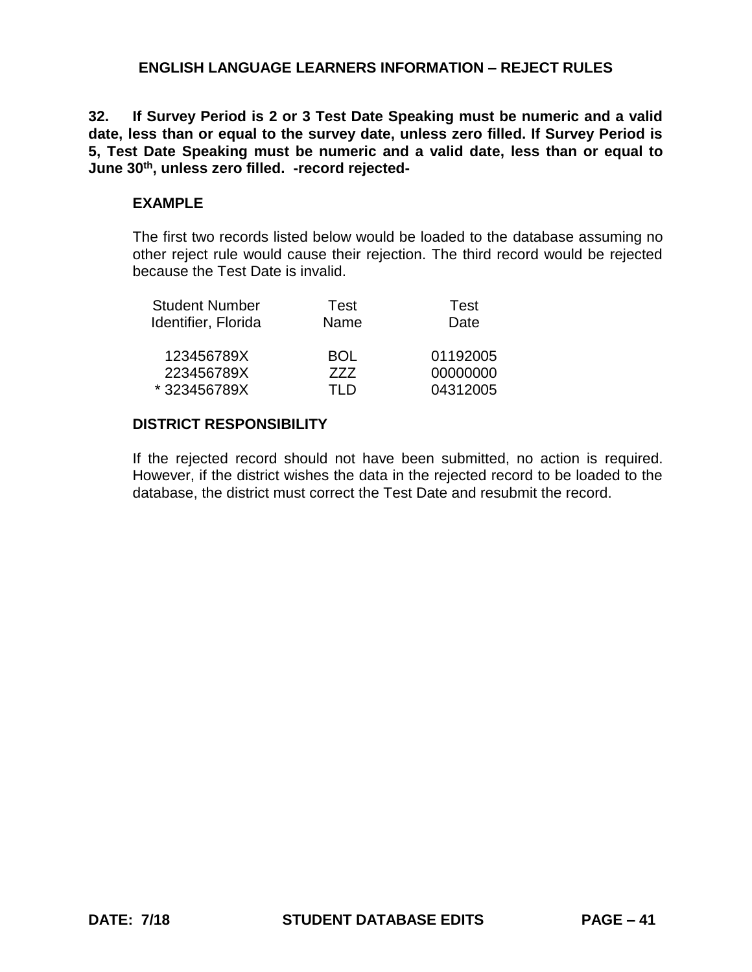**32. If Survey Period is 2 or 3 Test Date Speaking must be numeric and a valid date, less than or equal to the survey date, unless zero filled. If Survey Period is 5, Test Date Speaking must be numeric and a valid date, less than or equal to June 30th, unless zero filled. -record rejected-**

# **EXAMPLE**

The first two records listed below would be loaded to the database assuming no other reject rule would cause their rejection. The third record would be rejected because the Test Date is invalid.

| <b>Student Number</b> | Test       | Test     |
|-----------------------|------------|----------|
| Identifier, Florida   | Name       | Date     |
| 123456789X            | <b>BOL</b> | 01192005 |
| 223456789X            | 777        | 00000000 |
| *323456789X           | TI D       | 04312005 |

# **DISTRICT RESPONSIBILITY**

If the rejected record should not have been submitted, no action is required. However, if the district wishes the data in the rejected record to be loaded to the database, the district must correct the Test Date and resubmit the record.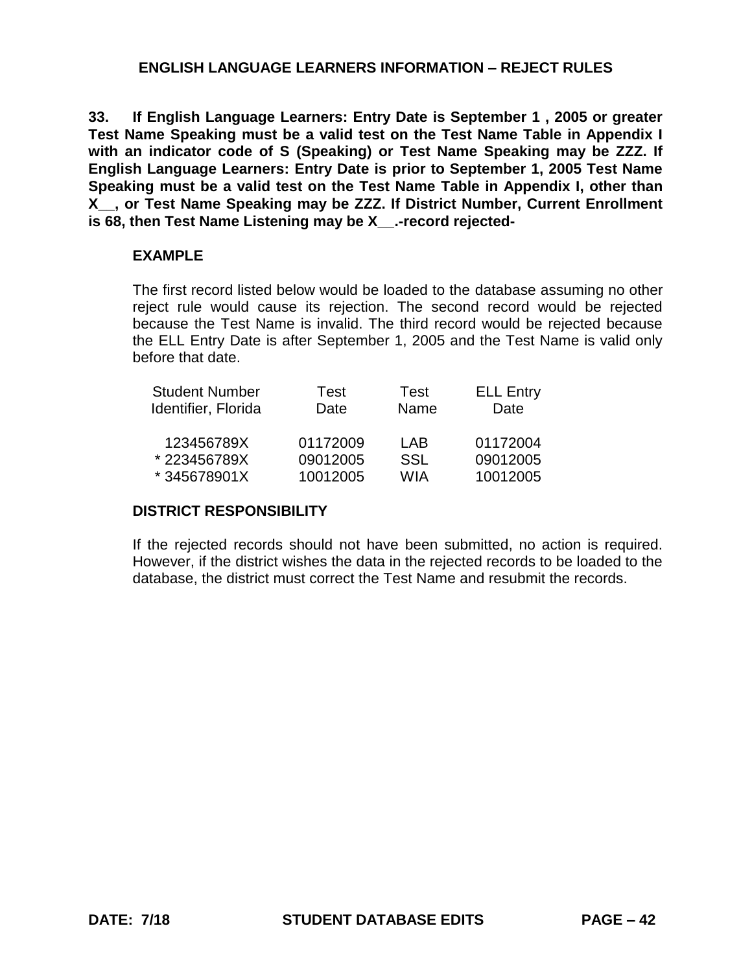**33. If English Language Learners: Entry Date is September 1 , 2005 or greater Test Name Speaking must be a valid test on the Test Name Table in Appendix I with an indicator code of S (Speaking) or Test Name Speaking may be ZZZ. If English Language Learners: Entry Date is prior to September 1, 2005 Test Name Speaking must be a valid test on the Test Name Table in Appendix I, other than X\_\_, or Test Name Speaking may be ZZZ. If District Number, Current Enrollment**  is 68, then Test Name Listening may be X -record rejected-

### **EXAMPLE**

The first record listed below would be loaded to the database assuming no other reject rule would cause its rejection. The second record would be rejected because the Test Name is invalid. The third record would be rejected because the ELL Entry Date is after September 1, 2005 and the Test Name is valid only before that date.

| <b>Student Number</b> | Test     | Test       | <b>ELL Entry</b> |
|-----------------------|----------|------------|------------------|
| Identifier, Florida   | Date     | Name       | Date             |
|                       |          |            |                  |
| 123456789X            | 01172009 | LAB        | 01172004         |
| *223456789X           | 09012005 | <b>SSL</b> | 09012005         |
| *345678901X           | 10012005 | <b>WIA</b> | 10012005         |

# **DISTRICT RESPONSIBILITY**

If the rejected records should not have been submitted, no action is required. However, if the district wishes the data in the rejected records to be loaded to the database, the district must correct the Test Name and resubmit the records.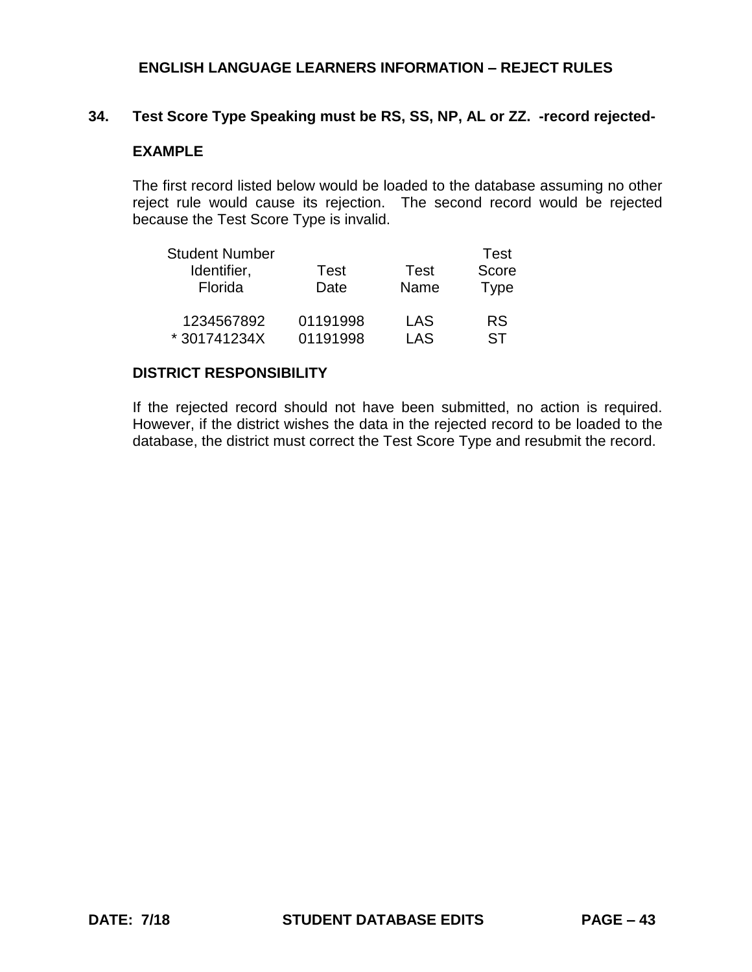# **34. Test Score Type Speaking must be RS, SS, NP, AL or ZZ. -record rejected-**

# **EXAMPLE**

The first record listed below would be loaded to the database assuming no other reject rule would cause its rejection. The second record would be rejected because the Test Score Type is invalid.

| <b>Student Number</b> |          |      | Test        |
|-----------------------|----------|------|-------------|
| Identifier,           | Test     | Test | Score       |
| Florida               | Date     | Name | <b>Type</b> |
| 1234567892            | 01191998 | LAS  | <b>RS</b>   |
| *301741234X           | 01191998 | LAS  | ST          |

#### **DISTRICT RESPONSIBILITY**

If the rejected record should not have been submitted, no action is required. However, if the district wishes the data in the rejected record to be loaded to the database, the district must correct the Test Score Type and resubmit the record.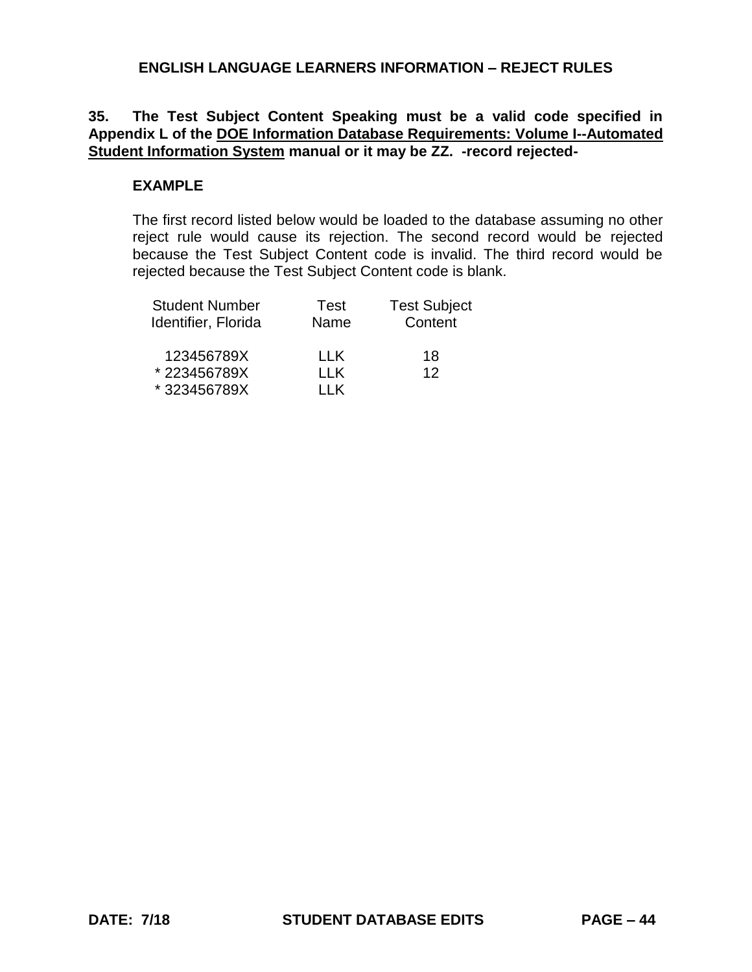# **35. The Test Subject Content Speaking must be a valid code specified in Appendix L of the DOE Information Database Requirements: Volume I--Automated Student Information System manual or it may be ZZ. -record rejected-**

### **EXAMPLE**

The first record listed below would be loaded to the database assuming no other reject rule would cause its rejection. The second record would be rejected because the Test Subject Content code is invalid. The third record would be rejected because the Test Subject Content code is blank.

| <b>Student Number</b> | Test       | <b>Test Subject</b> |
|-----------------------|------------|---------------------|
| Identifier, Florida   | Name       | Content             |
| 123456789X            | I I K      | 18                  |
| *223456789X           | <b>LLK</b> | 12                  |
| *323456789X           | 11K        |                     |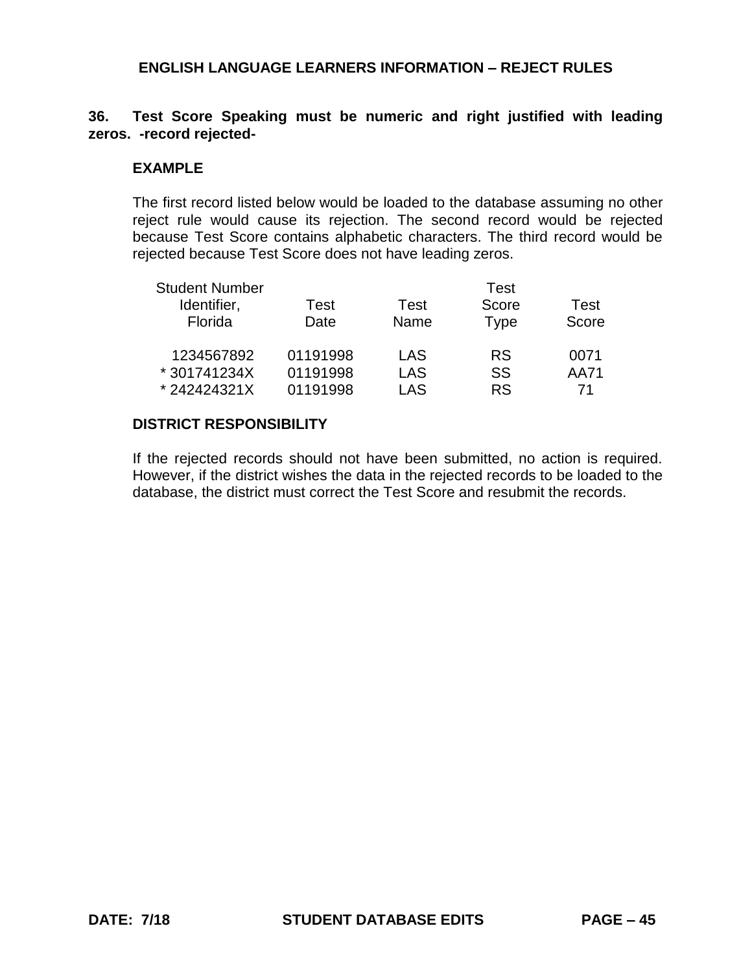# **36. Test Score Speaking must be numeric and right justified with leading zeros. -record rejected-**

#### **EXAMPLE**

The first record listed below would be loaded to the database assuming no other reject rule would cause its rejection. The second record would be rejected because Test Score contains alphabetic characters. The third record would be rejected because Test Score does not have leading zeros.

| <b>Student Number</b> |          |            | Test      |       |
|-----------------------|----------|------------|-----------|-------|
| Identifier,           | Test     | Test       | Score     | Test  |
| Florida               | Date     | Name       | Type      | Score |
| 1234567892            | 01191998 | LAS        | <b>RS</b> | 0071  |
| * 301741234X          | 01191998 | <b>LAS</b> | SS        | AA71  |
| *242424321X           | 01191998 | LAS        | <b>RS</b> | 71    |

### **DISTRICT RESPONSIBILITY**

If the rejected records should not have been submitted, no action is required. However, if the district wishes the data in the rejected records to be loaded to the database, the district must correct the Test Score and resubmit the records.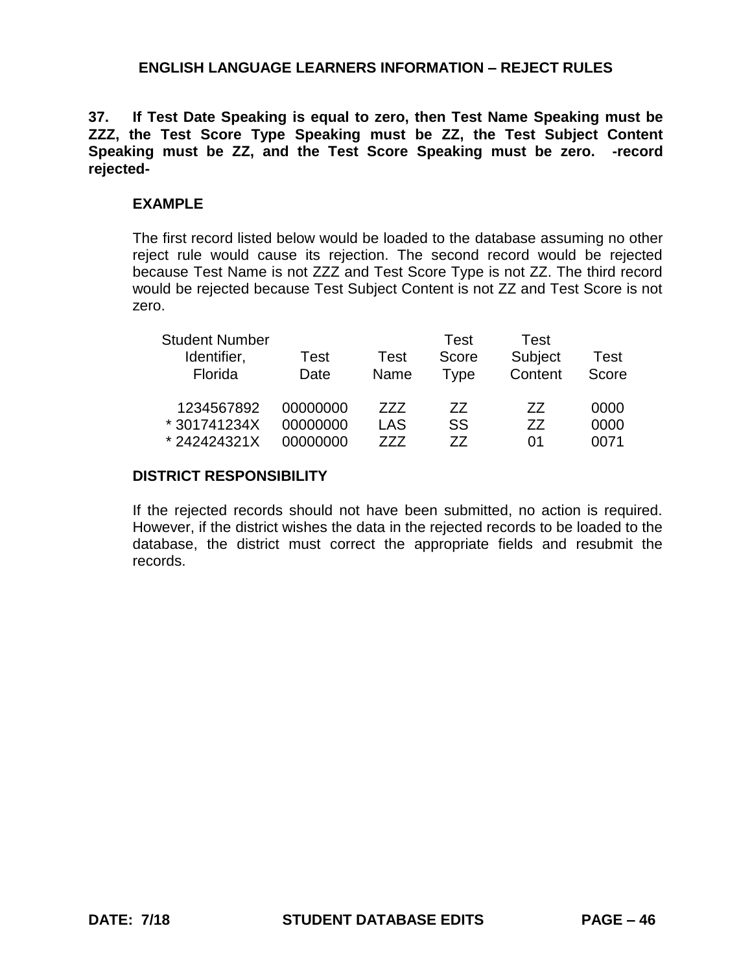**37. If Test Date Speaking is equal to zero, then Test Name Speaking must be ZZZ, the Test Score Type Speaking must be ZZ, the Test Subject Content Speaking must be ZZ, and the Test Score Speaking must be zero. -record rejected-**

### **EXAMPLE**

The first record listed below would be loaded to the database assuming no other reject rule would cause its rejection. The second record would be rejected because Test Name is not ZZZ and Test Score Type is not ZZ. The third record would be rejected because Test Subject Content is not ZZ and Test Score is not zero.

| <b>Student Number</b> |          |      | Test  | Test    |       |
|-----------------------|----------|------|-------|---------|-------|
| Identifier,           | Test     | Test | Score | Subject | Test  |
| Florida               | Date     | Name | Type  | Content | Score |
| 1234567892            | 00000000 | 777  | 77    | 77      | 0000  |
| *301741234X           | 00000000 | LAS  | SS    | 77      | 0000  |
| *242424321X           | 00000000 | 777  | 77    | 01      | 0071  |

#### **DISTRICT RESPONSIBILITY**

If the rejected records should not have been submitted, no action is required. However, if the district wishes the data in the rejected records to be loaded to the database, the district must correct the appropriate fields and resubmit the records.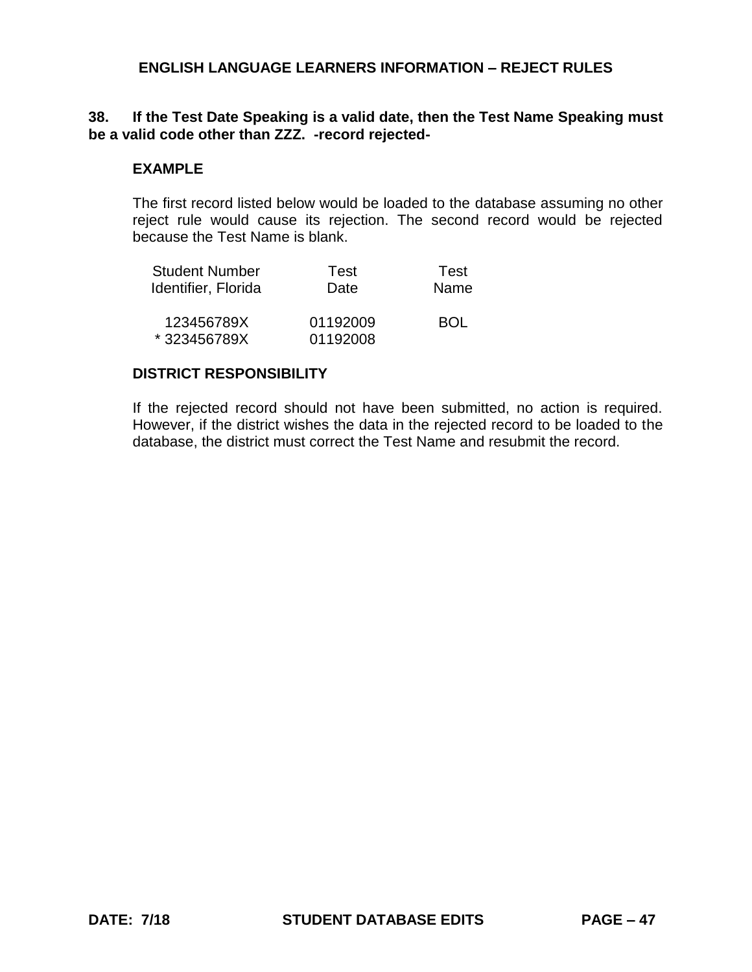### **38. If the Test Date Speaking is a valid date, then the Test Name Speaking must be a valid code other than ZZZ. -record rejected-**

#### **EXAMPLE**

The first record listed below would be loaded to the database assuming no other reject rule would cause its rejection. The second record would be rejected because the Test Name is blank.

| <b>Student Number</b> | Test     | Test       |
|-----------------------|----------|------------|
| Identifier, Florida   | Date     | Name       |
| 123456789X            | 01192009 | <b>BOL</b> |
| *323456789X           | 01192008 |            |

### **DISTRICT RESPONSIBILITY**

If the rejected record should not have been submitted, no action is required. However, if the district wishes the data in the rejected record to be loaded to the database, the district must correct the Test Name and resubmit the record.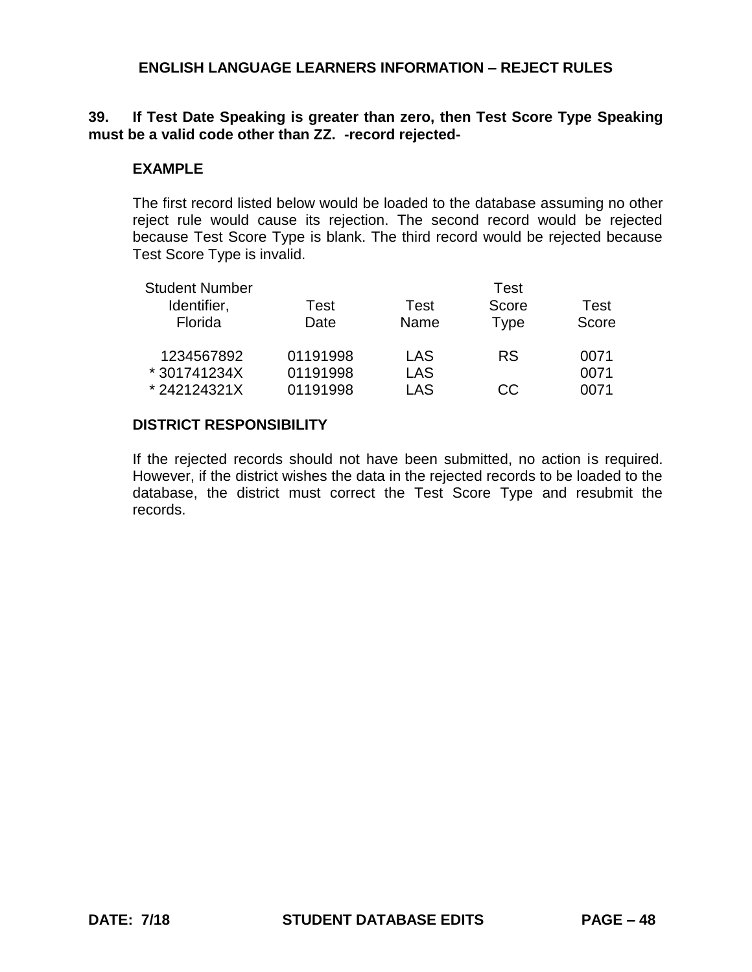# **39. If Test Date Speaking is greater than zero, then Test Score Type Speaking must be a valid code other than ZZ. -record rejected-**

## **EXAMPLE**

The first record listed below would be loaded to the database assuming no other reject rule would cause its rejection. The second record would be rejected because Test Score Type is blank. The third record would be rejected because Test Score Type is invalid.

| <b>Student Number</b> |          |      | Test        |       |
|-----------------------|----------|------|-------------|-------|
| Identifier,           | Test     | Test | Score       | Test  |
| Florida               | Date     | Name | <b>Type</b> | Score |
| 1234567892            | 01191998 | LAS  | <b>RS</b>   | 0071  |
| * 301741234X          | 01191998 | LAS  |             | 0071  |
| *242124321X           | 01191998 | LAS  | CC.         | 0071  |

### **DISTRICT RESPONSIBILITY**

If the rejected records should not have been submitted, no action is required. However, if the district wishes the data in the rejected records to be loaded to the database, the district must correct the Test Score Type and resubmit the records.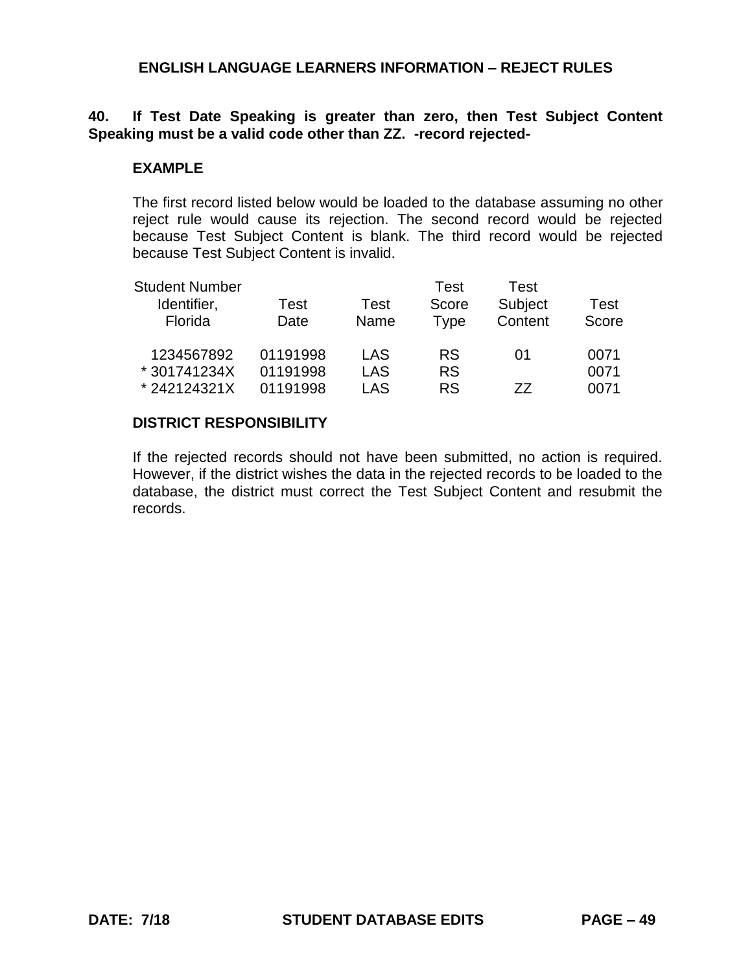# **40. If Test Date Speaking is greater than zero, then Test Subject Content Speaking must be a valid code other than ZZ. -record rejected-**

## **EXAMPLE**

The first record listed below would be loaded to the database assuming no other reject rule would cause its rejection. The second record would be rejected because Test Subject Content is blank. The third record would be rejected because Test Subject Content is invalid.

| <b>Student Number</b><br>Identifier,<br>Florida | <b>Test</b><br>Date  | Test<br>Name      | Test<br>Score<br>Type  | Test<br>Subject<br>Content | Test<br>Score |
|-------------------------------------------------|----------------------|-------------------|------------------------|----------------------------|---------------|
| 1234567892<br>* 301741234X                      | 01191998<br>01191998 | LAS<br><b>LAS</b> | <b>RS</b><br><b>RS</b> | 01                         | 0071<br>0071  |
| *242124321X                                     | 01191998             | LAS               | <b>RS</b>              | 77                         | 0071          |

### **DISTRICT RESPONSIBILITY**

If the rejected records should not have been submitted, no action is required. However, if the district wishes the data in the rejected records to be loaded to the database, the district must correct the Test Subject Content and resubmit the records.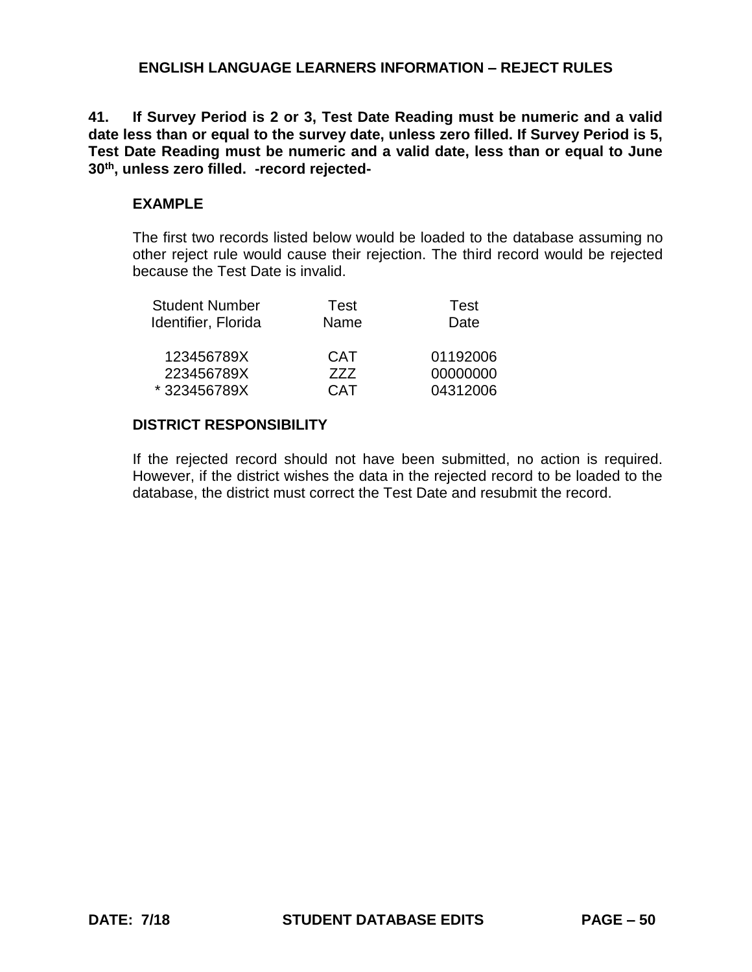**41. If Survey Period is 2 or 3, Test Date Reading must be numeric and a valid date less than or equal to the survey date, unless zero filled. If Survey Period is 5, Test Date Reading must be numeric and a valid date, less than or equal to June 30th, unless zero filled. -record rejected-**

# **EXAMPLE**

The first two records listed below would be loaded to the database assuming no other reject rule would cause their rejection. The third record would be rejected because the Test Date is invalid.

| Test       | Test     |
|------------|----------|
| Name       | Date     |
| CAT        | 01192006 |
| 777        | 00000000 |
| <b>CAT</b> | 04312006 |
|            |          |

# **DISTRICT RESPONSIBILITY**

If the rejected record should not have been submitted, no action is required. However, if the district wishes the data in the rejected record to be loaded to the database, the district must correct the Test Date and resubmit the record.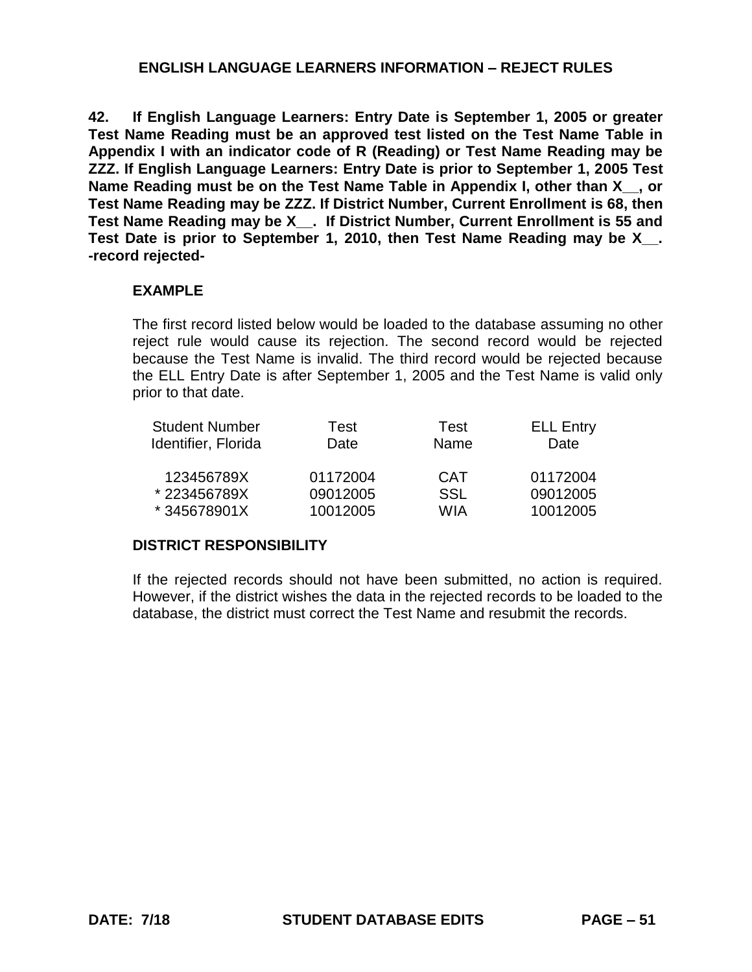**42. If English Language Learners: Entry Date is September 1, 2005 or greater Test Name Reading must be an approved test listed on the Test Name Table in Appendix I with an indicator code of R (Reading) or Test Name Reading may be ZZZ. If English Language Learners: Entry Date is prior to September 1, 2005 Test**  Name Reading must be on the Test Name Table in Appendix I, other than X, yor **Test Name Reading may be ZZZ. If District Number, Current Enrollment is 68, then Test Name Reading may be X\_\_. If District Number, Current Enrollment is 55 and Test Date is prior to September 1, 2010, then Test Name Reading may be X\_\_. -record rejected-**

### **EXAMPLE**

The first record listed below would be loaded to the database assuming no other reject rule would cause its rejection. The second record would be rejected because the Test Name is invalid. The third record would be rejected because the ELL Entry Date is after September 1, 2005 and the Test Name is valid only prior to that date.

| <b>Student Number</b> | Test     | <b>Test</b> | <b>ELL Entry</b> |
|-----------------------|----------|-------------|------------------|
| Identifier, Florida   | Date     | Name        | Date             |
| 123456789X            | 01172004 | <b>CAT</b>  | 01172004         |
| *223456789X           | 09012005 | <b>SSL</b>  | 09012005         |
| *345678901X           | 10012005 | WIA         | 10012005         |

# **DISTRICT RESPONSIBILITY**

If the rejected records should not have been submitted, no action is required. However, if the district wishes the data in the rejected records to be loaded to the database, the district must correct the Test Name and resubmit the records.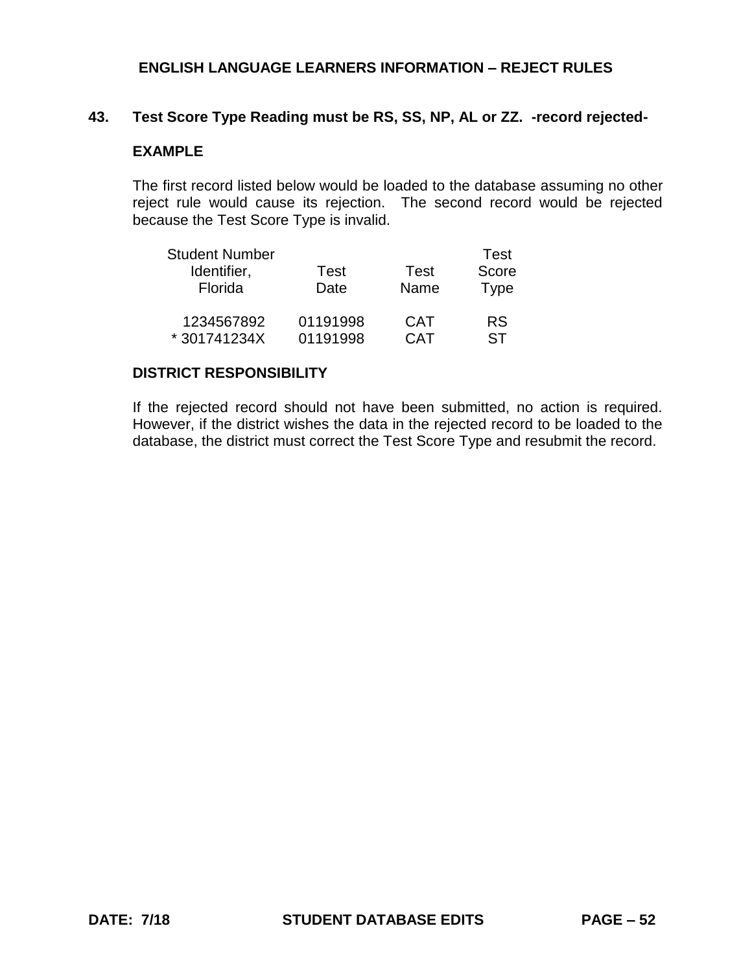### **43. Test Score Type Reading must be RS, SS, NP, AL or ZZ. -record rejected-**

# **EXAMPLE**

The first record listed below would be loaded to the database assuming no other reject rule would cause its rejection. The second record would be rejected because the Test Score Type is invalid.

| <b>Student Number</b> |          |             | Test        |
|-----------------------|----------|-------------|-------------|
| Identifier,           | Test     | <b>Test</b> | Score       |
| Florida               | Date     | Name        | <b>Type</b> |
| 1234567892            | 01191998 | <b>CAT</b>  | <b>RS</b>   |
| *301741234X           | 01191998 | <b>CAT</b>  | ST          |

### **DISTRICT RESPONSIBILITY**

If the rejected record should not have been submitted, no action is required. However, if the district wishes the data in the rejected record to be loaded to the database, the district must correct the Test Score Type and resubmit the record.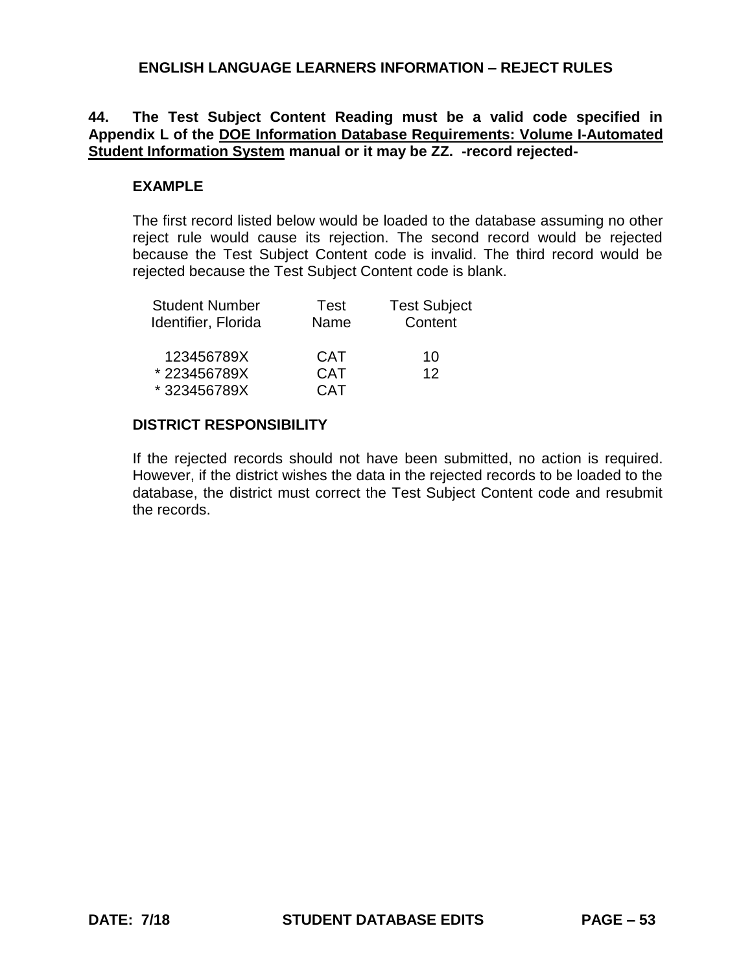# **44. The Test Subject Content Reading must be a valid code specified in Appendix L of the DOE Information Database Requirements: Volume I-Automated Student Information System manual or it may be ZZ. -record rejected-**

## **EXAMPLE**

The first record listed below would be loaded to the database assuming no other reject rule would cause its rejection. The second record would be rejected because the Test Subject Content code is invalid. The third record would be rejected because the Test Subject Content code is blank.

| <b>Student Number</b> | Test       | <b>Test Subject</b> |
|-----------------------|------------|---------------------|
| Identifier, Florida   | Name       | Content             |
| 123456789X            | <b>CAT</b> | 10                  |
| *223456789X           | <b>CAT</b> | 12                  |
| *323456789X           | <b>CAT</b> |                     |

# **DISTRICT RESPONSIBILITY**

If the rejected records should not have been submitted, no action is required. However, if the district wishes the data in the rejected records to be loaded to the database, the district must correct the Test Subject Content code and resubmit the records.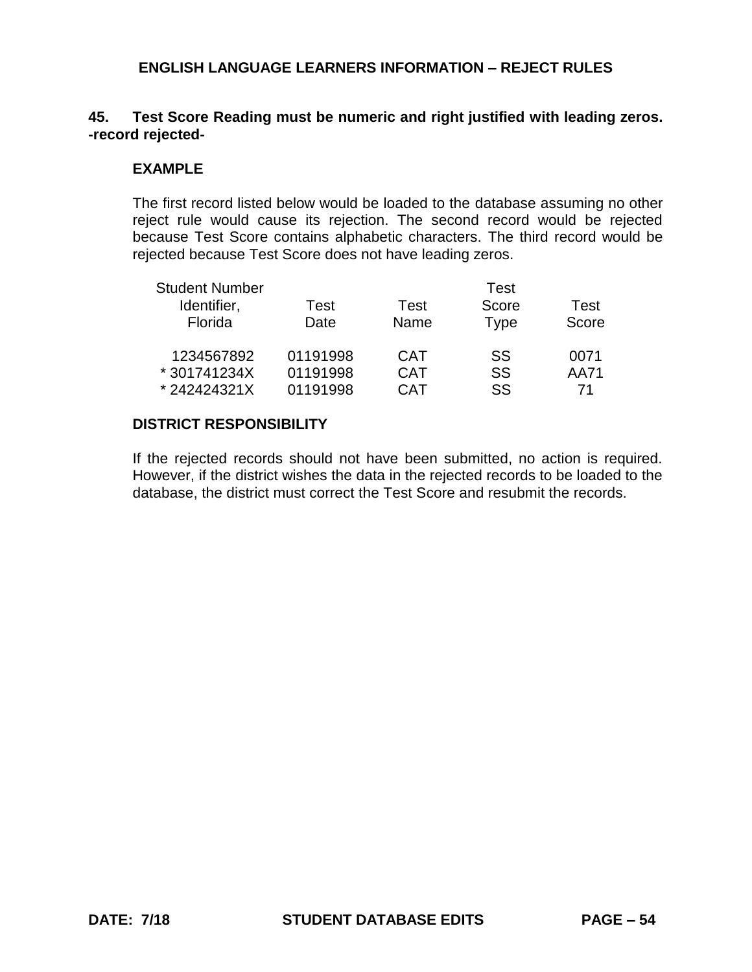# **45. Test Score Reading must be numeric and right justified with leading zeros. -record rejected-**

## **EXAMPLE**

The first record listed below would be loaded to the database assuming no other reject rule would cause its rejection. The second record would be rejected because Test Score contains alphabetic characters. The third record would be rejected because Test Score does not have leading zeros.

| <b>Student Number</b> |          |            | <b>Test</b> |       |
|-----------------------|----------|------------|-------------|-------|
| Identifier,           | Test     | Test       | Score       | Test  |
| Florida               | Date     | Name       | Type        | Score |
| 1234567892            | 01191998 | <b>CAT</b> | SS          | 0071  |
| * 301741234X          | 01191998 | <b>CAT</b> | SS          | AA71  |
| *242424321X           | 01191998 | CAT        | SS          | 71    |

### **DISTRICT RESPONSIBILITY**

If the rejected records should not have been submitted, no action is required. However, if the district wishes the data in the rejected records to be loaded to the database, the district must correct the Test Score and resubmit the records.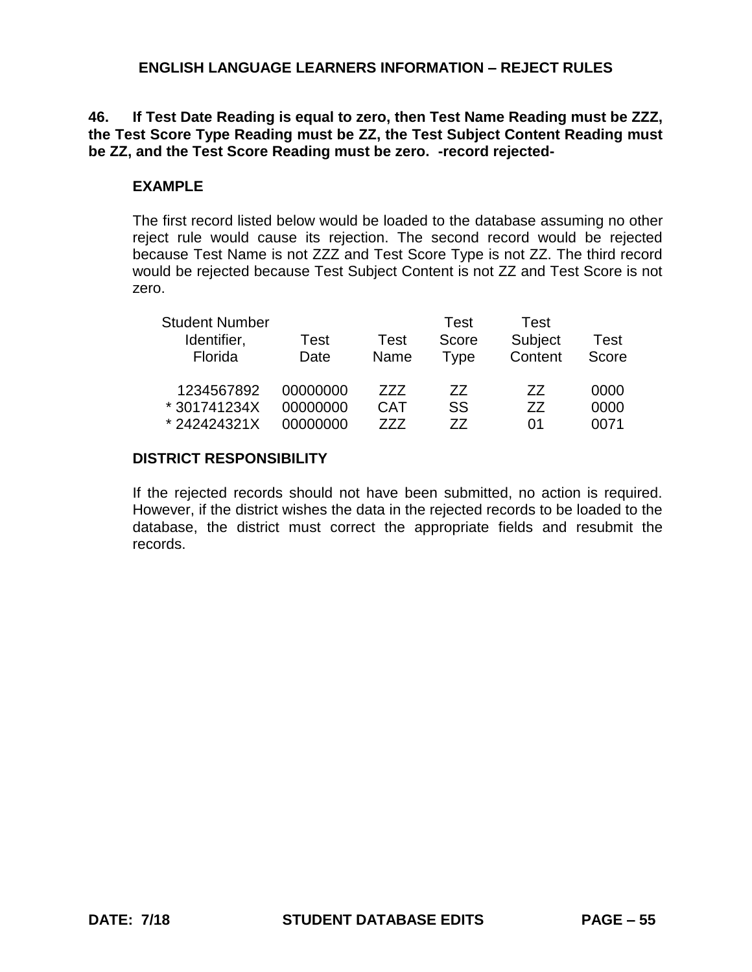# **46. If Test Date Reading is equal to zero, then Test Name Reading must be ZZZ, the Test Score Type Reading must be ZZ, the Test Subject Content Reading must be ZZ, and the Test Score Reading must be zero. -record rejected-**

#### **EXAMPLE**

The first record listed below would be loaded to the database assuming no other reject rule would cause its rejection. The second record would be rejected because Test Name is not ZZZ and Test Score Type is not ZZ. The third record would be rejected because Test Subject Content is not ZZ and Test Score is not zero.

| <b>Student Number</b> |          |            | Test  | Test    |       |
|-----------------------|----------|------------|-------|---------|-------|
| Identifier,           | Test     | Test       | Score | Subject | Test  |
| Florida               | Date     | Name       | Type  | Content | Score |
| 1234567892            | 00000000 | 777        | 77    | 77      | 0000  |
| *301741234X           | 00000000 | <b>CAT</b> | SS    | 77      | 0000  |
| *242424321X           | 00000000 | 777        | 77    | 01      | 0071  |

### **DISTRICT RESPONSIBILITY**

If the rejected records should not have been submitted, no action is required. However, if the district wishes the data in the rejected records to be loaded to the database, the district must correct the appropriate fields and resubmit the records.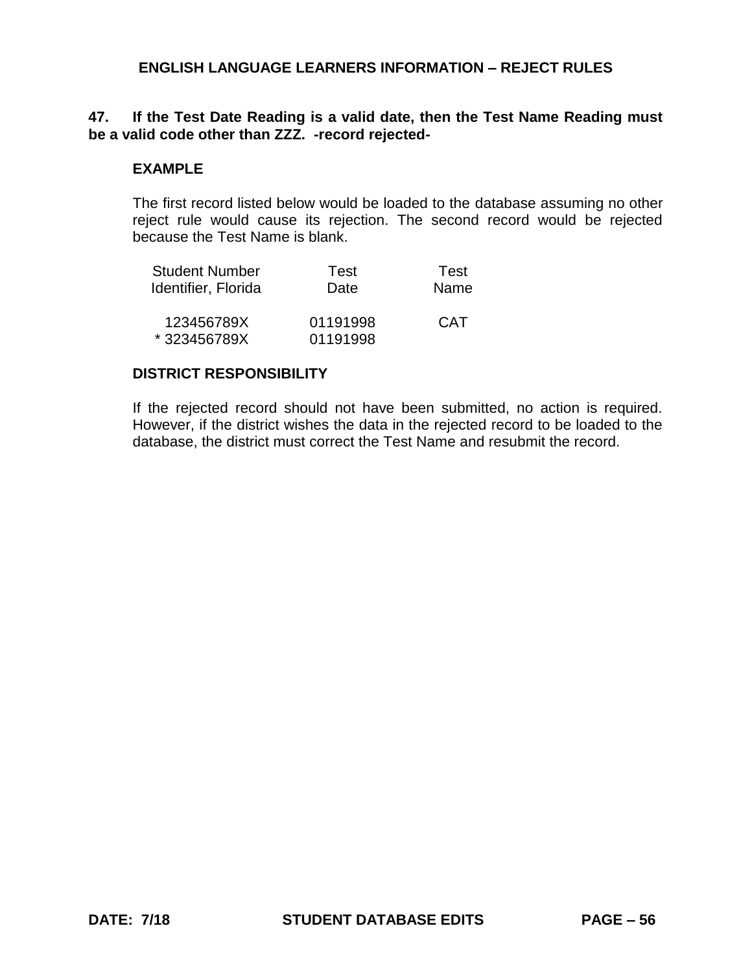### **47. If the Test Date Reading is a valid date, then the Test Name Reading must be a valid code other than ZZZ. -record rejected-**

#### **EXAMPLE**

The first record listed below would be loaded to the database assuming no other reject rule would cause its rejection. The second record would be rejected because the Test Name is blank.

| Student Number      | Test     | Test       |
|---------------------|----------|------------|
| Identifier, Florida | Date     | Name       |
| 123456789X          | 01191998 | <b>CAT</b> |
| *323456789X         | 01191998 |            |

### **DISTRICT RESPONSIBILITY**

If the rejected record should not have been submitted, no action is required. However, if the district wishes the data in the rejected record to be loaded to the database, the district must correct the Test Name and resubmit the record.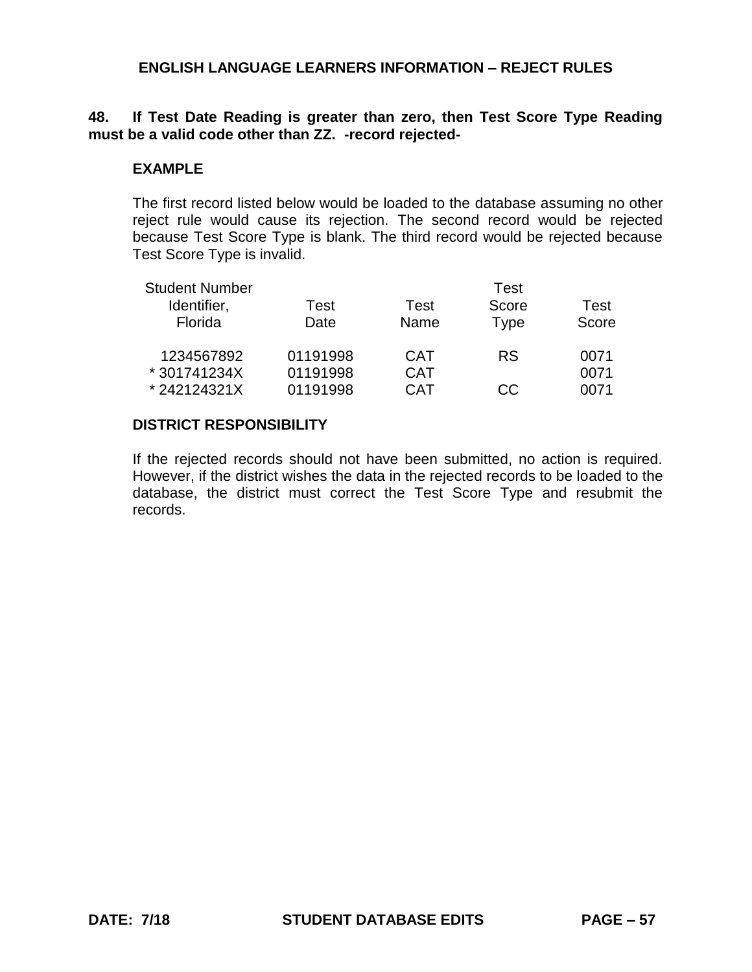# **48. If Test Date Reading is greater than zero, then Test Score Type Reading must be a valid code other than ZZ. -record rejected-**

## **EXAMPLE**

The first record listed below would be loaded to the database assuming no other reject rule would cause its rejection. The second record would be rejected because Test Score Type is blank. The third record would be rejected because Test Score Type is invalid.

| <b>Student Number</b> |          |            | Test        |       |
|-----------------------|----------|------------|-------------|-------|
| Identifier,           | Test     | Test       | Score       | Test  |
| Florida               | Date     | Name       | <b>Type</b> | Score |
| 1234567892            | 01191998 | <b>CAT</b> | <b>RS</b>   | 0071  |
| * 301741234X          | 01191998 | <b>CAT</b> |             | 0071  |
| *242124321X           | 01191998 | CAT        | CC.         | 0071  |

### **DISTRICT RESPONSIBILITY**

If the rejected records should not have been submitted, no action is required. However, if the district wishes the data in the rejected records to be loaded to the database, the district must correct the Test Score Type and resubmit the records.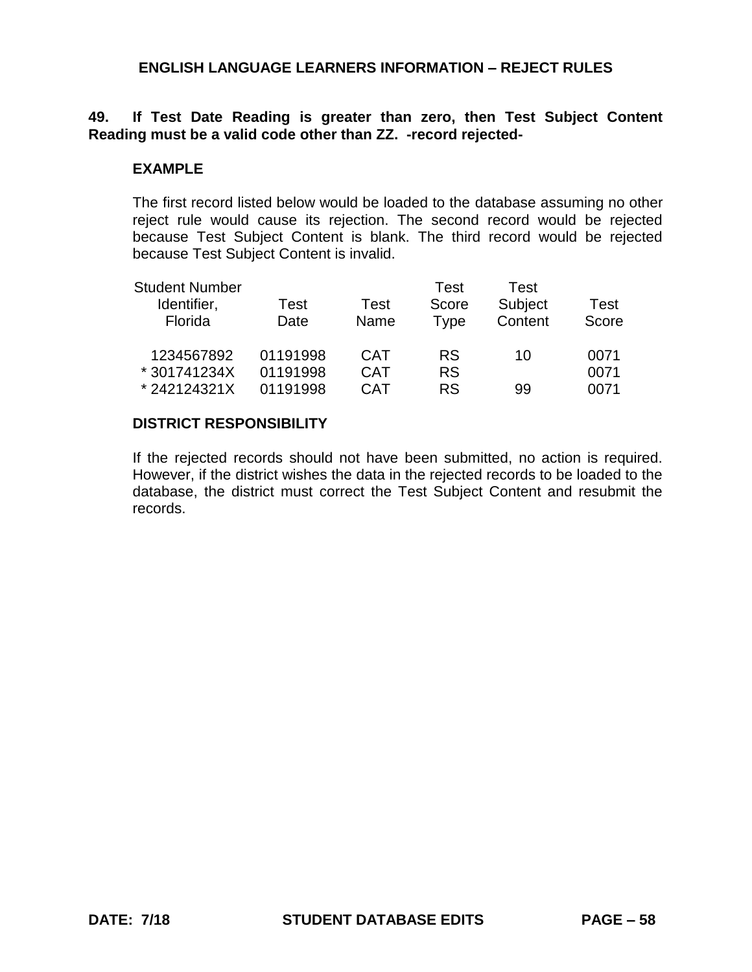## **49. If Test Date Reading is greater than zero, then Test Subject Content Reading must be a valid code other than ZZ. -record rejected-**

### **EXAMPLE**

The first record listed below would be loaded to the database assuming no other reject rule would cause its rejection. The second record would be rejected because Test Subject Content is blank. The third record would be rejected because Test Subject Content is invalid.

| <b>Student Number</b> |          |            | Test      | Test    |       |
|-----------------------|----------|------------|-----------|---------|-------|
| Identifier,           | Test     | Test       | Score     | Subject | Test  |
| Florida               | Date     | Name       | Type      | Content | Score |
| 1234567892            | 01191998 | <b>CAT</b> | <b>RS</b> | 10      | 0071  |
| * 301741234X          | 01191998 | <b>CAT</b> | <b>RS</b> |         | 0071  |
| *242124321X           | 01191998 | <b>CAT</b> | <b>RS</b> | 99      | 0071  |

### **DISTRICT RESPONSIBILITY**

If the rejected records should not have been submitted, no action is required. However, if the district wishes the data in the rejected records to be loaded to the database, the district must correct the Test Subject Content and resubmit the records.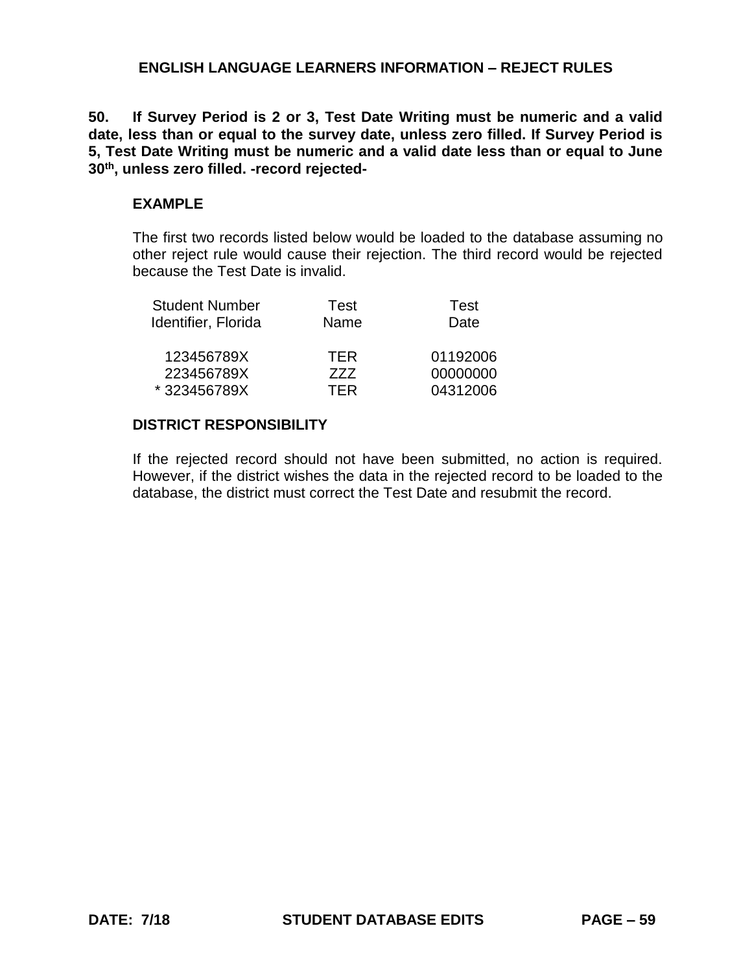**50. If Survey Period is 2 or 3, Test Date Writing must be numeric and a valid date, less than or equal to the survey date, unless zero filled. If Survey Period is 5, Test Date Writing must be numeric and a valid date less than or equal to June 30th, unless zero filled. -record rejected-**

#### **EXAMPLE**

The first two records listed below would be loaded to the database assuming no other reject rule would cause their rejection. The third record would be rejected because the Test Date is invalid.

| Test       | <b>Test</b> |
|------------|-------------|
| Name       | Date        |
| <b>TFR</b> | 01192006    |
| 777        | 00000000    |
| <b>TFR</b> | 04312006    |
|            |             |

### **DISTRICT RESPONSIBILITY**

If the rejected record should not have been submitted, no action is required. However, if the district wishes the data in the rejected record to be loaded to the database, the district must correct the Test Date and resubmit the record.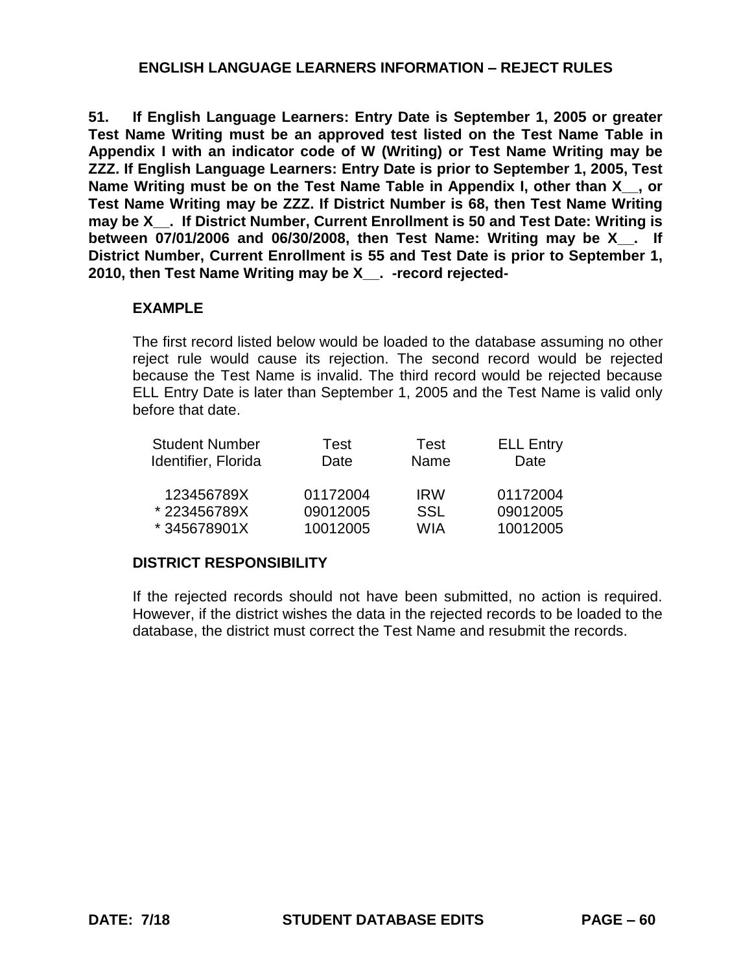**51. If English Language Learners: Entry Date is September 1, 2005 or greater Test Name Writing must be an approved test listed on the Test Name Table in Appendix I with an indicator code of W (Writing) or Test Name Writing may be ZZZ. If English Language Learners: Entry Date is prior to September 1, 2005, Test**  Name Writing must be on the Test Name Table in Appendix I, other than X, yor **Test Name Writing may be ZZZ. If District Number is 68, then Test Name Writing**  may be X . If District Number, Current Enrollment is 50 and Test Date: Writing is **between 07/01/2006 and 06/30/2008, then Test Name: Writing may be X\_\_. If District Number, Current Enrollment is 55 and Test Date is prior to September 1, 2010, then Test Name Writing may be X\_\_. -record rejected-**

#### **EXAMPLE**

The first record listed below would be loaded to the database assuming no other reject rule would cause its rejection. The second record would be rejected because the Test Name is invalid. The third record would be rejected because ELL Entry Date is later than September 1, 2005 and the Test Name is valid only before that date.

| <b>Student Number</b> | Test     | Test       | <b>ELL Entry</b> |
|-----------------------|----------|------------|------------------|
| Identifier, Florida   | Date     | Name       | Date             |
| 123456789X            | 01172004 | <b>IRW</b> | 01172004         |
| *223456789X           | 09012005 | <b>SSL</b> | 09012005         |
| *345678901X           | 10012005 | <b>WIA</b> | 10012005         |

#### **DISTRICT RESPONSIBILITY**

If the rejected records should not have been submitted, no action is required. However, if the district wishes the data in the rejected records to be loaded to the database, the district must correct the Test Name and resubmit the records.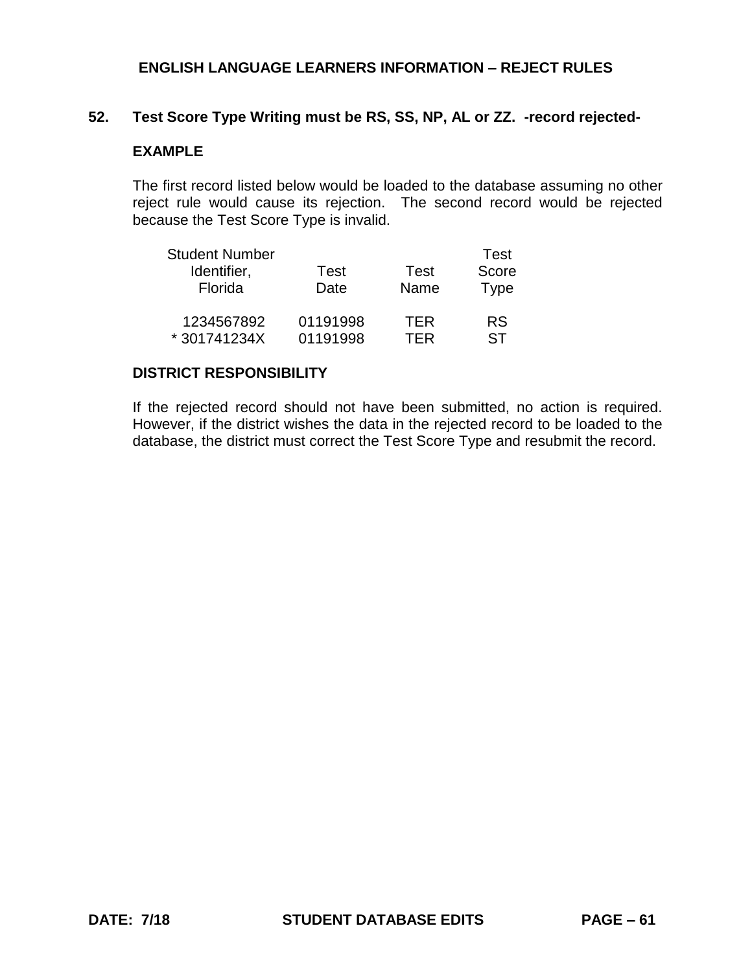## **52. Test Score Type Writing must be RS, SS, NP, AL or ZZ. -record rejected-**

# **EXAMPLE**

The first record listed below would be loaded to the database assuming no other reject rule would cause its rejection. The second record would be rejected because the Test Score Type is invalid.

| <b>Student Number</b> |          |             | Test        |
|-----------------------|----------|-------------|-------------|
| Identifier,           | Test     | <b>Test</b> | Score       |
| Florida               | Date     | Name        | <b>Type</b> |
| 1234567892            | 01191998 | <b>TFR</b>  | <b>RS</b>   |
| *301741234X           | 01191998 | TFR         | ST          |

### **DISTRICT RESPONSIBILITY**

If the rejected record should not have been submitted, no action is required. However, if the district wishes the data in the rejected record to be loaded to the database, the district must correct the Test Score Type and resubmit the record.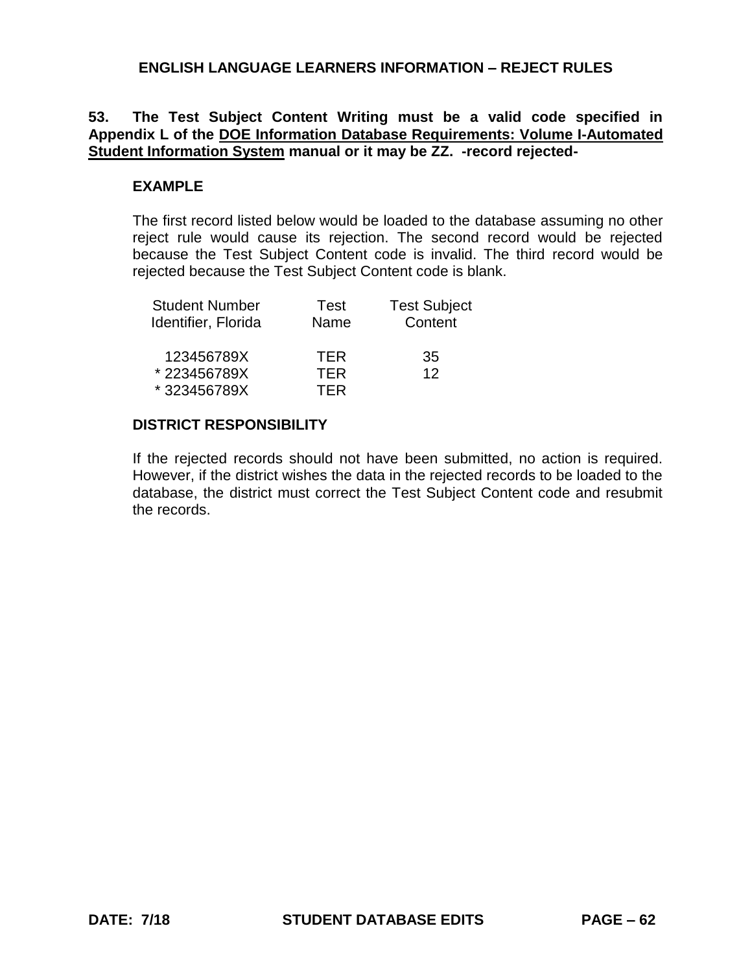# **53. The Test Subject Content Writing must be a valid code specified in Appendix L of the DOE Information Database Requirements: Volume I-Automated Student Information System manual or it may be ZZ. -record rejected-**

## **EXAMPLE**

The first record listed below would be loaded to the database assuming no other reject rule would cause its rejection. The second record would be rejected because the Test Subject Content code is invalid. The third record would be rejected because the Test Subject Content code is blank.

| <b>Student Number</b> | Test | <b>Test Subject</b> |
|-----------------------|------|---------------------|
| Identifier, Florida   | Name | Content             |
| 123456789X            | TFR  | 35                  |
| *223456789X           | TFR  | 12                  |
| *323456789X           | TFR  |                     |

# **DISTRICT RESPONSIBILITY**

If the rejected records should not have been submitted, no action is required. However, if the district wishes the data in the rejected records to be loaded to the database, the district must correct the Test Subject Content code and resubmit the records.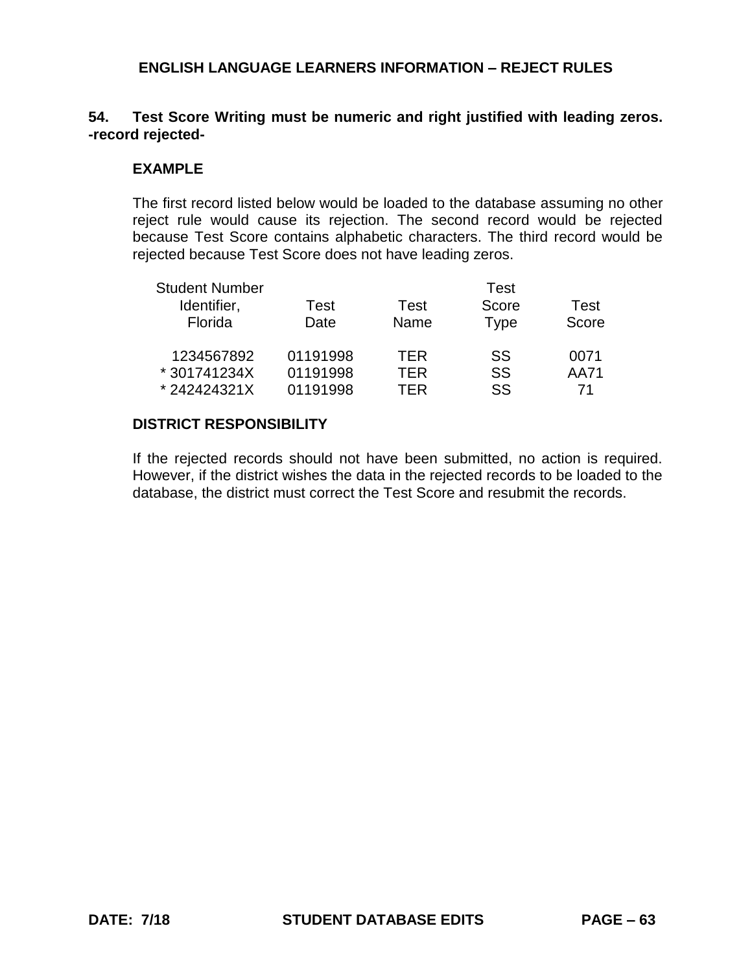# **54. Test Score Writing must be numeric and right justified with leading zeros. -record rejected-**

## **EXAMPLE**

The first record listed below would be loaded to the database assuming no other reject rule would cause its rejection. The second record would be rejected because Test Score contains alphabetic characters. The third record would be rejected because Test Score does not have leading zeros.

| <b>Student Number</b> |          |            | Test        |       |
|-----------------------|----------|------------|-------------|-------|
| Identifier,           | Test     | Test       | Score       | Test  |
| Florida               | Date     | Name       | <b>Type</b> | Score |
| 1234567892            | 01191998 | <b>TFR</b> | SS          | 0071  |
| * 301741234X          | 01191998 | TFR        | SS          | AA71  |
| *242424321X           | 01191998 | TFR        | SS          | 71    |

### **DISTRICT RESPONSIBILITY**

If the rejected records should not have been submitted, no action is required. However, if the district wishes the data in the rejected records to be loaded to the database, the district must correct the Test Score and resubmit the records.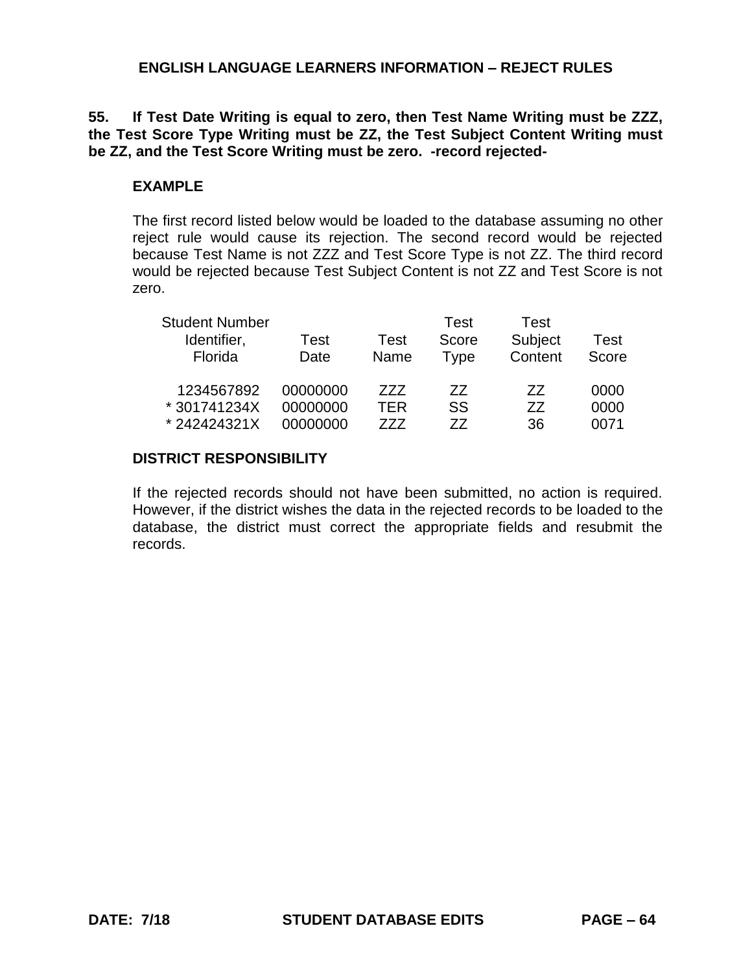# **55. If Test Date Writing is equal to zero, then Test Name Writing must be ZZZ, the Test Score Type Writing must be ZZ, the Test Subject Content Writing must be ZZ, and the Test Score Writing must be zero. -record rejected-**

#### **EXAMPLE**

The first record listed below would be loaded to the database assuming no other reject rule would cause its rejection. The second record would be rejected because Test Name is not ZZZ and Test Score Type is not ZZ. The third record would be rejected because Test Subject Content is not ZZ and Test Score is not zero.

| <b>Student Number</b> |          |      | Test  | Test    |       |
|-----------------------|----------|------|-------|---------|-------|
| Identifier,           | Test     | Test | Score | Subject | Test  |
| Florida               | Date     | Name | Type  | Content | Score |
| 1234567892            | 00000000 | 777  | 77    | 77      | 0000  |
| *301741234X           | 00000000 | TER  | SS    | 77      | 0000  |
| *242424321X           | 00000000 | 777  | 77    | 36      | 0071  |

### **DISTRICT RESPONSIBILITY**

If the rejected records should not have been submitted, no action is required. However, if the district wishes the data in the rejected records to be loaded to the database, the district must correct the appropriate fields and resubmit the records.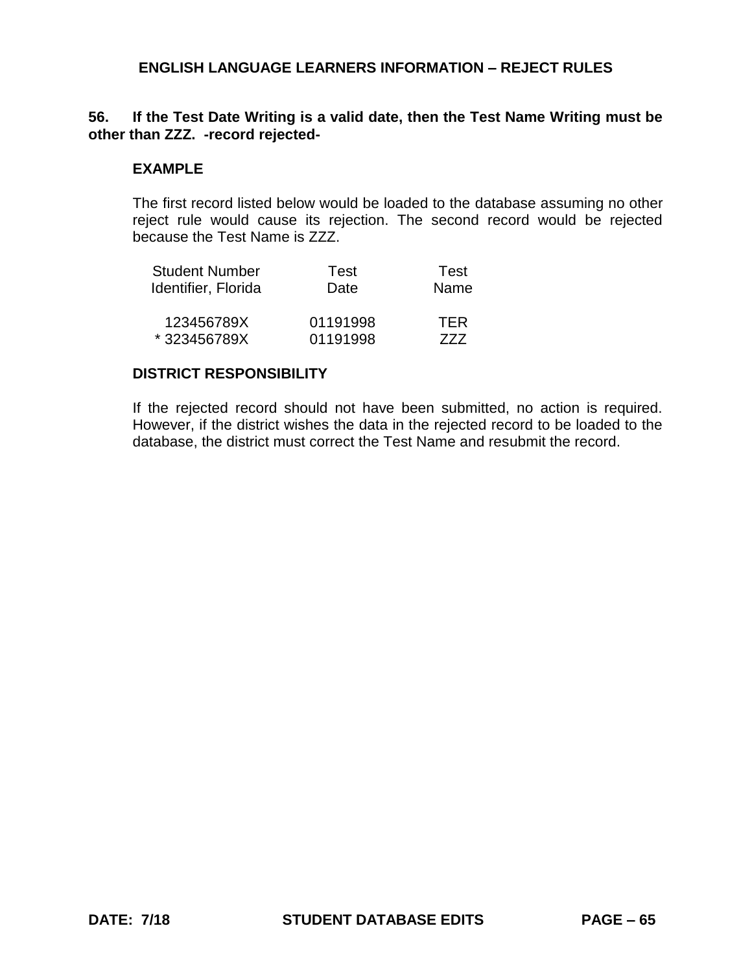### **56. If the Test Date Writing is a valid date, then the Test Name Writing must be other than ZZZ. -record rejected-**

#### **EXAMPLE**

The first record listed below would be loaded to the database assuming no other reject rule would cause its rejection. The second record would be rejected because the Test Name is ZZZ.

| <b>Student Number</b> | Test     | Test       |
|-----------------------|----------|------------|
| Identifier, Florida   | Date     | Name       |
| 123456789X            | 01191998 | <b>TFR</b> |
| *323456789X           | 01191998 | 777        |

#### **DISTRICT RESPONSIBILITY**

If the rejected record should not have been submitted, no action is required. However, if the district wishes the data in the rejected record to be loaded to the database, the district must correct the Test Name and resubmit the record.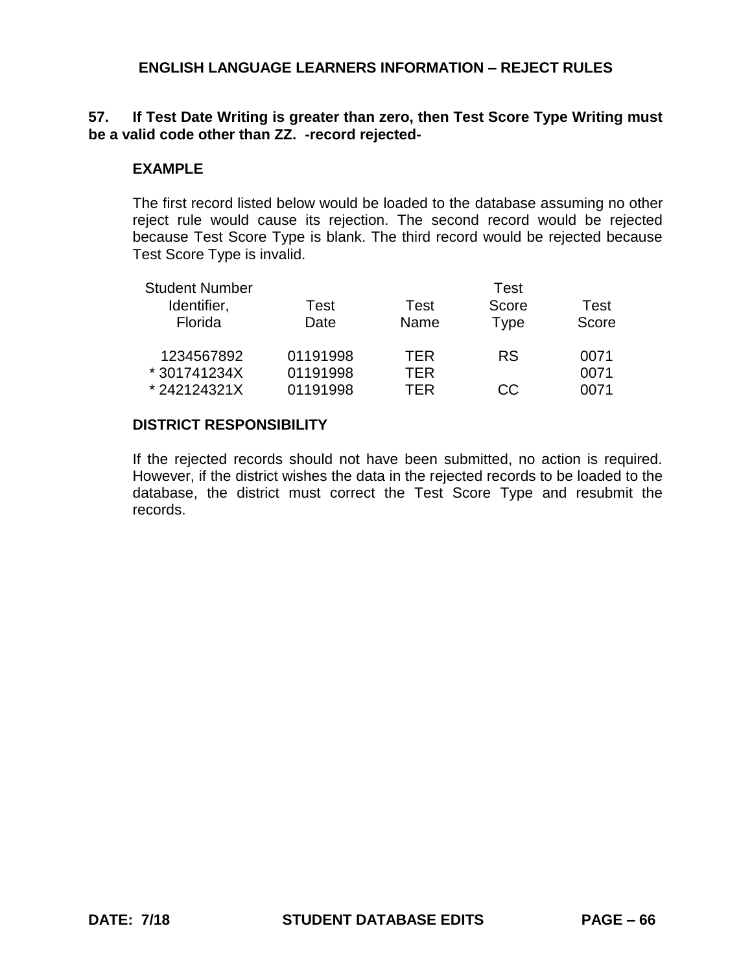## **57. If Test Date Writing is greater than zero, then Test Score Type Writing must be a valid code other than ZZ. -record rejected-**

## **EXAMPLE**

The first record listed below would be loaded to the database assuming no other reject rule would cause its rejection. The second record would be rejected because Test Score Type is blank. The third record would be rejected because Test Score Type is invalid.

| <b>Student Number</b> |          |      | Test        |       |
|-----------------------|----------|------|-------------|-------|
| Identifier,           | Test     | Test | Score       | Test  |
| Florida               | Date     | Name | <b>Type</b> | Score |
| 1234567892            | 01191998 | TER  | <b>RS</b>   | 0071  |
| * 301741234X          | 01191998 | TER  |             | 0071  |
| *242124321X           | 01191998 | TFR  | CC.         | 0071  |

### **DISTRICT RESPONSIBILITY**

If the rejected records should not have been submitted, no action is required. However, if the district wishes the data in the rejected records to be loaded to the database, the district must correct the Test Score Type and resubmit the records.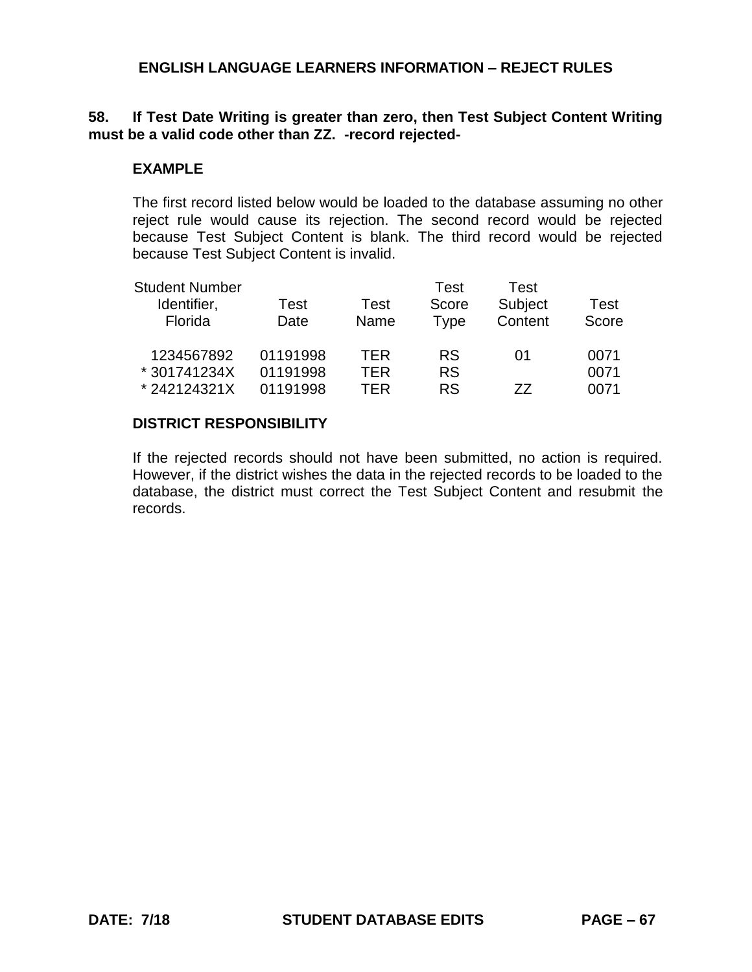## **58. If Test Date Writing is greater than zero, then Test Subject Content Writing must be a valid code other than ZZ. -record rejected-**

## **EXAMPLE**

The first record listed below would be loaded to the database assuming no other reject rule would cause its rejection. The second record would be rejected because Test Subject Content is blank. The third record would be rejected because Test Subject Content is invalid.

| <b>Student Number</b> |          |      | Test      | Test    |       |
|-----------------------|----------|------|-----------|---------|-------|
| Identifier,           | Test     | Test | Score     | Subject | Test  |
| Florida               | Date     | Name | Type      | Content | Score |
| 1234567892            | 01191998 | TFR  | <b>RS</b> | O1      | 0071  |
| * 301741234X          | 01191998 | TER  | <b>RS</b> |         | 0071  |
| *242124321X           | 01191998 | TFR  | <b>RS</b> | 77      | 0071  |

### **DISTRICT RESPONSIBILITY**

If the rejected records should not have been submitted, no action is required. However, if the district wishes the data in the rejected records to be loaded to the database, the district must correct the Test Subject Content and resubmit the records.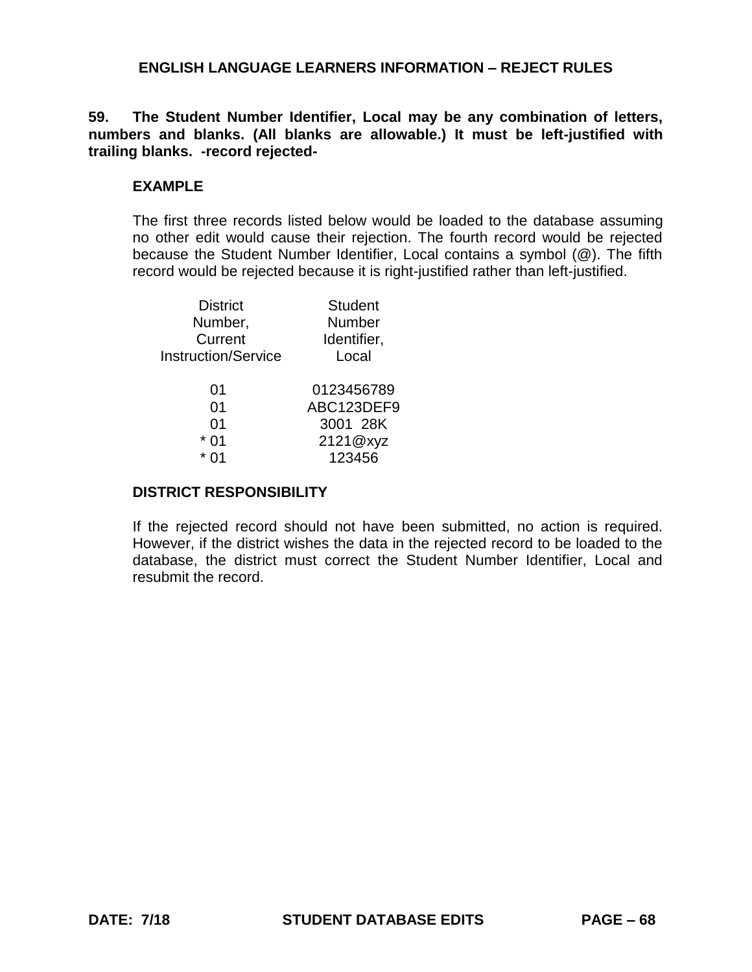**59. The Student Number Identifier, Local may be any combination of letters, numbers and blanks. (All blanks are allowable.) It must be left-justified with trailing blanks. -record rejected-**

#### **EXAMPLE**

The first three records listed below would be loaded to the database assuming no other edit would cause their rejection. The fourth record would be rejected because the Student Number Identifier, Local contains a symbol (@). The fifth record would be rejected because it is right-justified rather than left-justified.

| <b>Student</b> |
|----------------|
| <b>Number</b>  |
| Identifier,    |
| Local          |
| 0123456789     |
| ABC123DEF9     |
| 3001 28K       |
| 2121@xyz       |
| 123456         |
|                |

#### **DISTRICT RESPONSIBILITY**

If the rejected record should not have been submitted, no action is required. However, if the district wishes the data in the rejected record to be loaded to the database, the district must correct the Student Number Identifier, Local and resubmit the record.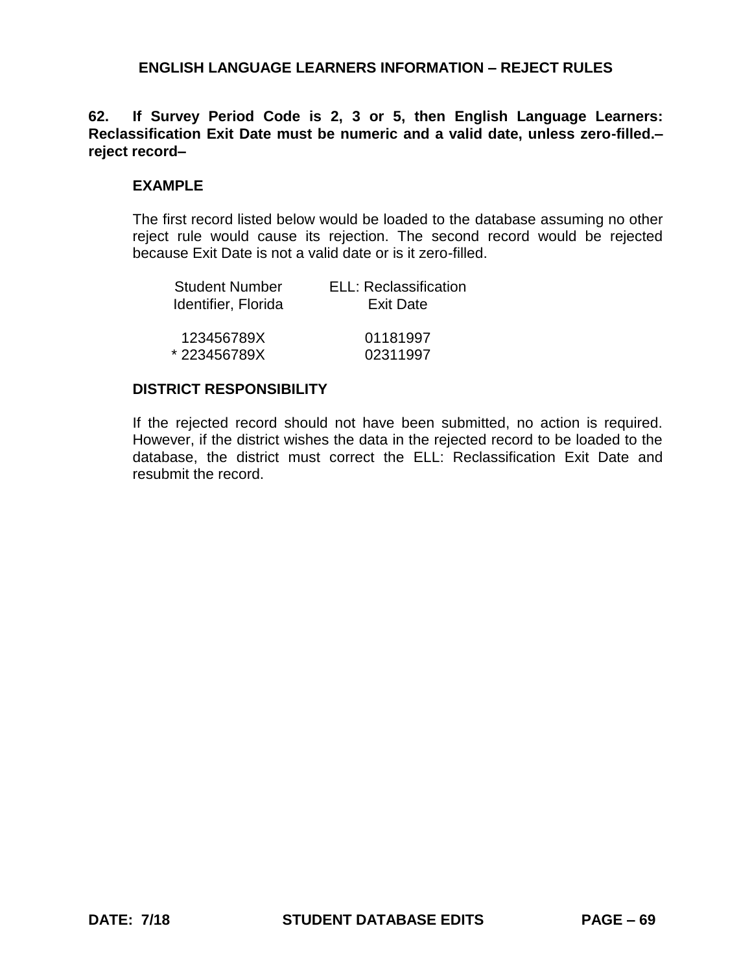**62. If Survey Period Code is 2, 3 or 5, then English Language Learners: Reclassification Exit Date must be numeric and a valid date, unless zero-filled.– reject record–**

#### **EXAMPLE**

The first record listed below would be loaded to the database assuming no other reject rule would cause its rejection. The second record would be rejected because Exit Date is not a valid date or is it zero-filled.

| Student Number      | ELL: Reclassification |
|---------------------|-----------------------|
| Identifier, Florida | <b>Exit Date</b>      |
| 123456789X          | 01181997              |
| *223456789X         | 02311997              |

#### **DISTRICT RESPONSIBILITY**

If the rejected record should not have been submitted, no action is required. However, if the district wishes the data in the rejected record to be loaded to the database, the district must correct the ELL: Reclassification Exit Date and resubmit the record.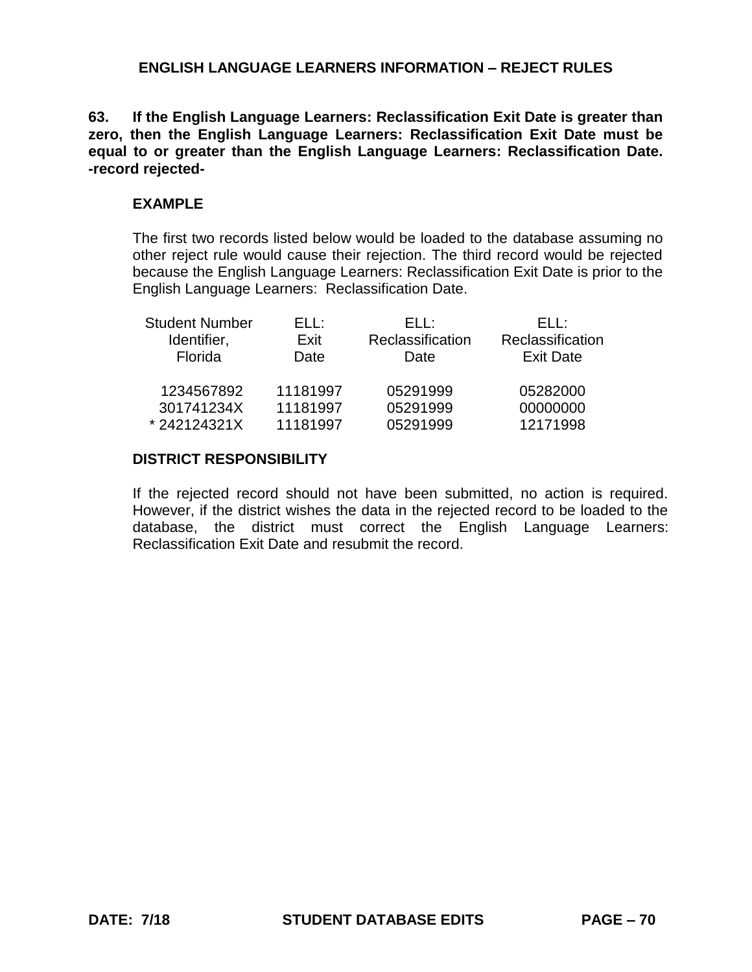**63. If the English Language Learners: Reclassification Exit Date is greater than zero, then the English Language Learners: Reclassification Exit Date must be equal to or greater than the English Language Learners: Reclassification Date. -record rejected-**

# **EXAMPLE**

The first two records listed below would be loaded to the database assuming no other reject rule would cause their rejection. The third record would be rejected because the English Language Learners: Reclassification Exit Date is prior to the English Language Learners: Reclassification Date.

| <b>Student Number</b> | FLL:     | ELL :            | FLI :            |
|-----------------------|----------|------------------|------------------|
| Identifier,           | Exit     | Reclassification | Reclassification |
| Florida               | Date     | Date             | <b>Exit Date</b> |
| 1234567892            | 11181997 | 05291999         | 05282000         |
| 301741234X            | 11181997 | 05291999         | 00000000         |
| *242124321X           | 11181997 | 05291999         | 12171998         |

# **DISTRICT RESPONSIBILITY**

If the rejected record should not have been submitted, no action is required. However, if the district wishes the data in the rejected record to be loaded to the database, the district must correct the English Language Learners: Reclassification Exit Date and resubmit the record.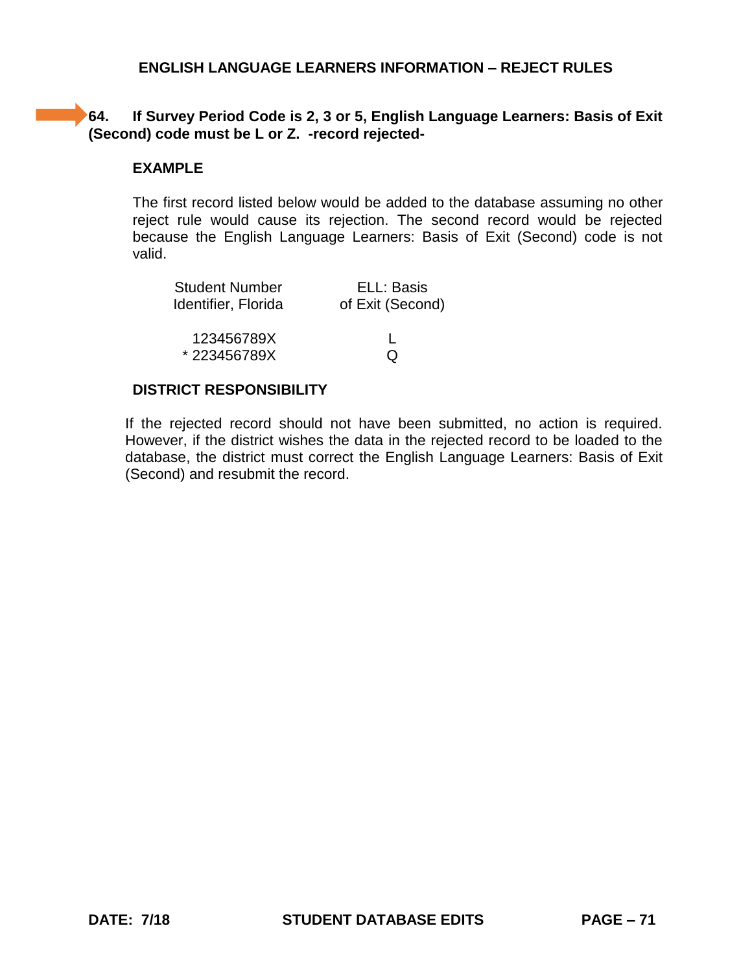# **64.** If Survey Period Code is 2, 3 or 5, English Language Learners: Basis of Exit **(Second) code must be L or Z. -record rejected-**

# **EXAMPLE**

The first record listed below would be added to the database assuming no other reject rule would cause its rejection. The second record would be rejected because the English Language Learners: Basis of Exit (Second) code is not valid.

| <b>Student Number</b> | ELL: Basis       |
|-----------------------|------------------|
| Identifier, Florida   | of Exit (Second) |
|                       |                  |
| 123456789X            |                  |
| *223456789X           | O                |
|                       |                  |

# **DISTRICT RESPONSIBILITY**

If the rejected record should not have been submitted, no action is required. However, if the district wishes the data in the rejected record to be loaded to the database, the district must correct the English Language Learners: Basis of Exit (Second) and resubmit the record.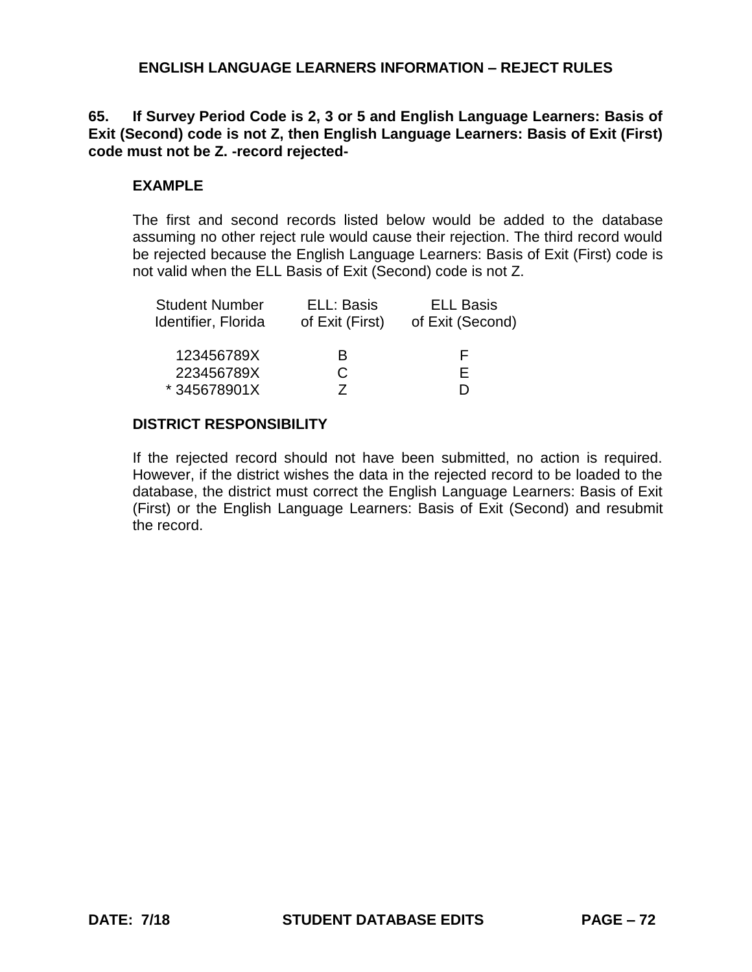# **65. If Survey Period Code is 2, 3 or 5 and English Language Learners: Basis of Exit (Second) code is not Z, then English Language Learners: Basis of Exit (First) code must not be Z. -record rejected-**

#### **EXAMPLE**

The first and second records listed below would be added to the database assuming no other reject rule would cause their rejection. The third record would be rejected because the English Language Learners: Basis of Exit (First) code is not valid when the ELL Basis of Exit (Second) code is not Z.

| <b>Student Number</b> | ELL: Basis      | <b>ELL Basis</b> |
|-----------------------|-----------------|------------------|
| Identifier, Florida   | of Exit (First) | of Exit (Second) |
| 123456789X            | R               | ь.               |
| 223456789X            | C.              | F.               |
| *345678901X           |                 |                  |

### **DISTRICT RESPONSIBILITY**

If the rejected record should not have been submitted, no action is required. However, if the district wishes the data in the rejected record to be loaded to the database, the district must correct the English Language Learners: Basis of Exit (First) or the English Language Learners: Basis of Exit (Second) and resubmit the record.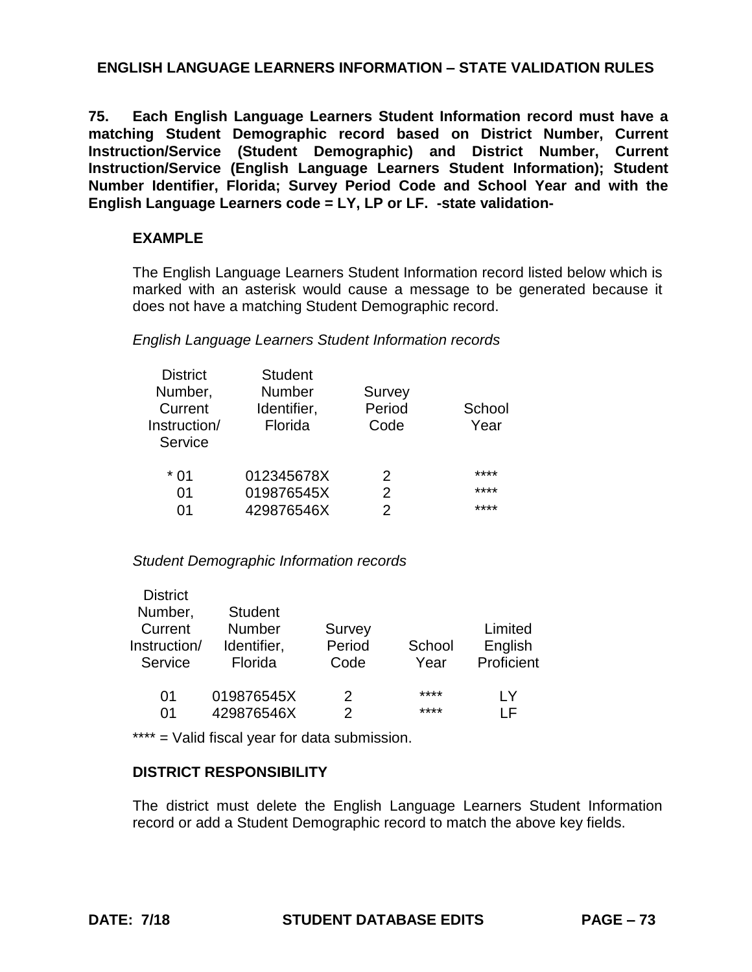**75. Each English Language Learners Student Information record must have a matching Student Demographic record based on District Number, Current Instruction/Service (Student Demographic) and District Number, Current Instruction/Service (English Language Learners Student Information); Student Number Identifier, Florida; Survey Period Code and School Year and with the English Language Learners code = LY, LP or LF. -state validation-**

## **EXAMPLE**

The English Language Learners Student Information record listed below which is marked with an asterisk would cause a message to be generated because it does not have a matching Student Demographic record.

### *English Language Learners Student Information records*

| <b>District</b> | <b>Student</b> |        |        |
|-----------------|----------------|--------|--------|
| Number,         | <b>Number</b>  | Survey |        |
| Current         | Identifier,    | Period | School |
| Instruction/    | Florida        | Code   | Year   |
| Service         |                |        |        |
| * በ1            | 012345678X     | 2      | ****   |
| 01              | 019876545X     | 2      | ****   |
| በ1              | 429876546X     | 2      | ****   |
|                 |                |        |        |

## *Student Demographic Information records*

| <b>District</b> |                |        |        |            |
|-----------------|----------------|--------|--------|------------|
| Number,         | <b>Student</b> |        |        |            |
| Current         | <b>Number</b>  | Survey |        | Limited    |
| Instruction/    | Identifier,    | Period | School | English    |
| Service         | Florida        | Code   | Year   | Proficient |
|                 |                |        |        |            |
| 01              | 019876545X     | 2      | ****   | l Y        |
| 01              | 429876546X     | 2      | ****   |            |
|                 |                |        |        |            |

\*\*\*\* = Valid fiscal year for data submission.

## **DISTRICT RESPONSIBILITY**

The district must delete the English Language Learners Student Information record or add a Student Demographic record to match the above key fields.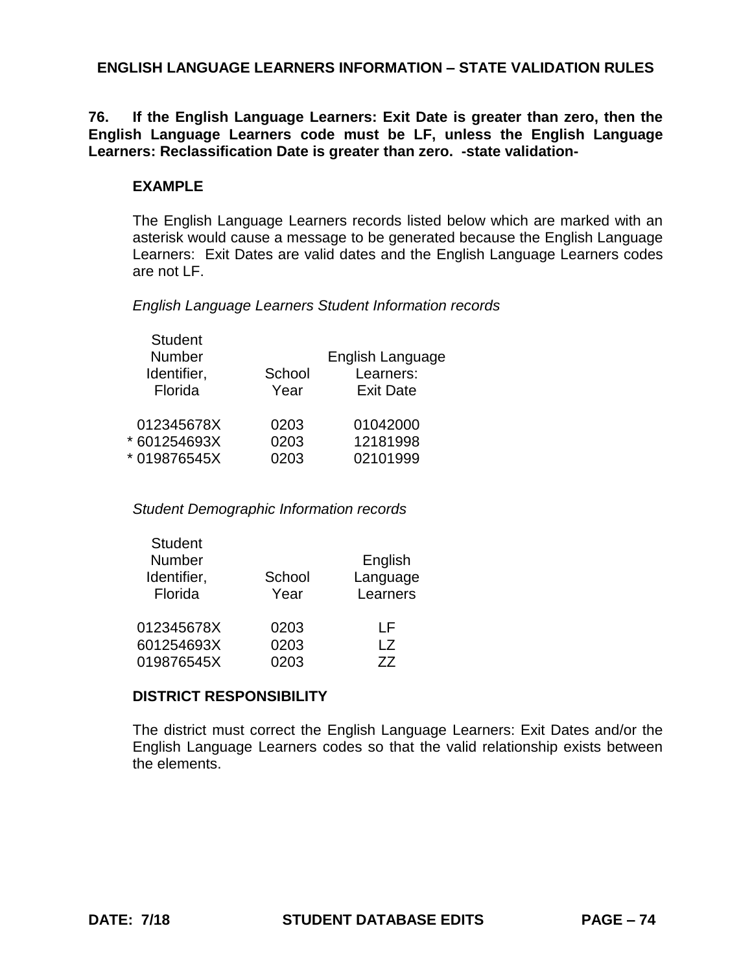**76. If the English Language Learners: Exit Date is greater than zero, then the English Language Learners code must be LF, unless the English Language Learners: Reclassification Date is greater than zero. -state validation-**

### **EXAMPLE**

The English Language Learners records listed below which are marked with an asterisk would cause a message to be generated because the English Language Learners: Exit Dates are valid dates and the English Language Learners codes are not LF.

*English Language Learners Student Information records*

| <b>Student</b><br>Number<br>Identifier,<br>Florida | School<br>Year       | English Language<br>Learners:<br><b>Exit Date</b> |
|----------------------------------------------------|----------------------|---------------------------------------------------|
| 012345678X<br>* 601254693X<br>* 019876545X         | 0203<br>0203<br>0203 | 01042000<br>12181998<br>02101999                  |
|                                                    |                      |                                                   |

*Student Demographic Information records*

| Year         | Language<br>Learners |
|--------------|----------------------|
| 0203<br>0203 | ΙF<br>l 7<br>77      |
|              | School<br>0203       |

## **DISTRICT RESPONSIBILITY**

The district must correct the English Language Learners: Exit Dates and/or the English Language Learners codes so that the valid relationship exists between the elements.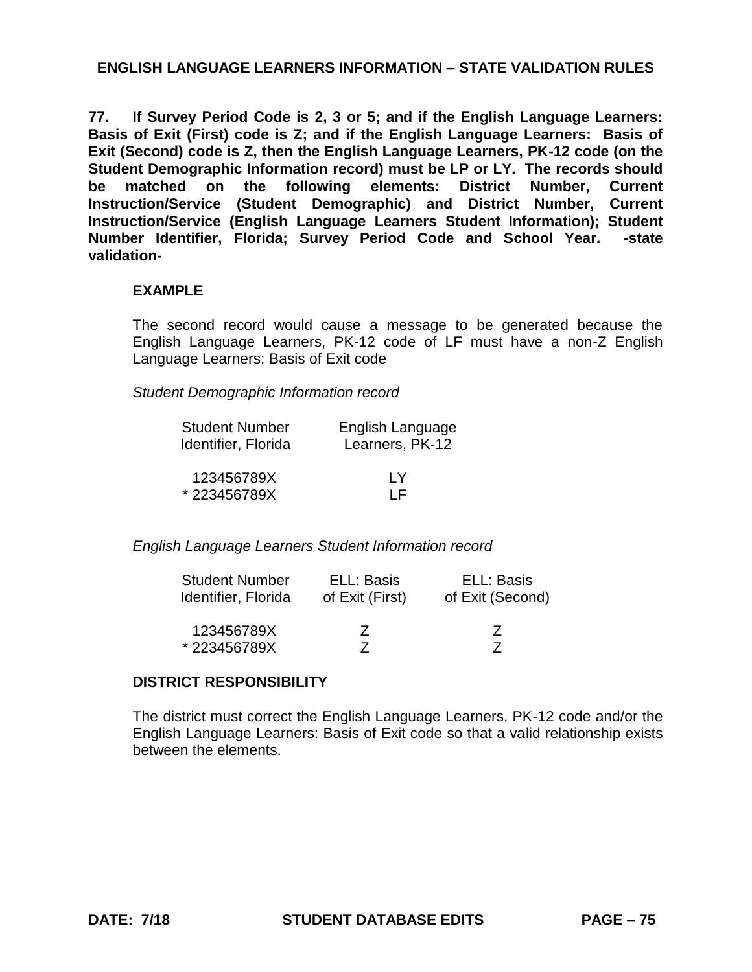**77. If Survey Period Code is 2, 3 or 5; and if the English Language Learners: Basis of Exit (First) code is Z; and if the English Language Learners: Basis of Exit (Second) code is Z, then the English Language Learners, PK-12 code (on the Student Demographic Information record) must be LP or LY. The records should be matched on the following elements: District Number, Current Instruction/Service (Student Demographic) and District Number, Current Instruction/Service (English Language Learners Student Information); Student Number Identifier, Florida; Survey Period Code and School Year. -state validation-**

#### **EXAMPLE**

The second record would cause a message to be generated because the English Language Learners, PK-12 code of LF must have a non-Z English Language Learners: Basis of Exit code

*Student Demographic Information record*

| <b>Student Number</b> | English Language |
|-----------------------|------------------|
| Identifier, Florida   | Learners, PK-12  |
| 123456789X            | I Y              |
| *223456789X           | I F              |

*English Language Learners Student Information record*

| <b>Student Number</b> | ELL: Basis      | ELL: Basis       |
|-----------------------|-----------------|------------------|
| Identifier, Florida   | of Exit (First) | of Exit (Second) |
| 123456789X            | 7               | $\prime$         |
| *223456789X           |                 |                  |

### **DISTRICT RESPONSIBILITY**

The district must correct the English Language Learners, PK-12 code and/or the English Language Learners: Basis of Exit code so that a valid relationship exists between the elements.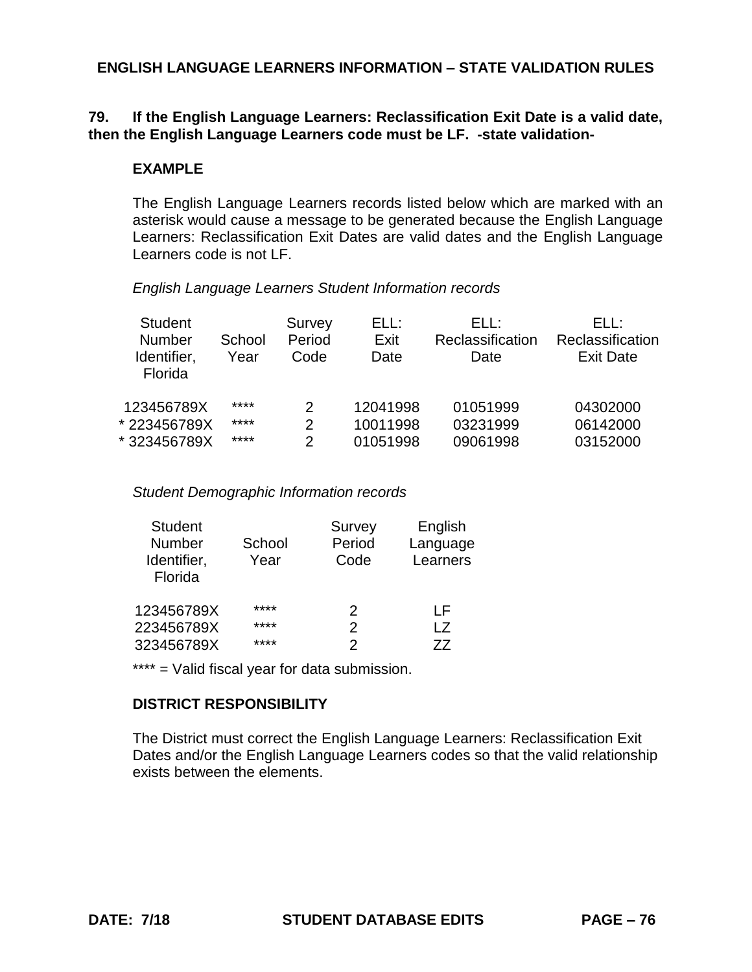### **79. If the English Language Learners: Reclassification Exit Date is a valid date, then the English Language Learners code must be LF. -state validation-**

#### **EXAMPLE**

The English Language Learners records listed below which are marked with an asterisk would cause a message to be generated because the English Language Learners: Reclassification Exit Dates are valid dates and the English Language Learners code is not LF.

*English Language Learners Student Information records*

| <b>Student</b> |        | Survey | ELL:     | FL L:            | FH :             |
|----------------|--------|--------|----------|------------------|------------------|
| <b>Number</b>  | School | Period | Exit     | Reclassification | Reclassification |
| Identifier,    | Year   | Code   | Date     | Date             | <b>Exit Date</b> |
| Florida        |        |        |          |                  |                  |
| 123456789X     | ****   | 2      | 12041998 | 01051999         | 04302000         |
| * 223456789X   | ****   | 2      | 10011998 | 03231999         | 06142000         |
| * 323456789X   | ****   | 2      | 01051998 | 09061998         | 03152000         |

*Student Demographic Information records*

| <b>Student</b><br>Number<br>Identifier,<br>Florida | School<br>Year | Survey<br>Period<br>Code | English<br>Language<br>Learners |
|----------------------------------------------------|----------------|--------------------------|---------------------------------|
| 123456789X                                         | ****           | 2                        | ΙF                              |
| 223456789X                                         | ****           | 2                        | l 7                             |
| 323456789X                                         | ****           | 2                        | 77                              |

\*\*\*\* = Valid fiscal year for data submission.

# **DISTRICT RESPONSIBILITY**

The District must correct the English Language Learners: Reclassification Exit Dates and/or the English Language Learners codes so that the valid relationship exists between the elements.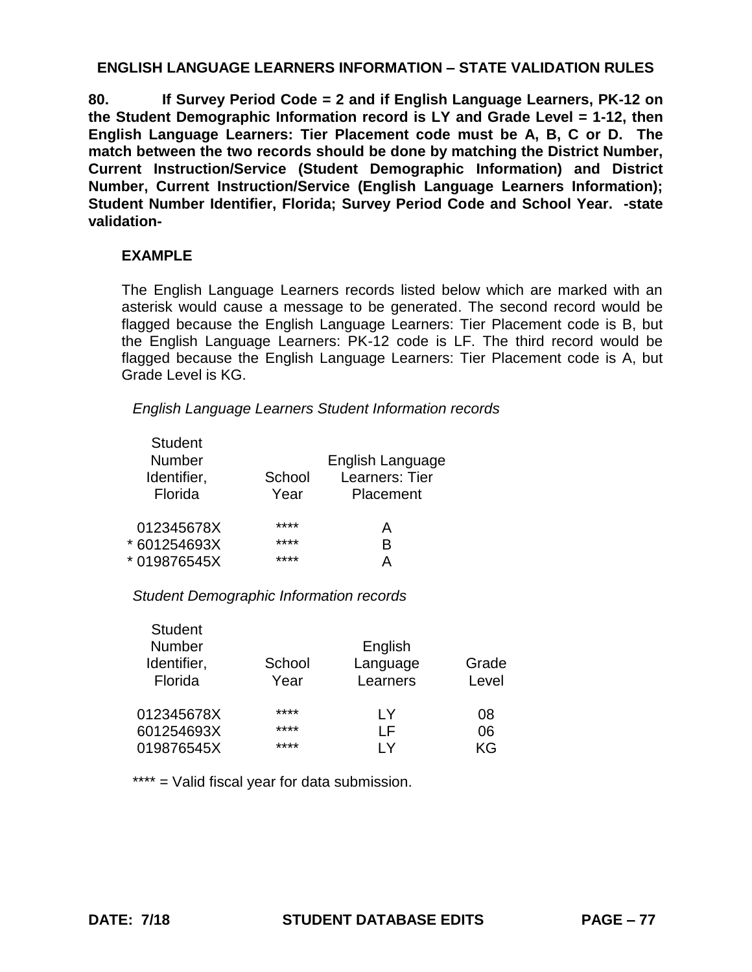**80. If Survey Period Code = 2 and if English Language Learners, PK-12 on the Student Demographic Information record is LY and Grade Level = 1-12, then English Language Learners: Tier Placement code must be A, B, C or D. The match between the two records should be done by matching the District Number, Current Instruction/Service (Student Demographic Information) and District Number, Current Instruction/Service (English Language Learners Information); Student Number Identifier, Florida; Survey Period Code and School Year. -state validation-**

## **EXAMPLE**

The English Language Learners records listed below which are marked with an asterisk would cause a message to be generated. The second record would be flagged because the English Language Learners: Tier Placement code is B, but the English Language Learners: PK-12 code is LF. The third record would be flagged because the English Language Learners: Tier Placement code is A, but Grade Level is KG.

*English Language Learners Student Information records*

| <b>Student</b><br>Number<br>Identifier,<br>Florida | School<br>Year       | English Language<br>Learners: Tier<br>Placement |
|----------------------------------------------------|----------------------|-------------------------------------------------|
| 012345678X<br>* 601254693X<br>*019876545X          | ****<br>****<br>**** | А<br>B                                          |

#### *Student Demographic Information records*

| <b>Student</b> |        |          |       |
|----------------|--------|----------|-------|
| Number         |        | English  |       |
| Identifier,    | School | Language | Grade |
| Florida        | Year   | Learners | Level |
| 012345678X     | ****   | I Y      | 08    |
| 601254693X     | ****   | ΙF       | 06    |
| 019876545X     | ****   | ΙV       | KG    |

\*\*\*\* = Valid fiscal year for data submission.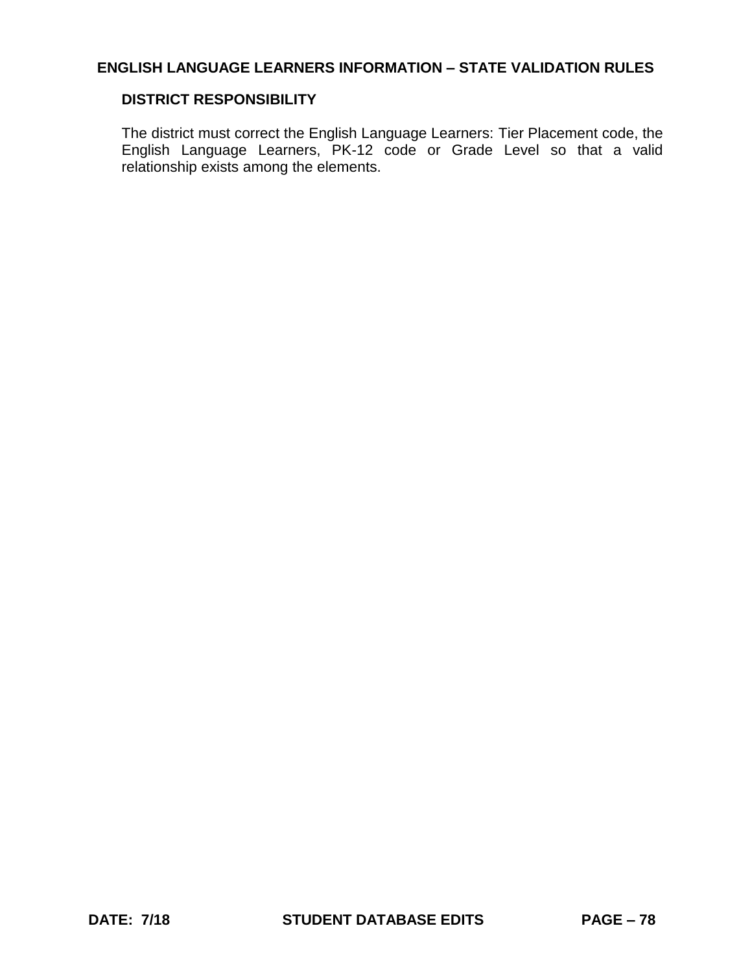## **DISTRICT RESPONSIBILITY**

The district must correct the English Language Learners: Tier Placement code, the English Language Learners, PK-12 code or Grade Level so that a valid relationship exists among the elements.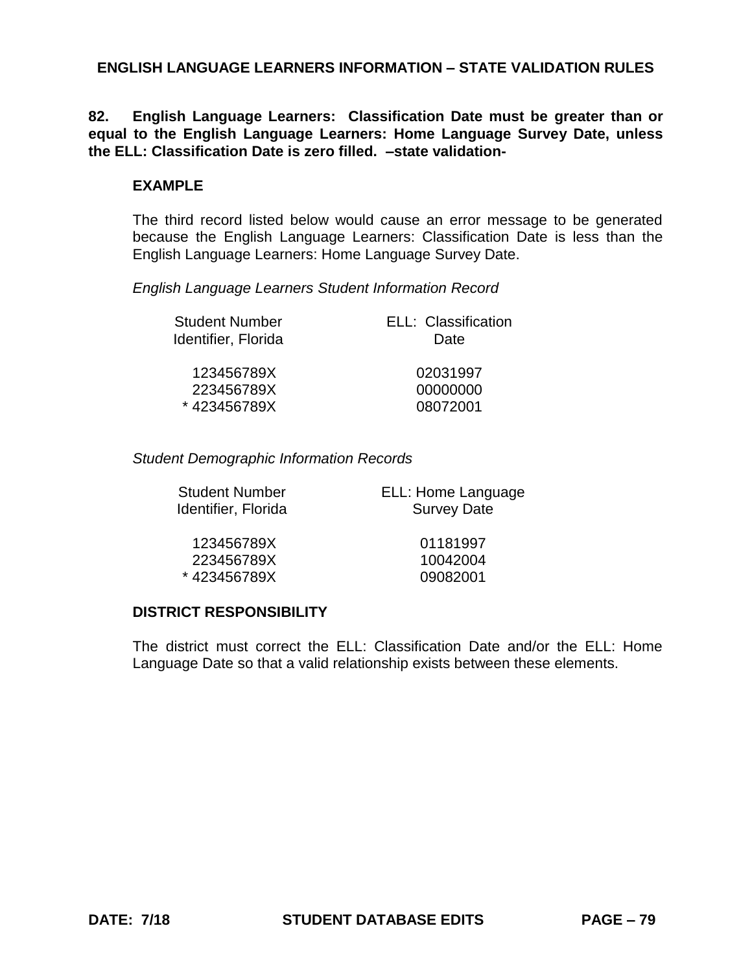**82. English Language Learners: Classification Date must be greater than or equal to the English Language Learners: Home Language Survey Date, unless the ELL: Classification Date is zero filled. –state validation-**

#### **EXAMPLE**

The third record listed below would cause an error message to be generated because the English Language Learners: Classification Date is less than the English Language Learners: Home Language Survey Date.

*English Language Learners Student Information Record*

| <b>Student Number</b><br>Identifier, Florida | ELL: Classification<br>Date |
|----------------------------------------------|-----------------------------|
| 123456789X                                   | 02031997                    |
| 223456789X                                   | 00000000                    |
| *423456789X                                  | 08072001                    |

*Student Demographic Information Records*

| <b>Student Number</b> |  |
|-----------------------|--|
| Identifier, Florida   |  |

ELL: Home Language Survey Date

123456789X 01181997 223456789X 10042004 \* 423456789X 09082001

#### **DISTRICT RESPONSIBILITY**

The district must correct the ELL: Classification Date and/or the ELL: Home Language Date so that a valid relationship exists between these elements.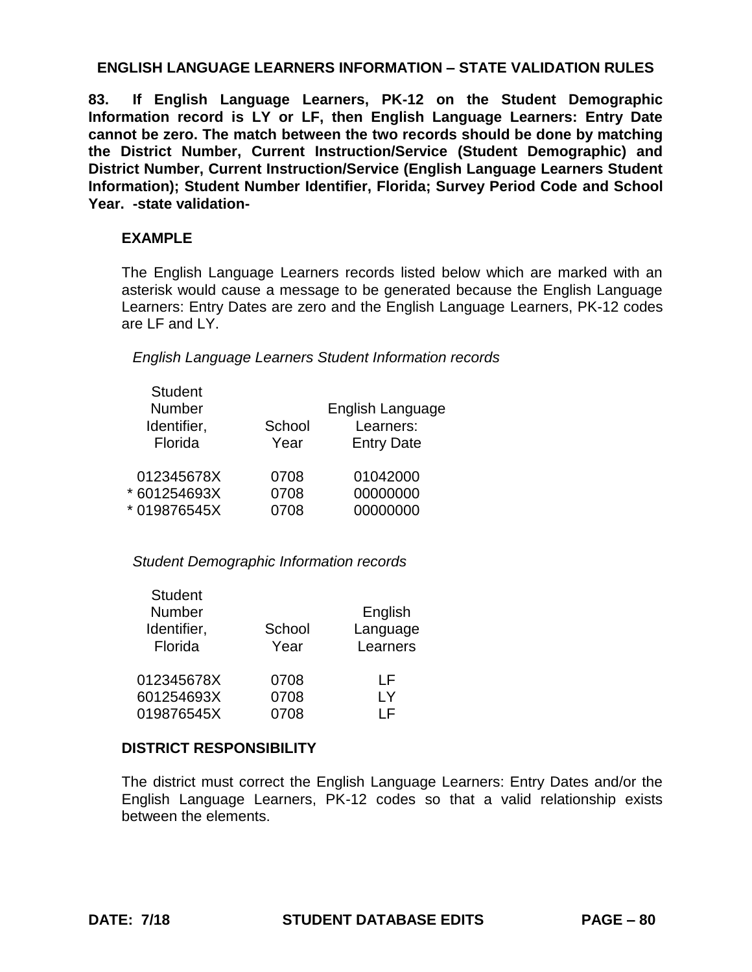**83. If English Language Learners, PK-12 on the Student Demographic Information record is LY or LF, then English Language Learners: Entry Date cannot be zero. The match between the two records should be done by matching the District Number, Current Instruction/Service (Student Demographic) and District Number, Current Instruction/Service (English Language Learners Student Information); Student Number Identifier, Florida; Survey Period Code and School Year. -state validation-**

### **EXAMPLE**

The English Language Learners records listed below which are marked with an asterisk would cause a message to be generated because the English Language Learners: Entry Dates are zero and the English Language Learners, PK-12 codes are LF and LY.

*English Language Learners Student Information records*

| <b>Student</b><br>Number |        | English Language  |
|--------------------------|--------|-------------------|
| Identifier,              | School | Learners:         |
| Florida                  | Year   | <b>Entry Date</b> |
| 012345678X               | 0708   | 01042000          |
| * 601254693X             | 0708   | 00000000          |
| * 019876545X             | 0708   | 00000000          |

*Student Demographic Information records*

| <b>Student</b><br>Number<br>Identifier,<br>Florida | School<br>Year | English<br>Language<br>Learners |
|----------------------------------------------------|----------------|---------------------------------|
| 012345678X                                         | 0708           | ΙF                              |
| 601254693X                                         | 0708           | I Y                             |
| 019876545X                                         | 0708           | I F                             |

## **DISTRICT RESPONSIBILITY**

The district must correct the English Language Learners: Entry Dates and/or the English Language Learners, PK-12 codes so that a valid relationship exists between the elements.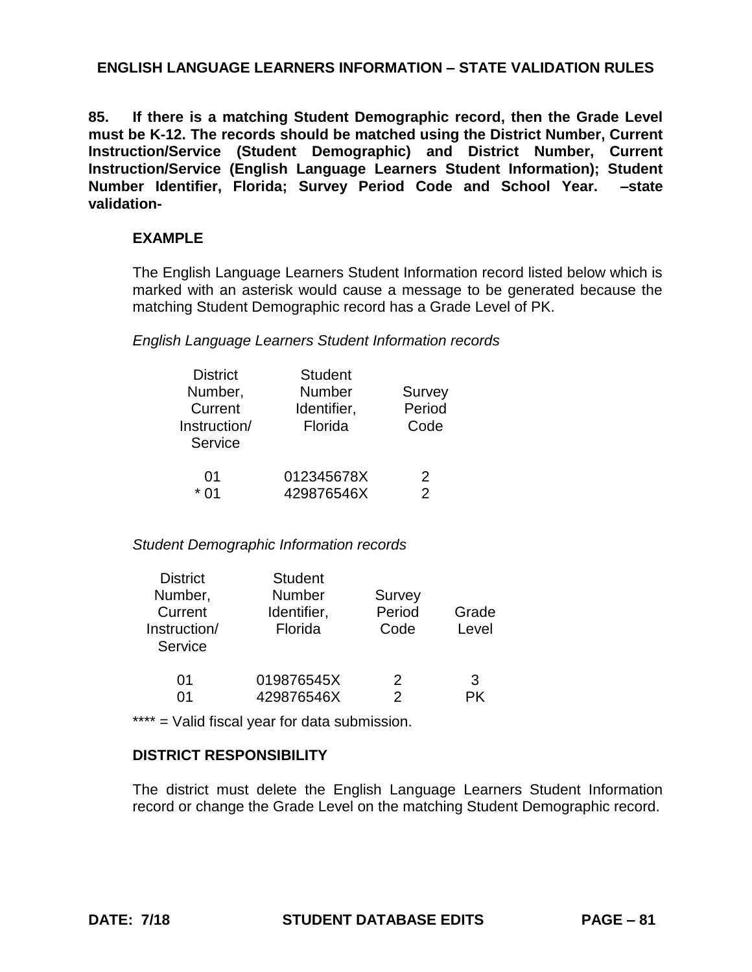**85. If there is a matching Student Demographic record, then the Grade Level must be K-12. The records should be matched using the District Number, Current Instruction/Service (Student Demographic) and District Number, Current Instruction/Service (English Language Learners Student Information); Student Number Identifier, Florida; Survey Period Code and School Year. –state validation-**

## **EXAMPLE**

The English Language Learners Student Information record listed below which is marked with an asterisk would cause a message to be generated because the matching Student Demographic record has a Grade Level of PK.

#### *English Language Learners Student Information records*

| <b>District</b> | <b>Student</b> |        |
|-----------------|----------------|--------|
| Number,         | Number         | Survey |
| Current         | Identifier,    | Period |
| Instruction/    | Florida        | Code   |
| Service         |                |        |
|                 |                |        |
| 01              | 012345678X     | 2      |
|                 | 429876546X     | 2      |

#### *Student Demographic Information records*

| Grade |
|-------|
| Level |
|       |
|       |
| 3     |
| РK    |
|       |

\*\*\*\* = Valid fiscal year for data submission.

## **DISTRICT RESPONSIBILITY**

The district must delete the English Language Learners Student Information record or change the Grade Level on the matching Student Demographic record.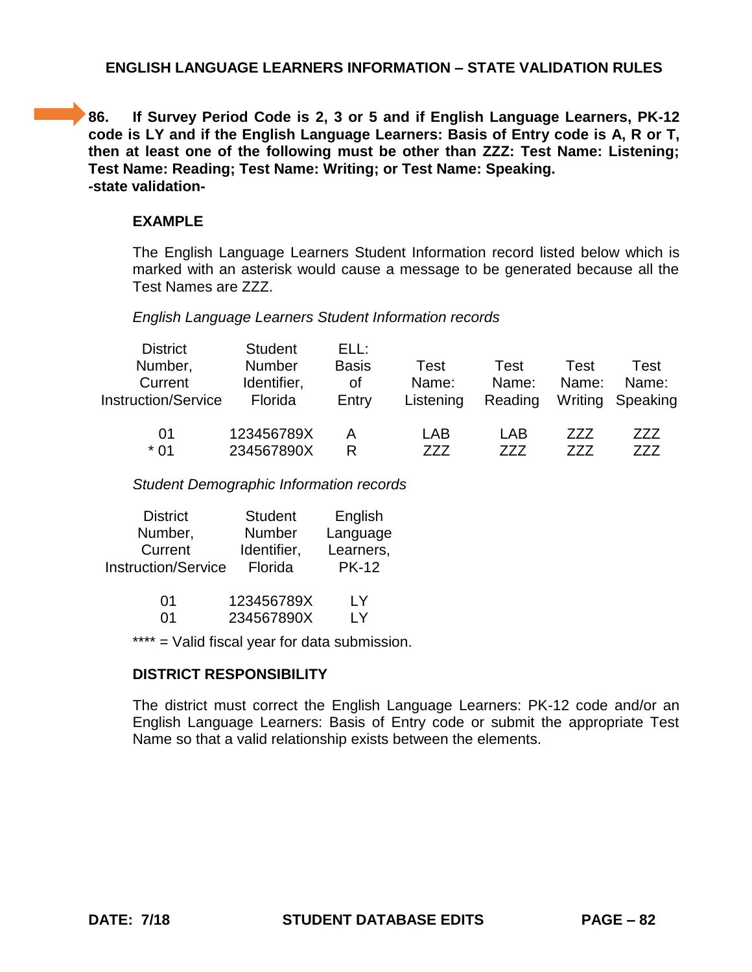**86.** If Survey Period Code is 2, 3 or 5 and if English Language Learners, PK-12 **code is LY and if the English Language Learners: Basis of Entry code is A, R or T, then at least one of the following must be other than ZZZ: Test Name: Listening; Test Name: Reading; Test Name: Writing; or Test Name: Speaking. -state validation-**

## **EXAMPLE**

The English Language Learners Student Information record listed below which is marked with an asterisk would cause a message to be generated because all the Test Names are ZZZ.

### *English Language Learners Student Information records*

| <b>District</b><br>Number, | <b>Student</b><br><b>Number</b> | ELL:<br><b>Basis</b> | Test      | Test    | Test  | Test             |
|----------------------------|---------------------------------|----------------------|-----------|---------|-------|------------------|
| Current                    | Identifier,                     | οf                   | Name:     | Name:   | Name: | Name:            |
| <b>Instruction/Service</b> | Florida                         | Entry                | Listening | Reading |       | Writing Speaking |
| 01                         | 123456789X                      | А                    | LAB       | LAB     | 777   | 777              |
| $*01$                      | 234567890X                      | R                    | 777       | 777     | 777   | 777              |

*Student Demographic Information records*

| <b>District</b>            | <b>Student</b> | English      |
|----------------------------|----------------|--------------|
| Number,                    | <b>Number</b>  | Language     |
| Current                    | Identifier,    | Learners,    |
| <b>Instruction/Service</b> | Florida        | <b>PK-12</b> |
|                            |                |              |

| -01 | 123456789X | I Y |
|-----|------------|-----|
| -01 | 234567890X | I Y |

\*\*\*\* = Valid fiscal year for data submission.

## **DISTRICT RESPONSIBILITY**

The district must correct the English Language Learners: PK-12 code and/or an English Language Learners: Basis of Entry code or submit the appropriate Test Name so that a valid relationship exists between the elements.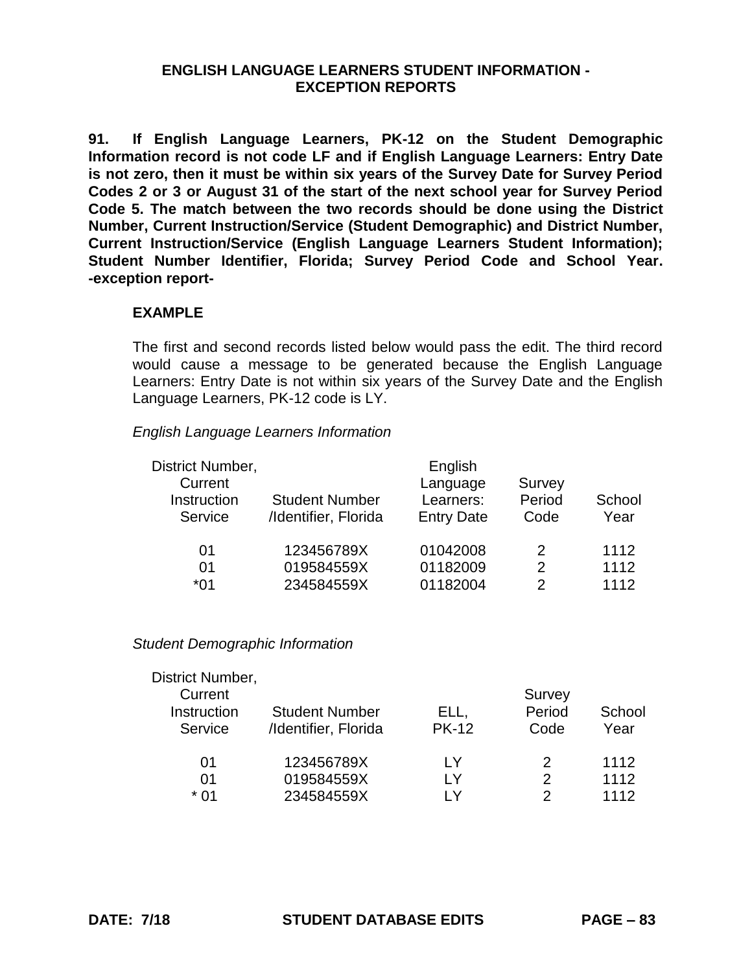**91. If English Language Learners, PK-12 on the Student Demographic Information record is not code LF and if English Language Learners: Entry Date is not zero, then it must be within six years of the Survey Date for Survey Period Codes 2 or 3 or August 31 of the start of the next school year for Survey Period Code 5. The match between the two records should be done using the District Number, Current Instruction/Service (Student Demographic) and District Number, Current Instruction/Service (English Language Learners Student Information); Student Number Identifier, Florida; Survey Period Code and School Year. -exception report-**

## **EXAMPLE**

The first and second records listed below would pass the edit. The third record would cause a message to be generated because the English Language Learners: Entry Date is not within six years of the Survey Date and the English Language Learners, PK-12 code is LY.

### *English Language Learners Information*

| District Number,                  |                                               | English                                    |                          |                |
|-----------------------------------|-----------------------------------------------|--------------------------------------------|--------------------------|----------------|
| Current<br>Instruction<br>Service | <b>Student Number</b><br>/Identifier, Florida | Language<br>Learners:<br><b>Entry Date</b> | Survey<br>Period<br>Code | School<br>Year |
| 01                                | 123456789X                                    | 01042008                                   | 2                        | 1112           |
| 01                                | 019584559X                                    | 01182009                                   | 2                        | 1112           |
| *01                               | 234584559X                                    | 01182004                                   | 2                        | 1112           |

#### *Student Demographic Information*

| District Number, |                       |              |        |        |
|------------------|-----------------------|--------------|--------|--------|
| Current          |                       |              | Survey |        |
| Instruction      | <b>Student Number</b> | ELL,         | Period | School |
| Service          | /Identifier, Florida  | <b>PK-12</b> | Code   | Year   |
| 01               | 123456789X            | I Y          | 2      | 1112   |
| 01               | 019584559X            | I Y          | 2      | 1112   |
| * በ1             | 234584559X            | I V          | っ      | 1112   |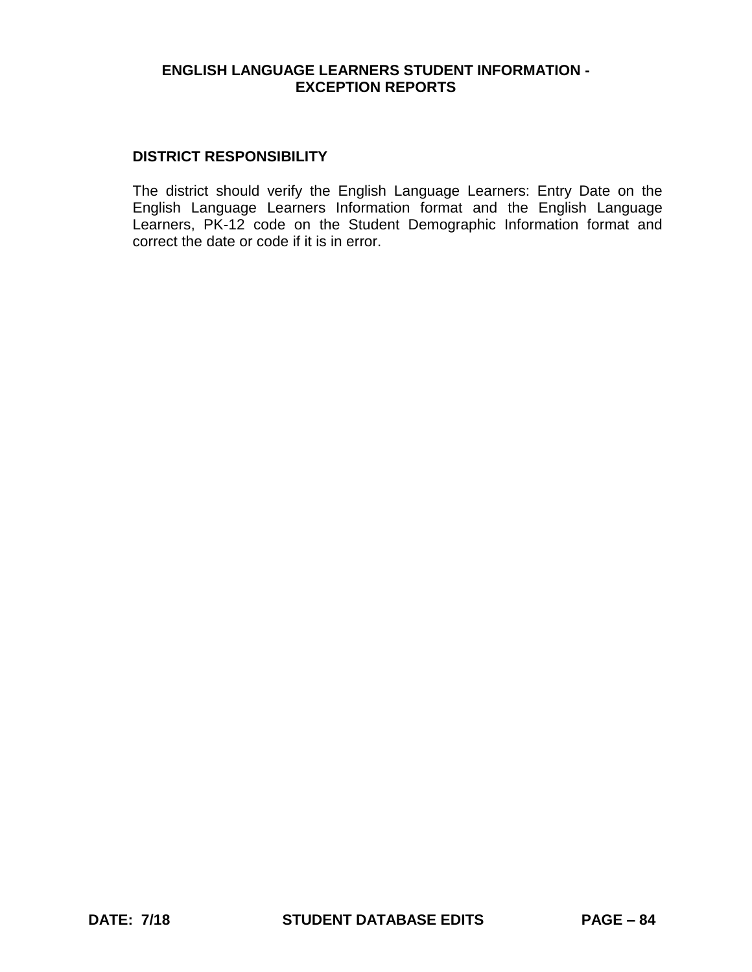### **DISTRICT RESPONSIBILITY**

The district should verify the English Language Learners: Entry Date on the English Language Learners Information format and the English Language Learners, PK-12 code on the Student Demographic Information format and correct the date or code if it is in error.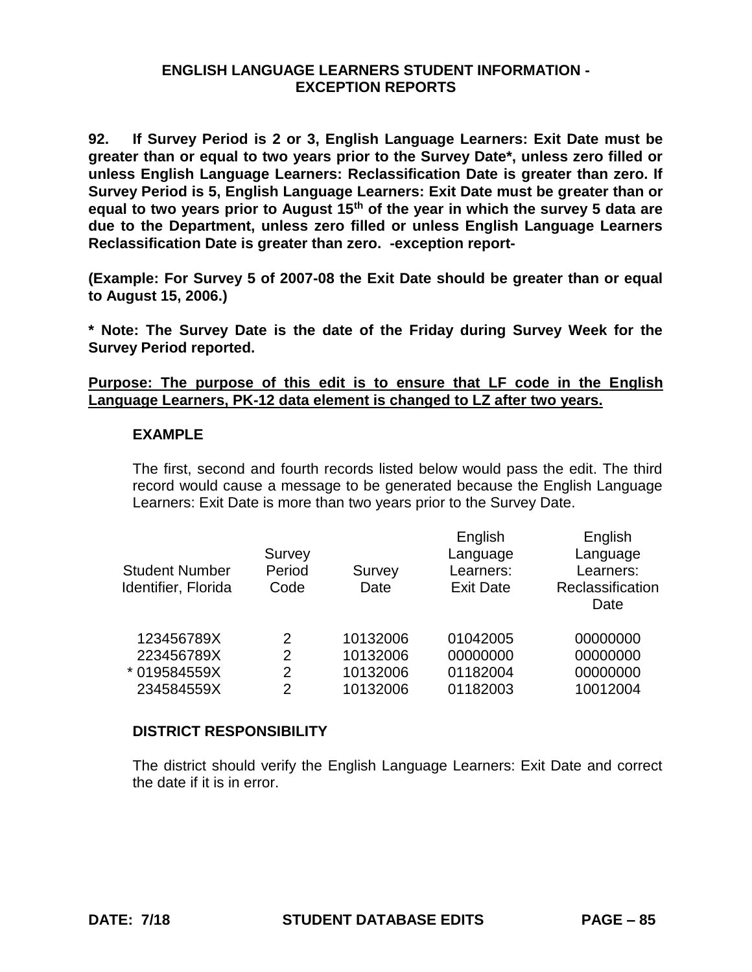**92. If Survey Period is 2 or 3, English Language Learners: Exit Date must be greater than or equal to two years prior to the Survey Date\*, unless zero filled or unless English Language Learners: Reclassification Date is greater than zero. If Survey Period is 5, English Language Learners: Exit Date must be greater than or equal to two years prior to August 15th of the year in which the survey 5 data are due to the Department, unless zero filled or unless English Language Learners Reclassification Date is greater than zero. -exception report-**

**(Example: For Survey 5 of 2007-08 the Exit Date should be greater than or equal to August 15, 2006.)**

**\* Note: The Survey Date is the date of the Friday during Survey Week for the Survey Period reported.**

**Purpose: The purpose of this edit is to ensure that LF code in the English Language Learners, PK-12 data element is changed to LZ after two years.**

### **EXAMPLE**

The first, second and fourth records listed below would pass the edit. The third record would cause a message to be generated because the English Language Learners: Exit Date is more than two years prior to the Survey Date.

| <b>Student Number</b><br>Identifier, Florida | Survey<br>Period<br>Code | Survey<br>Date | English<br>Language<br>Learners:<br><b>Exit Date</b> | English<br>Language<br>Learners:<br>Reclassification<br>Date |
|----------------------------------------------|--------------------------|----------------|------------------------------------------------------|--------------------------------------------------------------|
| 123456789X                                   | $\mathcal{P}$            | 10132006       | 01042005                                             | 00000000                                                     |
| 223456789X                                   | 2                        | 10132006       | 00000000                                             | 00000000                                                     |
| * 019584559X                                 | 2                        | 10132006       | 01182004                                             | 00000000                                                     |
| 234584559X                                   | 2                        | 10132006       | 01182003                                             | 10012004                                                     |
|                                              |                          |                |                                                      |                                                              |

## **DISTRICT RESPONSIBILITY**

The district should verify the English Language Learners: Exit Date and correct the date if it is in error.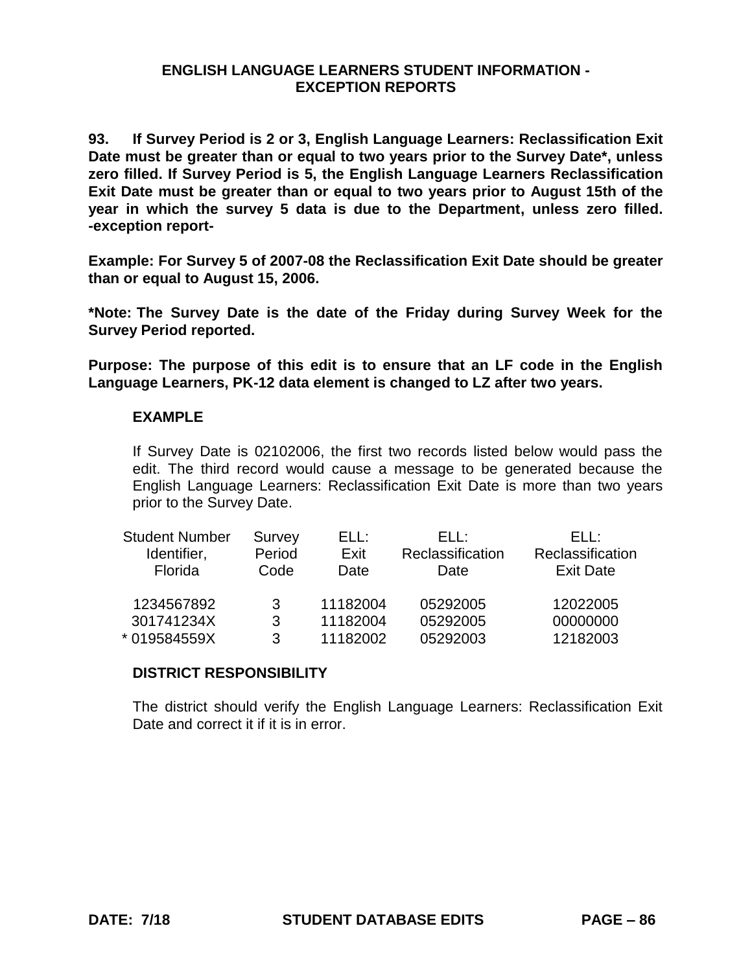**93. If Survey Period is 2 or 3, English Language Learners: Reclassification Exit Date must be greater than or equal to two years prior to the Survey Date\*, unless zero filled. If Survey Period is 5, the English Language Learners Reclassification Exit Date must be greater than or equal to two years prior to August 15th of the year in which the survey 5 data is due to the Department, unless zero filled. -exception report-**

**Example: For Survey 5 of 2007-08 the Reclassification Exit Date should be greater than or equal to August 15, 2006.**

**\*Note: The Survey Date is the date of the Friday during Survey Week for the Survey Period reported.**

**Purpose: The purpose of this edit is to ensure that an LF code in the English Language Learners, PK-12 data element is changed to LZ after two years.**

### **EXAMPLE**

If Survey Date is 02102006, the first two records listed below would pass the edit. The third record would cause a message to be generated because the English Language Learners: Reclassification Exit Date is more than two years prior to the Survey Date.

| <b>Student Number</b> | Survey | ELL:     | FH :             | FH :             |
|-----------------------|--------|----------|------------------|------------------|
| Identifier,           | Period | Exit     | Reclassification | Reclassification |
| Florida               | Code   | Date     | Date             | <b>Exit Date</b> |
| 1234567892            | 3      | 11182004 | 05292005         | 12022005         |
| 301741234X            | 3      | 11182004 | 05292005         | 00000000         |
| *019584559X           | 3      | 11182002 | 05292003         | 12182003         |

### **DISTRICT RESPONSIBILITY**

The district should verify the English Language Learners: Reclassification Exit Date and correct it if it is in error.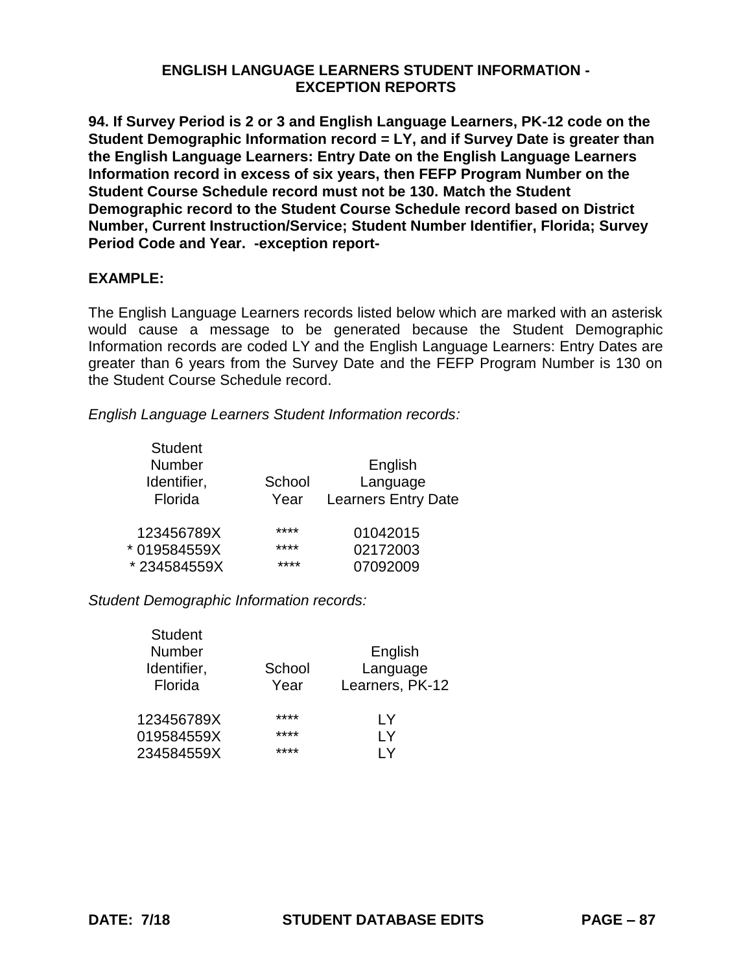**94. If Survey Period is 2 or 3 and English Language Learners, PK-12 code on the Student Demographic Information record = LY, and if Survey Date is greater than the English Language Learners: Entry Date on the English Language Learners Information record in excess of six years, then FEFP Program Number on the Student Course Schedule record must not be 130. Match the Student Demographic record to the Student Course Schedule record based on District Number, Current Instruction/Service; Student Number Identifier, Florida; Survey Period Code and Year. -exception report-**

## **EXAMPLE:**

The English Language Learners records listed below which are marked with an asterisk would cause a message to be generated because the Student Demographic Information records are coded LY and the English Language Learners: Entry Dates are greater than 6 years from the Survey Date and the FEFP Program Number is 130 on the Student Course Schedule record.

*English Language Learners Student Information records:*

| <b>Student</b> |        |                            |
|----------------|--------|----------------------------|
| <b>Number</b>  |        | English                    |
| Identifier,    | School | Language                   |
| Florida        | Year   | <b>Learners Entry Date</b> |
| 123456789X     | ****   | 01042015                   |
| * 019584559X   | ****   | 02172003                   |
| *234584559X    | ****   | 07092009                   |

*Student Demographic Information records:*

Student

| Sludent<br>Number<br>Identifier,<br>Florida | School<br>Year | English<br>Language<br>Learners, PK-12 |
|---------------------------------------------|----------------|----------------------------------------|
| 123456789X                                  | ****           | I Y                                    |
| 019584559X                                  | ****           | I Y                                    |
| 234584559X                                  | ****           | l Y                                    |
|                                             |                |                                        |